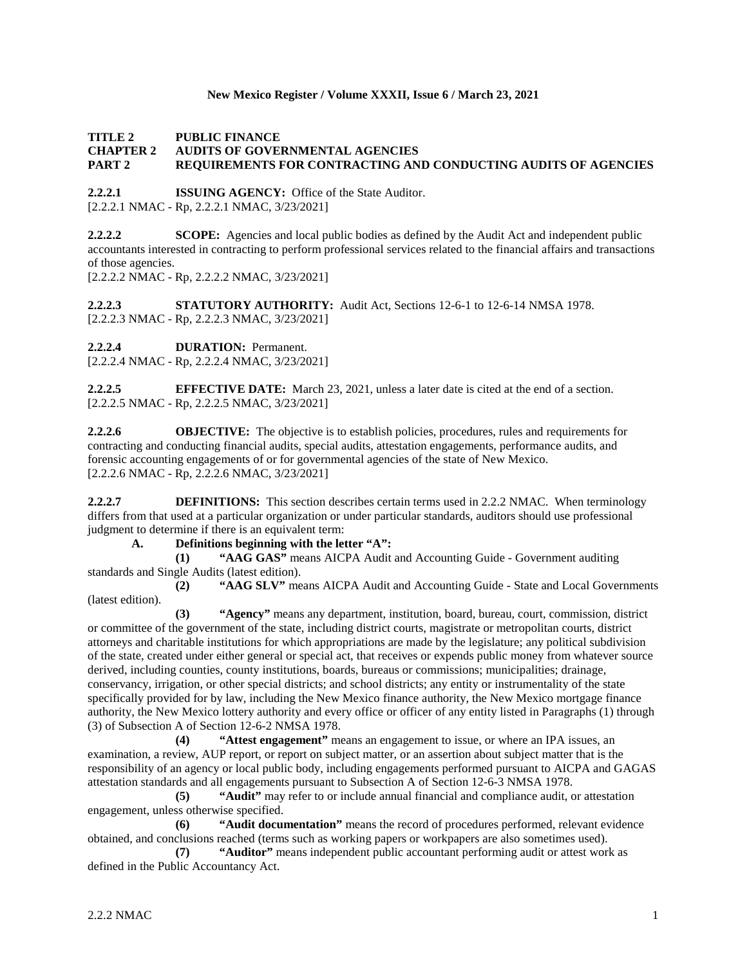#### **New Mexico Register / Volume XXXII, Issue 6 / March 23, 2021**

**TITLE 2 PUBLIC FINANCE**

#### **CHAPTER 2 AUDITS OF GOVERNMENTAL AGENCIES PART 2 REQUIREMENTS FOR CONTRACTING AND CONDUCTING AUDITS OF AGENCIES**

**2.2.2.1 ISSUING AGENCY:** Office of the State Auditor. [2.2.2.1 NMAC - Rp, 2.2.2.1 NMAC, 3/23/2021]

**2.2.2.2 SCOPE:** Agencies and local public bodies as defined by the Audit Act and independent public accountants interested in contracting to perform professional services related to the financial affairs and transactions of those agencies.

[2.2.2.2 NMAC - Rp, 2.2.2.2 NMAC, 3/23/2021]

**2.2.2.3 STATUTORY AUTHORITY:** Audit Act, Sections 12-6-1 to 12-6-14 NMSA 1978. [2.2.2.3 NMAC - Rp, 2.2.2.3 NMAC, 3/23/2021]

**2.2.2.4 DURATION:** Permanent.

[2.2.2.4 NMAC - Rp, 2.2.2.4 NMAC, 3/23/2021]

**2.2.2.5 EFFECTIVE DATE:** March 23, 2021, unless a later date is cited at the end of a section. [2.2.2.5 NMAC - Rp, 2.2.2.5 NMAC, 3/23/2021]

**2.2.2.6 OBJECTIVE:** The objective is to establish policies, procedures, rules and requirements for contracting and conducting financial audits, special audits, attestation engagements, performance audits, and forensic accounting engagements of or for governmental agencies of the state of New Mexico. [2.2.2.6 NMAC - Rp, 2.2.2.6 NMAC, 3/23/2021]

**2.2.2.7 DEFINITIONS:** This section describes certain terms used in 2.2.2 NMAC. When terminology differs from that used at a particular organization or under particular standards, auditors should use professional judgment to determine if there is an equivalent term:

# **A. Definitions beginning with the letter "A":**

**(1) "AAG GAS"** means AICPA Audit and Accounting Guide - Government auditing standards and Single Audits (latest edition).

**(2) "AAG SLV"** means AICPA Audit and Accounting Guide - State and Local Governments (latest edition).

**(3) "Agency"** means any department, institution, board, bureau, court, commission, district or committee of the government of the state, including district courts, magistrate or metropolitan courts, district attorneys and charitable institutions for which appropriations are made by the legislature; any political subdivision of the state, created under either general or special act, that receives or expends public money from whatever source derived, including counties, county institutions, boards, bureaus or commissions; municipalities; drainage, conservancy, irrigation, or other special districts; and school districts; any entity or instrumentality of the state specifically provided for by law, including the New Mexico finance authority, the New Mexico mortgage finance authority, the New Mexico lottery authority and every office or officer of any entity listed in Paragraphs (1) through (3) of Subsection A of Section 12-6-2 NMSA 1978.

**(4) "Attest engagement"** means an engagement to issue, or where an IPA issues, an examination, a review, AUP report, or report on subject matter, or an assertion about subject matter that is the responsibility of an agency or local public body, including engagements performed pursuant to AICPA and GAGAS attestation standards and all engagements pursuant to Subsection A of Section 12-6-3 NMSA 1978.

**(5) "Audit"** may refer to or include annual financial and compliance audit, or attestation engagement, unless otherwise specified.

**(6) "Audit documentation"** means the record of procedures performed, relevant evidence obtained, and conclusions reached (terms such as working papers or workpapers are also sometimes used).

**(7) "Auditor"** means independent public accountant performing audit or attest work as defined in the Public Accountancy Act.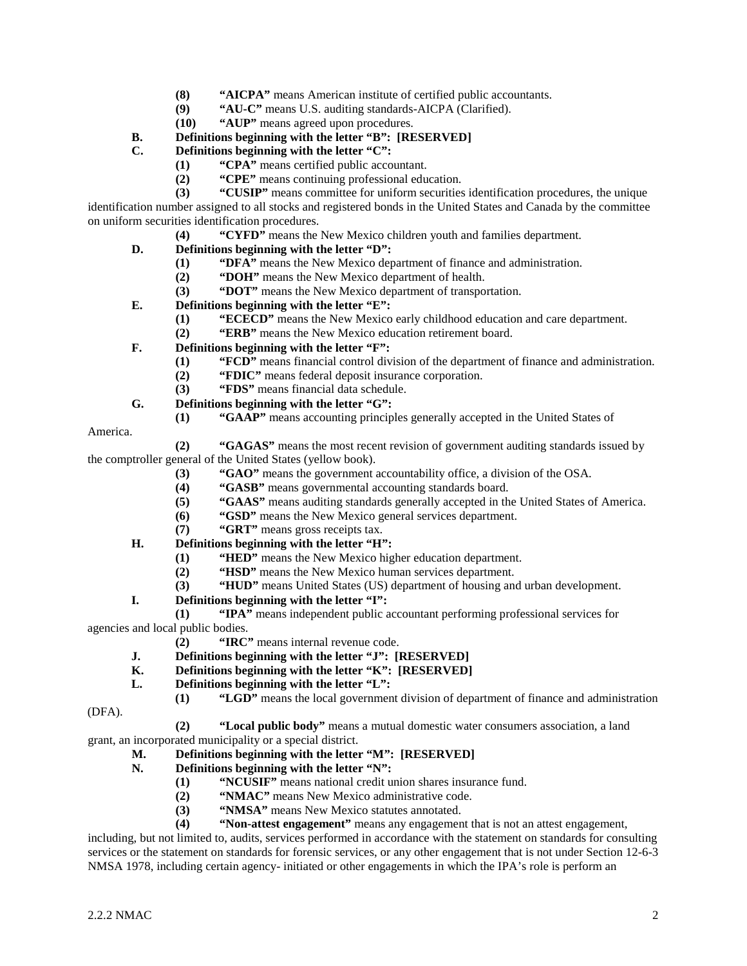- **(8) "AICPA"** means American institute of certified public accountants.<br>**(9)** "AU-C" means U.S. auditing standards-AICPA (Clarified).
- **(9) "AU-C"** means U.S. auditing standards-AICPA (Clarified).
- **(10) "AUP"** means agreed upon procedures.

# **B. Definitions beginning with the letter "B": [RESERVED]**

## **C. Definitions beginning with the letter "C":**

- **(1) "CPA"** means certified public accountant.
- **(2) "CPE"** means continuing professional education.
- **(3) "CUSIP"** means committee for uniform securities identification procedures, the unique

identification number assigned to all stocks and registered bonds in the United States and Canada by the committee on uniform securities identification procedures.

- **(4) "CYFD"** means the New Mexico children youth and families department.
- **D. Definitions beginning with the letter "D":**
	- **(1) "DFA"** means the New Mexico department of finance and administration.
	- **(2) "DOH"** means the New Mexico department of health.
	- **(3) "DOT"** means the New Mexico department of transportation.
- **E. Definitions beginning with the letter "E":**
	- **(1) "ECECD"** means the New Mexico early childhood education and care department.
	- **(2) "ERB"** means the New Mexico education retirement board.
- **F. Definitions beginning with the letter "F":**
	- **(1) "FCD"** means financial control division of the department of finance and administration.
	- **(2) "FDIC"** means federal deposit insurance corporation.
	- **(3) "FDS"** means financial data schedule.
- **G. Definitions beginning with the letter "G":**
	- **(1) "GAAP"** means accounting principles generally accepted in the United States of

America.

**(2) "GAGAS"** means the most recent revision of government auditing standards issued by the comptroller general of the United States (yellow book).

- **(3) "GAO"** means the government accountability office, a division of the OSA.
- **(4) "GASB"** means governmental accounting standards board.
- **(5) "GAAS"** means auditing standards generally accepted in the United States of America.
- **(6) "GSD"** means the New Mexico general services department.
- **(7) "GRT"** means gross receipts tax.
- **H. Definitions beginning with the letter "H":**
	- **(1) <b>"HED"** means the New Mexico higher education department.<br> **(2) "HSD"** means the New Mexico human services department.
	- **"HSD"** means the New Mexico human services department.
	- **(3) "HUD"** means United States (US) department of housing and urban development.
- **I. Definitions beginning with the letter "I":**

**(1) "IPA"** means independent public accountant performing professional services for agencies and local public bodies.

**(2) "IRC"** means internal revenue code.

- **J. Definitions beginning with the letter "J": [RESERVED]**
- **K. Definitions beginning with the letter "K": [RESERVED]**

**L. Definitions beginning with the letter "L":**

**(1) "LGD"** means the local government division of department of finance and administration

(DFA).

**(2) "Local public body"** means a mutual domestic water consumers association, a land

grant, an incorporated municipality or a special district.

# **M. Definitions beginning with the letter "M": [RESERVED]**

- Definitions beginning with the letter "N":
	- **(1) "NCUSIF"** means national credit union shares insurance fund.
	- **(2) "NMAC"** means New Mexico administrative code.
	- **(3) <b>"NMSA"** means New Mexico statutes annotated.<br>**(4) "Non-attest engagement"** means any engagement
	- **(4) "Non-attest engagement"** means any engagement that is not an attest engagement,

including, but not limited to, audits, services performed in accordance with the statement on standards for consulting services or the statement on standards for forensic services, or any other engagement that is not under Section 12-6-3 NMSA 1978, including certain agency- initiated or other engagements in which the IPA's role is perform an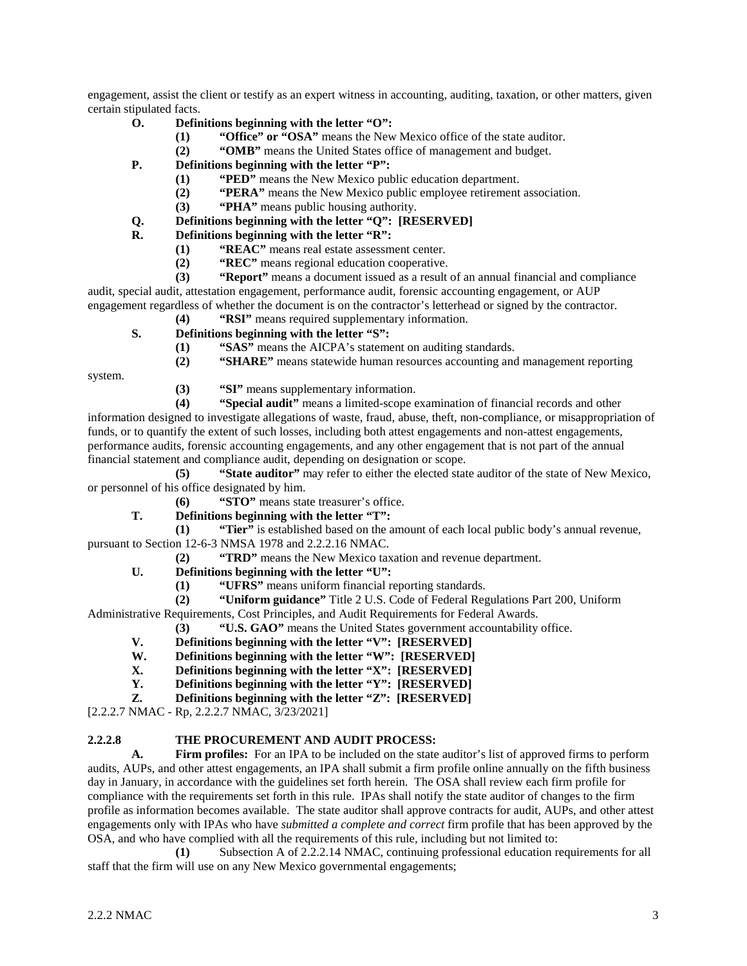engagement, assist the client or testify as an expert witness in accounting, auditing, taxation, or other matters, given certain stipulated facts.

- **O. Definitions beginning with the letter "O":**
	- **(1) "Office" or "OSA"** means the New Mexico office of the state auditor.
	- **(2) "OMB"** means the United States office of management and budget.
- **P. Definitions beginning with the letter "P":**
	- **(1) "PED"** means the New Mexico public education department.
	- **(2) "PERA"** means the New Mexico public employee retirement association.
	- **(3) "PHA"** means public housing authority.
- **Q. Definitions beginning with the letter "Q": [RESERVED]**
- **R. Definitions beginning with the letter "R":**
	- **(1) "REAC"** means real estate assessment center.
	- **(2) "REC"** means regional education cooperative.<br>**(3) "Report"** means a document issued as a result of
- **(3) "Report"** means a document issued as a result of an annual financial and compliance audit, special audit, attestation engagement, performance audit, forensic accounting engagement, or AUP

engagement regardless of whether the document is on the contractor's letterhead or signed by the contractor.

- **(4) "RSI"** means required supplementary information.
- **S. Definitions beginning with the letter "S":**
	- **(1) "SAS"** means the AICPA's statement on auditing standards.
	- **(2) "SHARE"** means statewide human resources accounting and management reporting

system.

**(3) <b>"SI"** means supplementary information.<br>**(4) "Special audit"** means a limited-scope e

**(4) "Special audit"** means a limited-scope examination of financial records and other information designed to investigate allegations of waste, fraud, abuse, theft, non-compliance, or misappropriation of funds, or to quantify the extent of such losses, including both attest engagements and non-attest engagements, performance audits, forensic accounting engagements, and any other engagement that is not part of the annual financial statement and compliance audit, depending on designation or scope.

**(5) "State auditor"** may refer to either the elected state auditor of the state of New Mexico, or personnel of his office designated by him.

**(6) "STO"** means state treasurer's office.

**T. Definitions beginning with the letter "T":**

**(1) "Tier"** is established based on the amount of each local public body's annual revenue, pursuant to Section 12-6-3 NMSA 1978 and 2.2.2.16 NMAC.

**(2) "TRD"** means the New Mexico taxation and revenue department.

- **U. Definitions beginning with the letter "U":**
	- **(1) "UFRS"** means uniform financial reporting standards.
	- **(2) "Uniform guidance"** Title 2 U.S. Code of Federal Regulations Part 200, Uniform

Administrative Requirements, Cost Principles, and Audit Requirements for Federal Awards.

**(3) "U.S. GAO"** means the United States government accountability office.

- **V. Definitions beginning with the letter "V": [RESERVED]**
- **W. Definitions beginning with the letter "W": [RESERVED]**
- **X. Definitions beginning with the letter "X":** [RESERVED] **Y. Definitions beginning with the letter "Y":** [RESERVED]
- **Y. Definitions beginning with the letter "Y": [RESERVED]**
- **Z. Definitions beginning with the letter "Z": [RESERVED]**

[2.2.2.7 NMAC - Rp, 2.2.2.7 NMAC, 3/23/2021]

# **2.2.2.8 THE PROCUREMENT AND AUDIT PROCESS:**

**A. Firm profiles:** For an IPA to be included on the state auditor's list of approved firms to perform audits, AUPs, and other attest engagements, an IPA shall submit a firm profile online annually on the fifth business day in January, in accordance with the guidelines set forth herein. The OSA shall review each firm profile for compliance with the requirements set forth in this rule. IPAs shall notify the state auditor of changes to the firm profile as information becomes available. The state auditor shall approve contracts for audit, AUPs, and other attest engagements only with IPAs who have *submitted a complete and correct* firm profile that has been approved by the OSA, and who have complied with all the requirements of this rule, including but not limited to:

**(1)** Subsection A of 2.2.2.14 NMAC, continuing professional education requirements for all staff that the firm will use on any New Mexico governmental engagements;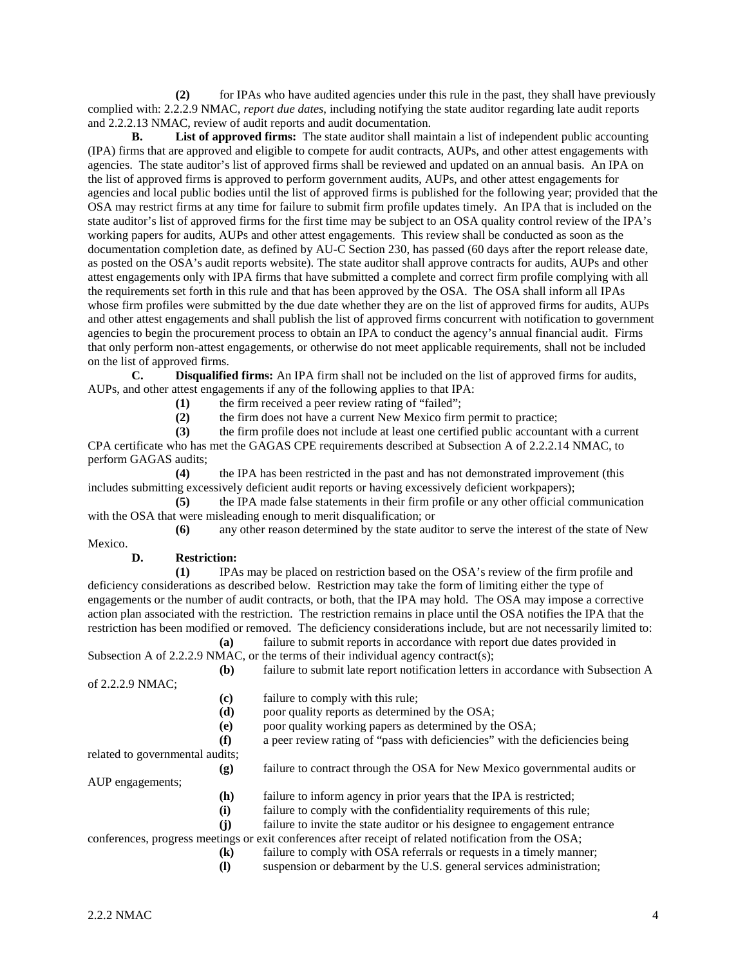**(2)** for IPAs who have audited agencies under this rule in the past, they shall have previously complied with: 2.2.2.9 NMAC, *report due dates*, including notifying the state auditor regarding late audit reports and 2.2.2.13 NMAC, review of audit reports and audit documentation.

**B. List of approved firms:** The state auditor shall maintain a list of independent public accounting (IPA) firms that are approved and eligible to compete for audit contracts, AUPs, and other attest engagements with agencies. The state auditor's list of approved firms shall be reviewed and updated on an annual basis. An IPA on the list of approved firms is approved to perform government audits, AUPs, and other attest engagements for agencies and local public bodies until the list of approved firms is published for the following year; provided that the OSA may restrict firms at any time for failure to submit firm profile updates timely. An IPA that is included on the state auditor's list of approved firms for the first time may be subject to an OSA quality control review of the IPA's working papers for audits, AUPs and other attest engagements. This review shall be conducted as soon as the documentation completion date, as defined by AU-C Section 230, has passed (60 days after the report release date, as posted on the OSA's audit reports website). The state auditor shall approve contracts for audits, AUPs and other attest engagements only with IPA firms that have submitted a complete and correct firm profile complying with all the requirements set forth in this rule and that has been approved by the OSA. The OSA shall inform all IPAs whose firm profiles were submitted by the due date whether they are on the list of approved firms for audits, AUPs and other attest engagements and shall publish the list of approved firms concurrent with notification to government agencies to begin the procurement process to obtain an IPA to conduct the agency's annual financial audit. Firms that only perform non-attest engagements, or otherwise do not meet applicable requirements, shall not be included on the list of approved firms.

**C. Disqualified firms:** An IPA firm shall not be included on the list of approved firms for audits, AUPs, and other attest engagements if any of the following applies to that IPA:

**(1)** the firm received a peer review rating of "failed";

**(2)** the firm does not have a current New Mexico firm permit to practice;

**(3)** the firm profile does not include at least one certified public accountant with a current

CPA certificate who has met the GAGAS CPE requirements described at Subsection A of 2.2.2.14 NMAC, to perform GAGAS audits;

**(4)** the IPA has been restricted in the past and has not demonstrated improvement (this includes submitting excessively deficient audit reports or having excessively deficient workpapers);

**(5)** the IPA made false statements in their firm profile or any other official communication with the OSA that were misleading enough to merit disqualification; or

**(6)** any other reason determined by the state auditor to serve the interest of the state of New

Mexico.

**D. Restriction:**

**(1)** IPAs may be placed on restriction based on the OSA's review of the firm profile and deficiency considerations as described below. Restriction may take the form of limiting either the type of engagements or the number of audit contracts, or both, that the IPA may hold. The OSA may impose a corrective action plan associated with the restriction. The restriction remains in place until the OSA notifies the IPA that the restriction has been modified or removed. The deficiency considerations include, but are not necessarily limited to: **(a)** failure to submit reports in accordance with report due dates provided in

Subsection A of 2.2.2.9 NMAC, or the terms of their individual agency contract(s); **(b)** failure to submit late report notification letters in accordance with Subsection A

of 2.2.2.9 NMAC;

**(c)** failure to comply with this rule;

**(d)** poor quality reports as determined by the OSA;

**(e)** poor quality working papers as determined by the OSA;

**(f)** a peer review rating of "pass with deficiencies" with the deficiencies being

related to governmental audits;

**(g)** failure to contract through the OSA for New Mexico governmental audits or

AUP engagements;

- **(h)** failure to inform agency in prior years that the IPA is restricted;
- **(i)** failure to comply with the confidentiality requirements of this rule;

**(j)** failure to invite the state auditor or his designee to engagement entrance

conferences, progress meetings or exit conferences after receipt of related notification from the OSA;

- **(k)** failure to comply with OSA referrals or requests in a timely manner;
- **(l)** suspension or debarment by the U.S. general services administration;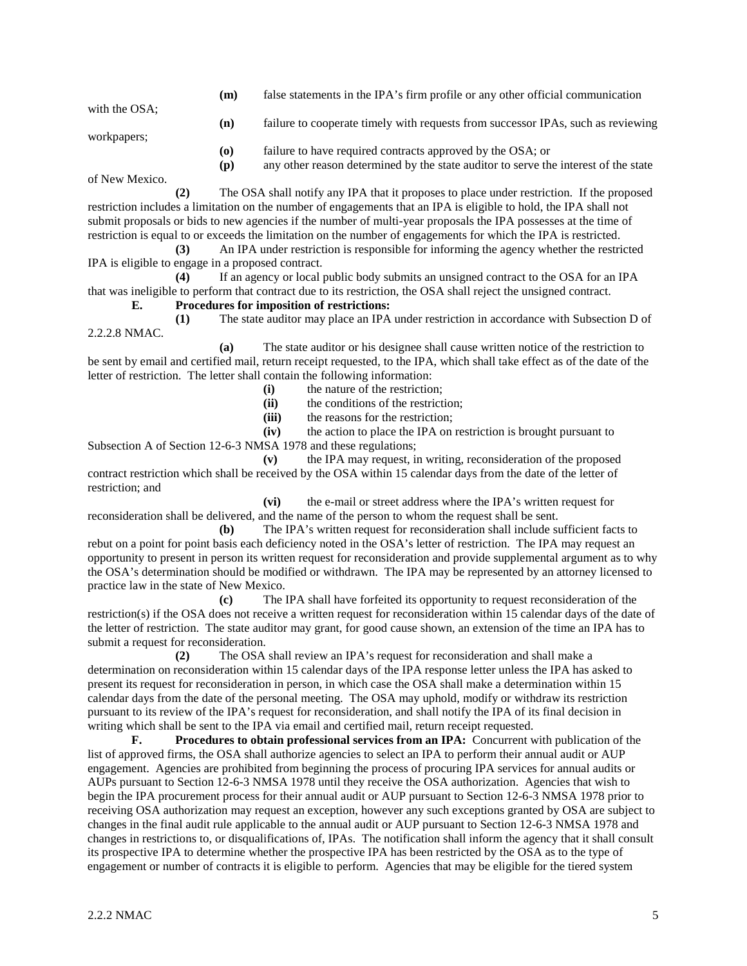**(m)** false statements in the IPA's firm profile or any other official communication with the OSA; **(n)** failure to cooperate timely with requests from successor IPAs, such as reviewing workpapers; **(o)** failure to have required contracts approved by the OSA; or **(p)** any other reason determined by the state auditor to serve the interest of the state

of New Mexico.

**(2)** The OSA shall notify any IPA that it proposes to place under restriction. If the proposed restriction includes a limitation on the number of engagements that an IPA is eligible to hold, the IPA shall not submit proposals or bids to new agencies if the number of multi-year proposals the IPA possesses at the time of restriction is equal to or exceeds the limitation on the number of engagements for which the IPA is restricted.

**(3)** An IPA under restriction is responsible for informing the agency whether the restricted IPA is eligible to engage in a proposed contract.

**(4)** If an agency or local public body submits an unsigned contract to the OSA for an IPA that was ineligible to perform that contract due to its restriction, the OSA shall reject the unsigned contract.

## **E. Procedures for imposition of restrictions:**

**(1)** The state auditor may place an IPA under restriction in accordance with Subsection D of 2.2.2.8 NMAC.

**(a)** The state auditor or his designee shall cause written notice of the restriction to be sent by email and certified mail, return receipt requested, to the IPA, which shall take effect as of the date of the letter of restriction. The letter shall contain the following information:

- (i) the nature of the restriction;<br>(ii) the conditions of the restrict
- **(ii)** the conditions of the restriction;
- **(iii)** the reasons for the restriction;

**(iv)** the action to place the IPA on restriction is brought pursuant to Subsection A of Section 12-6-3 NMSA 1978 and these regulations;

**(v)** the IPA may request, in writing, reconsideration of the proposed contract restriction which shall be received by the OSA within 15 calendar days from the date of the letter of restriction; and

**(vi)** the e-mail or street address where the IPA's written request for reconsideration shall be delivered, and the name of the person to whom the request shall be sent.

**(b)** The IPA's written request for reconsideration shall include sufficient facts to rebut on a point for point basis each deficiency noted in the OSA's letter of restriction. The IPA may request an opportunity to present in person its written request for reconsideration and provide supplemental argument as to why the OSA's determination should be modified or withdrawn. The IPA may be represented by an attorney licensed to practice law in the state of New Mexico.

**(c)** The IPA shall have forfeited its opportunity to request reconsideration of the restriction(s) if the OSA does not receive a written request for reconsideration within 15 calendar days of the date of the letter of restriction. The state auditor may grant, for good cause shown, an extension of the time an IPA has to submit a request for reconsideration.

**(2)** The OSA shall review an IPA's request for reconsideration and shall make a determination on reconsideration within 15 calendar days of the IPA response letter unless the IPA has asked to present its request for reconsideration in person, in which case the OSA shall make a determination within 15 calendar days from the date of the personal meeting. The OSA may uphold, modify or withdraw its restriction pursuant to its review of the IPA's request for reconsideration, and shall notify the IPA of its final decision in writing which shall be sent to the IPA via email and certified mail, return receipt requested.

**F. Procedures to obtain professional services from an IPA:** Concurrent with publication of the list of approved firms, the OSA shall authorize agencies to select an IPA to perform their annual audit or AUP engagement. Agencies are prohibited from beginning the process of procuring IPA services for annual audits or AUPs pursuant to Section 12-6-3 NMSA 1978 until they receive the OSA authorization. Agencies that wish to begin the IPA procurement process for their annual audit or AUP pursuant to Section 12-6-3 NMSA 1978 prior to receiving OSA authorization may request an exception, however any such exceptions granted by OSA are subject to changes in the final audit rule applicable to the annual audit or AUP pursuant to Section 12-6-3 NMSA 1978 and changes in restrictions to, or disqualifications of, IPAs. The notification shall inform the agency that it shall consult its prospective IPA to determine whether the prospective IPA has been restricted by the OSA as to the type of engagement or number of contracts it is eligible to perform. Agencies that may be eligible for the tiered system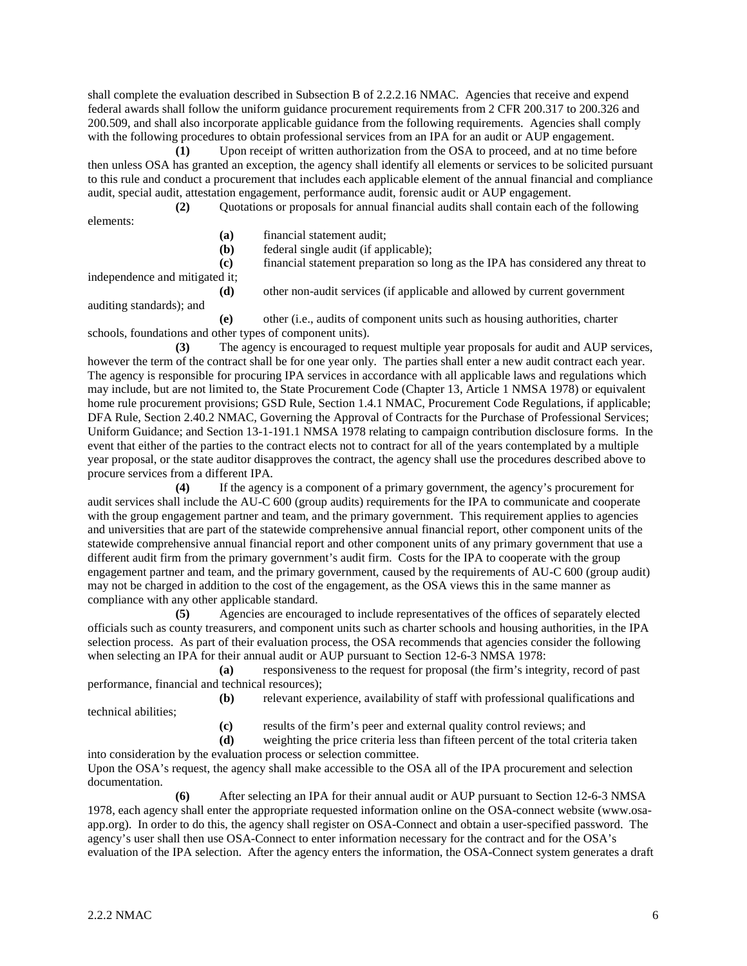shall complete the evaluation described in Subsection B of 2.2.2.16 NMAC. Agencies that receive and expend federal awards shall follow the uniform guidance procurement requirements from 2 CFR 200.317 to 200.326 and 200.509, and shall also incorporate applicable guidance from the following requirements. Agencies shall comply with the following procedures to obtain professional services from an IPA for an audit or AUP engagement.

**(1)** Upon receipt of written authorization from the OSA to proceed, and at no time before then unless OSA has granted an exception, the agency shall identify all elements or services to be solicited pursuant to this rule and conduct a procurement that includes each applicable element of the annual financial and compliance audit, special audit, attestation engagement, performance audit, forensic audit or AUP engagement.

**(2)** Quotations or proposals for annual financial audits shall contain each of the following elements:

- **(a)** financial statement audit;
- **(b)** federal single audit (if applicable);

**(c)** financial statement preparation so long as the IPA has considered any threat to

independence and mitigated it;

**(d)** other non-audit services (if applicable and allowed by current government

auditing standards); and

**(e)** other (i.e., audits of component units such as housing authorities, charter schools, foundations and other types of component units).

**(3)** The agency is encouraged to request multiple year proposals for audit and AUP services, however the term of the contract shall be for one year only. The parties shall enter a new audit contract each year. The agency is responsible for procuring IPA services in accordance with all applicable laws and regulations which may include, but are not limited to, the State Procurement Code (Chapter 13, Article 1 NMSA 1978) or equivalent home rule procurement provisions; GSD Rule, Section 1.4.1 NMAC, Procurement Code Regulations, if applicable; DFA Rule, Section 2.40.2 NMAC, Governing the Approval of Contracts for the Purchase of Professional Services; Uniform Guidance; and Section 13-1-191.1 NMSA 1978 relating to campaign contribution disclosure forms. In the event that either of the parties to the contract elects not to contract for all of the years contemplated by a multiple year proposal, or the state auditor disapproves the contract, the agency shall use the procedures described above to procure services from a different IPA.

**(4)** If the agency is a component of a primary government, the agency's procurement for audit services shall include the AU-C 600 (group audits) requirements for the IPA to communicate and cooperate with the group engagement partner and team, and the primary government. This requirement applies to agencies and universities that are part of the statewide comprehensive annual financial report, other component units of the statewide comprehensive annual financial report and other component units of any primary government that use a different audit firm from the primary government's audit firm. Costs for the IPA to cooperate with the group engagement partner and team, and the primary government, caused by the requirements of AU-C 600 (group audit) may not be charged in addition to the cost of the engagement, as the OSA views this in the same manner as compliance with any other applicable standard.

**(5)** Agencies are encouraged to include representatives of the offices of separately elected officials such as county treasurers, and component units such as charter schools and housing authorities, in the IPA selection process. As part of their evaluation process, the OSA recommends that agencies consider the following when selecting an IPA for their annual audit or AUP pursuant to Section 12-6-3 NMSA 1978:

**(a)** responsiveness to the request for proposal (the firm's integrity, record of past performance, financial and technical resources);

**(b)** relevant experience, availability of staff with professional qualifications and technical abilities;

**(c)** results of the firm's peer and external quality control reviews; and

**(d)** weighting the price criteria less than fifteen percent of the total criteria taken into consideration by the evaluation process or selection committee.

Upon the OSA's request, the agency shall make accessible to the OSA all of the IPA procurement and selection documentation.

**(6)** After selecting an IPA for their annual audit or AUP pursuant to Section 12-6-3 NMSA 1978, each agency shall enter the appropriate requested information online on the OSA-connect website [\(www.osa](http://www.osa-app.org/)[app.org\)](http://www.osa-app.org/). In order to do this, the agency shall register on OSA-Connect and obtain a user-specified password. The agency's user shall then use OSA-Connect to enter information necessary for the contract and for the OSA's evaluation of the IPA selection. After the agency enters the information, the OSA-Connect system generates a draft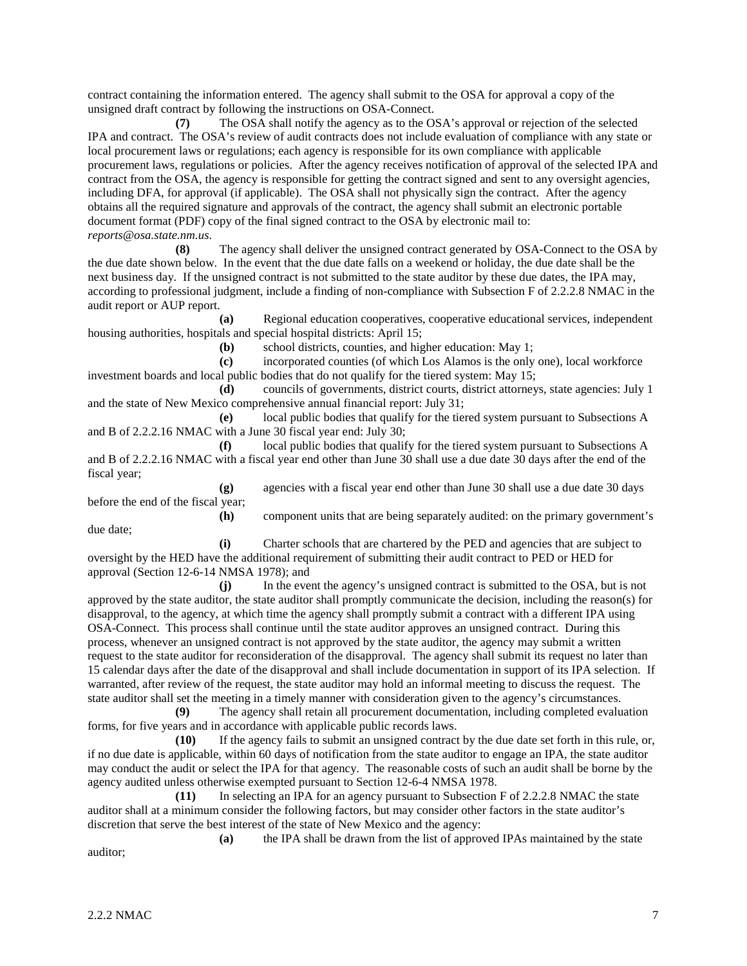contract containing the information entered. The agency shall submit to the OSA for approval a copy of the unsigned draft contract by following the instructions on OSA-Connect.

**(7)** The OSA shall notify the agency as to the OSA's approval or rejection of the selected IPA and contract. The OSA's review of audit contracts does not include evaluation of compliance with any state or local procurement laws or regulations; each agency is responsible for its own compliance with applicable procurement laws, regulations or policies. After the agency receives notification of approval of the selected IPA and contract from the OSA, the agency is responsible for getting the contract signed and sent to any oversight agencies, including DFA, for approval (if applicable). The OSA shall not physically sign the contract. After the agency obtains all the required signature and approvals of the contract, the agency shall submit an electronic portable document format (PDF) copy of the final signed contract to the OSA by electronic mail to: *reports@osa.state.nm.us*.

**(8)** The agency shall deliver the unsigned contract generated by OSA-Connect to the OSA by the due date shown below. In the event that the due date falls on a weekend or holiday, the due date shall be the next business day. If the unsigned contract is not submitted to the state auditor by these due dates, the IPA may, according to professional judgment, include a finding of non-compliance with Subsection F of 2.2.2.8 NMAC in the audit report or AUP report.

**(a)** Regional education cooperatives, cooperative educational services, independent housing authorities, hospitals and special hospital districts: April 15;

**(b)** school districts, counties, and higher education: May 1;

**(c)** incorporated counties (of which Los Alamos is the only one), local workforce investment boards and local public bodies that do not qualify for the tiered system: May 15;

**(d)** councils of governments, district courts, district attorneys, state agencies: July 1 and the state of New Mexico comprehensive annual financial report: July 31;

**(e)** local public bodies that qualify for the tiered system pursuant to Subsections A and B of 2.2.2.16 NMAC with a June 30 fiscal year end: July 30;

**(f)** local public bodies that qualify for the tiered system pursuant to Subsections A and B of 2.2.2.16 NMAC with a fiscal year end other than June 30 shall use a due date 30 days after the end of the fiscal year;

**(g)** agencies with a fiscal year end other than June 30 shall use a due date 30 days before the end of the fiscal year;

**(h)** component units that are being separately audited: on the primary government's due date;

**(i)** Charter schools that are chartered by the PED and agencies that are subject to oversight by the HED have the additional requirement of submitting their audit contract to PED or HED for approval (Section 12-6-14 NMSA 1978); and

**(j)** In the event the agency's unsigned contract is submitted to the OSA, but is not approved by the state auditor, the state auditor shall promptly communicate the decision, including the reason(s) for disapproval, to the agency, at which time the agency shall promptly submit a contract with a different IPA using OSA-Connect. This process shall continue until the state auditor approves an unsigned contract. During this process, whenever an unsigned contract is not approved by the state auditor, the agency may submit a written request to the state auditor for reconsideration of the disapproval. The agency shall submit its request no later than 15 calendar days after the date of the disapproval and shall include documentation in support of its IPA selection. If warranted, after review of the request, the state auditor may hold an informal meeting to discuss the request. The state auditor shall set the meeting in a timely manner with consideration given to the agency's circumstances.

**(9)** The agency shall retain all procurement documentation, including completed evaluation forms, for five years and in accordance with applicable public records laws.

**(10)** If the agency fails to submit an unsigned contract by the due date set forth in this rule, or, if no due date is applicable, within 60 days of notification from the state auditor to engage an IPA, the state auditor may conduct the audit or select the IPA for that agency. The reasonable costs of such an audit shall be borne by the agency audited unless otherwise exempted pursuant to Section 12-6-4 NMSA 1978.

**(11)** In selecting an IPA for an agency pursuant to Subsection F of 2.2.2.8 NMAC the state auditor shall at a minimum consider the following factors, but may consider other factors in the state auditor's discretion that serve the best interest of the state of New Mexico and the agency:

**(a)** the IPA shall be drawn from the list of approved IPAs maintained by the state auditor;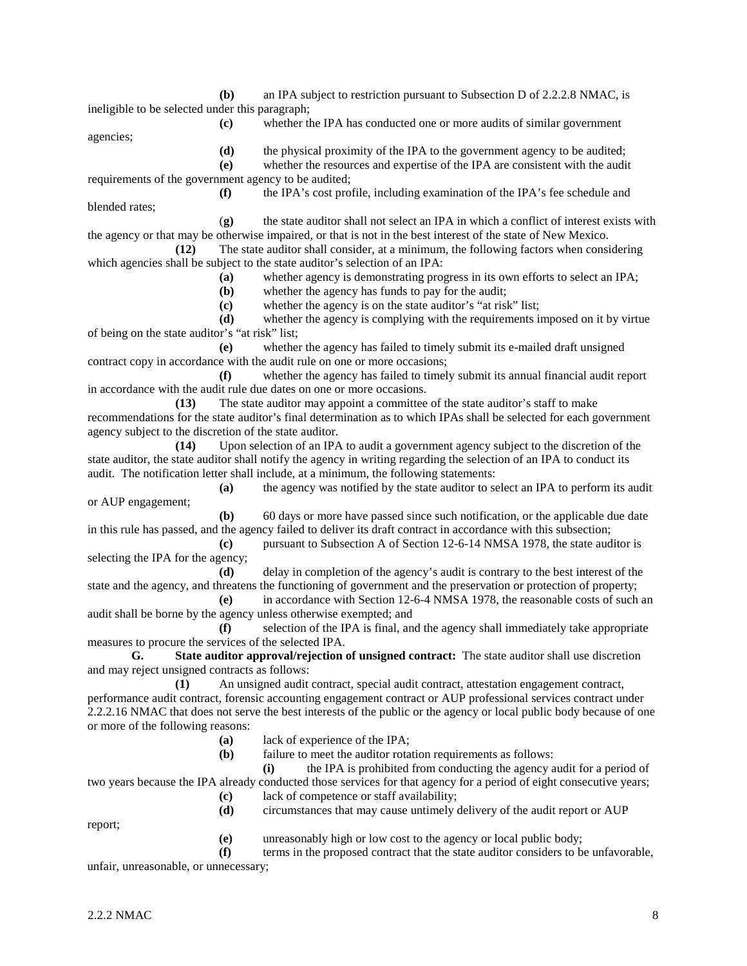**(b)** an IPA subject to restriction pursuant to Subsection D of 2.2.2.8 NMAC, is ineligible to be selected under this paragraph;

agencies;

**(c)** whether the IPA has conducted one or more audits of similar government

**(d)** the physical proximity of the IPA to the government agency to be audited;

**(e)** whether the resources and expertise of the IPA are consistent with the audit requirements of the government agency to be audited;

**(f)** the IPA's cost profile, including examination of the IPA's fee schedule and blended rates;

(**g)** the state auditor shall not select an IPA in which a conflict of interest exists with the agency or that may be otherwise impaired, or that is not in the best interest of the state of New Mexico.

**(12)** The state auditor shall consider, at a minimum, the following factors when considering which agencies shall be subject to the state auditor's selection of an IPA:

- **(a)** whether agency is demonstrating progress in its own efforts to select an IPA;
- **(b)** whether the agency has funds to pay for the audit;

**(c)** whether the agency is on the state auditor's "at risk" list;

**(d)** whether the agency is complying with the requirements imposed on it by virtue of being on the state auditor's "at risk" list;

**(e)** whether the agency has failed to timely submit its e-mailed draft unsigned contract copy in accordance with the audit rule on one or more occasions;

**(f)** whether the agency has failed to timely submit its annual financial audit report in accordance with the audit rule due dates on one or more occasions.

**(13)** The state auditor may appoint a committee of the state auditor's staff to make recommendations for the state auditor's final determination as to which IPAs shall be selected for each government agency subject to the discretion of the state auditor.

**(14)** Upon selection of an IPA to audit a government agency subject to the discretion of the state auditor, the state auditor shall notify the agency in writing regarding the selection of an IPA to conduct its audit. The notification letter shall include, at a minimum, the following statements:

**(a)** the agency was notified by the state auditor to select an IPA to perform its audit or AUP engagement;

**(b)** 60 days or more have passed since such notification, or the applicable due date in this rule has passed, and the agency failed to deliver its draft contract in accordance with this subsection;

**(c)** pursuant to Subsection A of Section 12-6-14 NMSA 1978, the state auditor is selecting the IPA for the agency;

**(d)** delay in completion of the agency's audit is contrary to the best interest of the state and the agency, and threatens the functioning of government and the preservation or protection of property;

**(e)** in accordance with Section 12-6-4 NMSA 1978, the reasonable costs of such an audit shall be borne by the agency unless otherwise exempted; and

**(f)** selection of the IPA is final, and the agency shall immediately take appropriate measures to procure the services of the selected IPA.

**G. State auditor approval/rejection of unsigned contract:** The state auditor shall use discretion and may reject unsigned contracts as follows:

**(1)** An unsigned audit contract, special audit contract, attestation engagement contract, performance audit contract, forensic accounting engagement contract or AUP professional services contract under 2.2.2.16 NMAC that does not serve the best interests of the public or the agency or local public body because of one or more of the following reasons:

- **(a)** lack of experience of the IPA;
- **(b)** failure to meet the auditor rotation requirements as follows:

**(i)** the IPA is prohibited from conducting the agency audit for a period of two years because the IPA already conducted those services for that agency for a period of eight consecutive years;

- **(c)** lack of competence or staff availability;
- **(d)** circumstances that may cause untimely delivery of the audit report or AUP

report;

**(e)** unreasonably high or low cost to the agency or local public body;

**(f)** terms in the proposed contract that the state auditor considers to be unfavorable,

unfair, unreasonable, or unnecessary;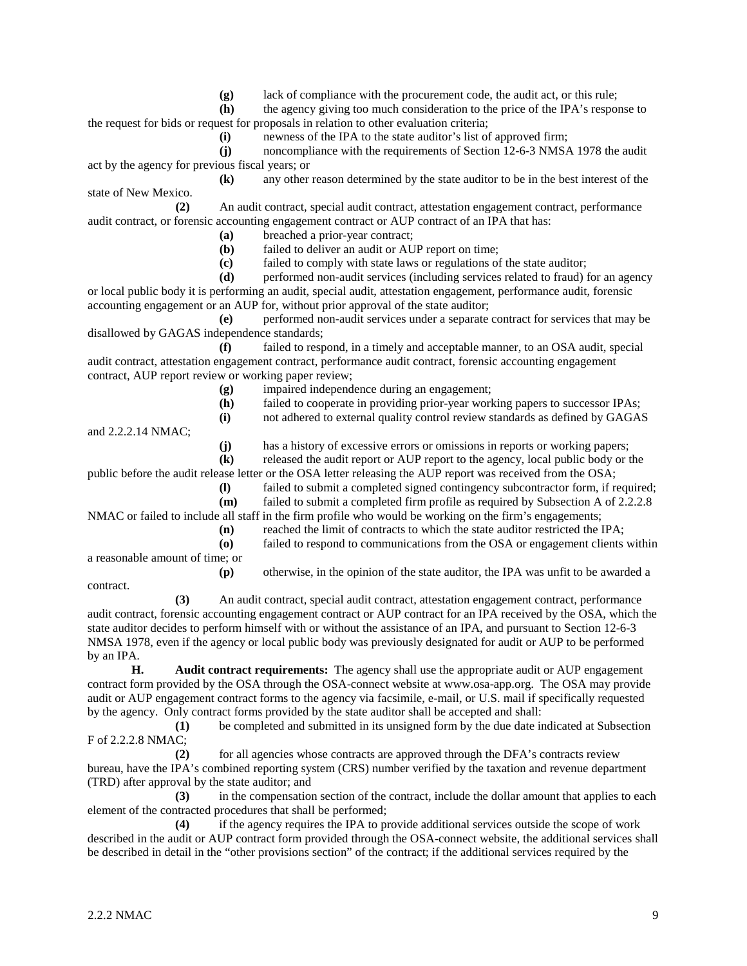**(g)** lack of compliance with the procurement code, the audit act, or this rule;

**(h)** the agency giving too much consideration to the price of the IPA's response to the request for bids or request for proposals in relation to other evaluation criteria;

**(i)** newness of the IPA to the state auditor's list of approved firm;

**(j)** noncompliance with the requirements of Section 12-6-3 NMSA 1978 the audit act by the agency for previous fiscal years; or

**(k)** any other reason determined by the state auditor to be in the best interest of the state of New Mexico.

**(2)** An audit contract, special audit contract, attestation engagement contract, performance audit contract, or forensic accounting engagement contract or AUP contract of an IPA that has:

**(a)** breached a prior-year contract;

**(b)** failed to deliver an audit or AUP report on time;

**(c)** failed to comply with state laws or regulations of the state auditor;

**(d)** performed non-audit services (including services related to fraud) for an agency

or local public body it is performing an audit, special audit, attestation engagement, performance audit, forensic accounting engagement or an AUP for, without prior approval of the state auditor;

**(e)** performed non-audit services under a separate contract for services that may be disallowed by GAGAS independence standards;

**(f)** failed to respond, in a timely and acceptable manner, to an OSA audit, special audit contract, attestation engagement contract, performance audit contract, forensic accounting engagement contract, AUP report review or working paper review;

**(g)** impaired independence during an engagement;

**(h)** failed to cooperate in providing prior-year working papers to successor IPAs;

**(i)** not adhered to external quality control review standards as defined by GAGAS

and 2.2.2.14 NMAC;

**(j)** has a history of excessive errors or omissions in reports or working papers;

**(k)** released the audit report or AUP report to the agency, local public body or the

public before the audit release letter or the OSA letter releasing the AUP report was received from the OSA;

**(l)** failed to submit a completed signed contingency subcontractor form, if required;

**(m)** failed to submit a completed firm profile as required by Subsection A of 2.2.2.8

NMAC or failed to include all staff in the firm profile who would be working on the firm's engagements;

**(n)** reached the limit of contracts to which the state auditor restricted the IPA;

**(o)** failed to respond to communications from the OSA or engagement clients within a reasonable amount of time; or

**(p)** otherwise, in the opinion of the state auditor, the IPA was unfit to be awarded a

contract.

**(3)** An audit contract, special audit contract, attestation engagement contract, performance audit contract, forensic accounting engagement contract or AUP contract for an IPA received by the OSA, which the state auditor decides to perform himself with or without the assistance of an IPA, and pursuant to Section 12-6-3 NMSA 1978, even if the agency or local public body was previously designated for audit or AUP to be performed by an IPA.

**H. Audit contract requirements:** The agency shall use the appropriate audit or AUP engagement contract form provided by the OSA through the OSA-connect website at www.osa-app.org. The OSA may provide audit or AUP engagement contract forms to the agency via facsimile, e-mail, or U.S. mail if specifically requested by the agency. Only contract forms provided by the state auditor shall be accepted and shall:

**(1)** be completed and submitted in its unsigned form by the due date indicated at Subsection F of 2.2.2.8 NMAC;

**(2)** for all agencies whose contracts are approved through the DFA's contracts review bureau, have the IPA's combined reporting system (CRS) number verified by the taxation and revenue department (TRD) after approval by the state auditor; and

**(3)** in the compensation section of the contract, include the dollar amount that applies to each element of the contracted procedures that shall be performed;

**(4)** if the agency requires the IPA to provide additional services outside the scope of work described in the audit or AUP contract form provided through the OSA-connect website, the additional services shall be described in detail in the "other provisions section" of the contract; if the additional services required by the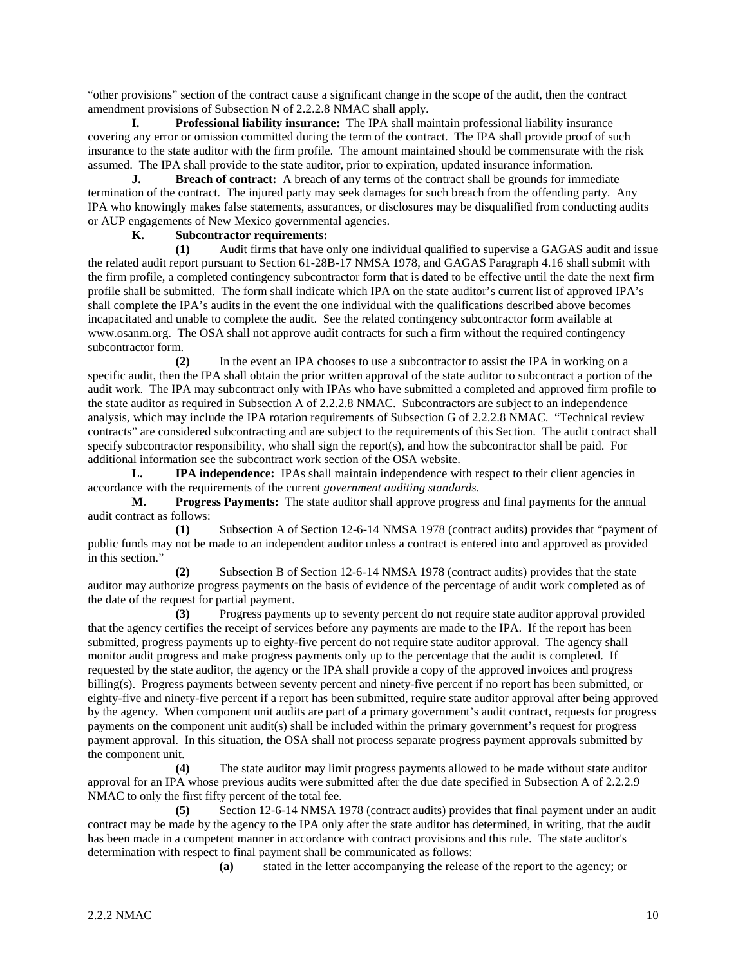"other provisions" section of the contract cause a significant change in the scope of the audit, then the contract amendment provisions of Subsection N of 2.2.2.8 NMAC shall apply.

**I. Professional liability insurance:** The IPA shall maintain professional liability insurance covering any error or omission committed during the term of the contract. The IPA shall provide proof of such insurance to the state auditor with the firm profile. The amount maintained should be commensurate with the risk assumed. The IPA shall provide to the state auditor, prior to expiration, updated insurance information.

**J. Breach of contract:** A breach of any terms of the contract shall be grounds for immediate termination of the contract. The injured party may seek damages for such breach from the offending party. Any IPA who knowingly makes false statements, assurances, or disclosures may be disqualified from conducting audits or AUP engagements of New Mexico governmental agencies.

## **K. Subcontractor requirements:**

**(1)** Audit firms that have only one individual qualified to supervise a GAGAS audit and issue the related audit report pursuant to Section 61-28B-17 NMSA 1978, and GAGAS Paragraph 4.16 shall submit with the firm profile, a completed contingency subcontractor form that is dated to be effective until the date the next firm profile shall be submitted. The form shall indicate which IPA on the state auditor's current list of approved IPA's shall complete the IPA's audits in the event the one individual with the qualifications described above becomes incapacitated and unable to complete the audit. See the related contingency subcontractor form available at [www.osanm.org.](http://www.osanm.org/) The OSA shall not approve audit contracts for such a firm without the required contingency subcontractor form.

**(2)** In the event an IPA chooses to use a subcontractor to assist the IPA in working on a specific audit, then the IPA shall obtain the prior written approval of the state auditor to subcontract a portion of the audit work. The IPA may subcontract only with IPAs who have submitted a completed and approved firm profile to the state auditor as required in Subsection A of 2.2.2.8 NMAC. Subcontractors are subject to an independence analysis, which may include the IPA rotation requirements of Subsection G of 2.2.2.8 NMAC. "Technical review contracts" are considered subcontracting and are subject to the requirements of this Section. The audit contract shall specify subcontractor responsibility, who shall sign the report(s), and how the subcontractor shall be paid. For additional information see the subcontract work section of the OSA website.

**L. IPA independence:** IPAs shall maintain independence with respect to their client agencies in accordance with the requirements of the current *government auditing standards*.

**M. Progress Payments:** The state auditor shall approve progress and final payments for the annual audit contract as follows:

**(1)** Subsection A of Section 12-6-14 NMSA 1978 (contract audits) provides that "payment of public funds may not be made to an independent auditor unless a contract is entered into and approved as provided in this section."

**(2)** Subsection B of Section 12-6-14 NMSA 1978 (contract audits) provides that the state auditor may authorize progress payments on the basis of evidence of the percentage of audit work completed as of the date of the request for partial payment.

**(3)** Progress payments up to seventy percent do not require state auditor approval provided that the agency certifies the receipt of services before any payments are made to the IPA. If the report has been submitted, progress payments up to eighty-five percent do not require state auditor approval. The agency shall monitor audit progress and make progress payments only up to the percentage that the audit is completed. If requested by the state auditor, the agency or the IPA shall provide a copy of the approved invoices and progress billing(s). Progress payments between seventy percent and ninety-five percent if no report has been submitted, or eighty-five and ninety-five percent if a report has been submitted, require state auditor approval after being approved by the agency. When component unit audits are part of a primary government's audit contract, requests for progress payments on the component unit audit(s) shall be included within the primary government's request for progress payment approval. In this situation, the OSA shall not process separate progress payment approvals submitted by the component unit.

**(4)** The state auditor may limit progress payments allowed to be made without state auditor approval for an IPA whose previous audits were submitted after the due date specified in Subsection A of 2.2.2.9 NMAC to only the first fifty percent of the total fee.

**(5)** Section 12-6-14 NMSA 1978 (contract audits) provides that final payment under an audit contract may be made by the agency to the IPA only after the state auditor has determined, in writing, that the audit has been made in a competent manner in accordance with contract provisions and this rule. The state auditor's determination with respect to final payment shall be communicated as follows:

**(a)** stated in the letter accompanying the release of the report to the agency; or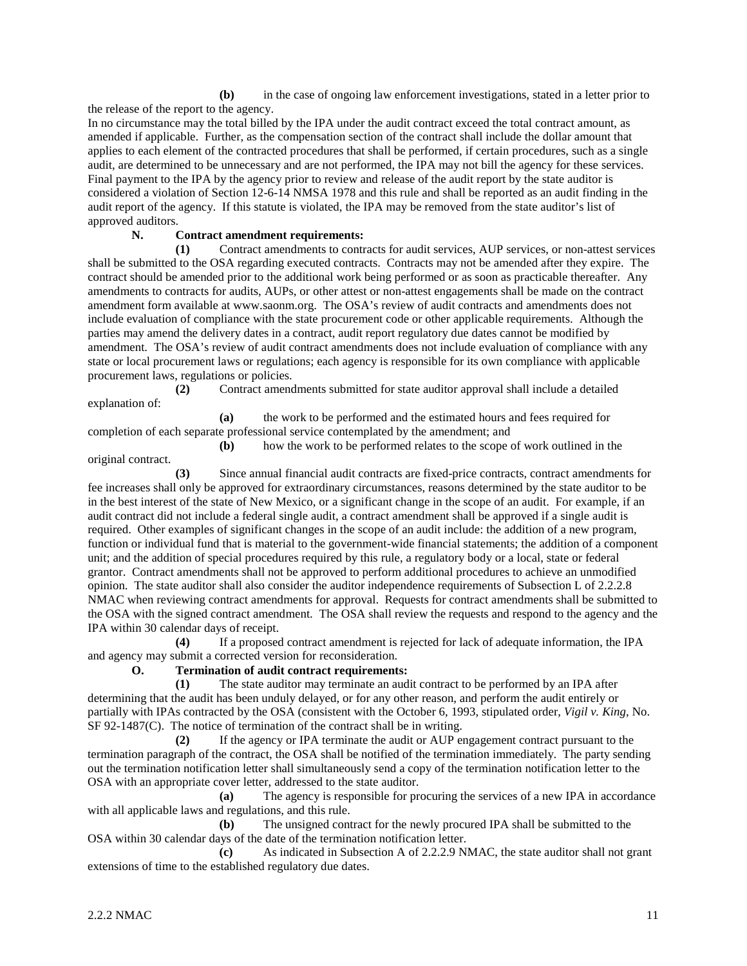**(b)** in the case of ongoing law enforcement investigations, stated in a letter prior to the release of the report to the agency.

In no circumstance may the total billed by the IPA under the audit contract exceed the total contract amount, as amended if applicable. Further, as the compensation section of the contract shall include the dollar amount that applies to each element of the contracted procedures that shall be performed, if certain procedures, such as a single audit, are determined to be unnecessary and are not performed, the IPA may not bill the agency for these services. Final payment to the IPA by the agency prior to review and release of the audit report by the state auditor is considered a violation of Section 12-6-14 NMSA 1978 and this rule and shall be reported as an audit finding in the audit report of the agency. If this statute is violated, the IPA may be removed from the state auditor's list of approved auditors.

### **N. Contract amendment requirements:**

**(1)** Contract amendments to contracts for audit services, AUP services, or non-attest services shall be submitted to the OSA regarding executed contracts. Contracts may not be amended after they expire. The contract should be amended prior to the additional work being performed or as soon as practicable thereafter. Any amendments to contracts for audits, AUPs, or other attest or non-attest engagements shall be made on the contract amendment form available at www.saonm.org. The OSA's review of audit contracts and amendments does not include evaluation of compliance with the state procurement code or other applicable requirements. Although the parties may amend the delivery dates in a contract, audit report regulatory due dates cannot be modified by amendment. The OSA's review of audit contract amendments does not include evaluation of compliance with any state or local procurement laws or regulations; each agency is responsible for its own compliance with applicable procurement laws, regulations or policies.

**(2)** Contract amendments submitted for state auditor approval shall include a detailed explanation of:

**(a)** the work to be performed and the estimated hours and fees required for completion of each separate professional service contemplated by the amendment; and

**(b)** how the work to be performed relates to the scope of work outlined in the original contract.

**(3)** Since annual financial audit contracts are fixed-price contracts, contract amendments for fee increases shall only be approved for extraordinary circumstances, reasons determined by the state auditor to be in the best interest of the state of New Mexico, or a significant change in the scope of an audit. For example, if an audit contract did not include a federal single audit, a contract amendment shall be approved if a single audit is required. Other examples of significant changes in the scope of an audit include: the addition of a new program, function or individual fund that is material to the government-wide financial statements; the addition of a component unit; and the addition of special procedures required by this rule, a regulatory body or a local, state or federal grantor. Contract amendments shall not be approved to perform additional procedures to achieve an unmodified opinion. The state auditor shall also consider the auditor independence requirements of Subsection L of 2.2.2.8 NMAC when reviewing contract amendments for approval. Requests for contract amendments shall be submitted to the OSA with the signed contract amendment. The OSA shall review the requests and respond to the agency and the IPA within 30 calendar days of receipt.

**(4)** If a proposed contract amendment is rejected for lack of adequate information, the IPA and agency may submit a corrected version for reconsideration.

#### **O. Termination of audit contract requirements:**

**(1)** The state auditor may terminate an audit contract to be performed by an IPA after determining that the audit has been unduly delayed, or for any other reason, and perform the audit entirely or partially with IPAs contracted by the OSA (consistent with the October 6, 1993, stipulated order, *Vigil v. King*, No. SF 92-1487(C). The notice of termination of the contract shall be in writing.

**(2)** If the agency or IPA terminate the audit or AUP engagement contract pursuant to the termination paragraph of the contract, the OSA shall be notified of the termination immediately. The party sending out the termination notification letter shall simultaneously send a copy of the termination notification letter to the OSA with an appropriate cover letter, addressed to the state auditor.

**(a)** The agency is responsible for procuring the services of a new IPA in accordance with all applicable laws and regulations, and this rule.

**(b)** The unsigned contract for the newly procured IPA shall be submitted to the OSA within 30 calendar days of the date of the termination notification letter.

**(c)** As indicated in Subsection A of 2.2.2.9 NMAC, the state auditor shall not grant extensions of time to the established regulatory due dates.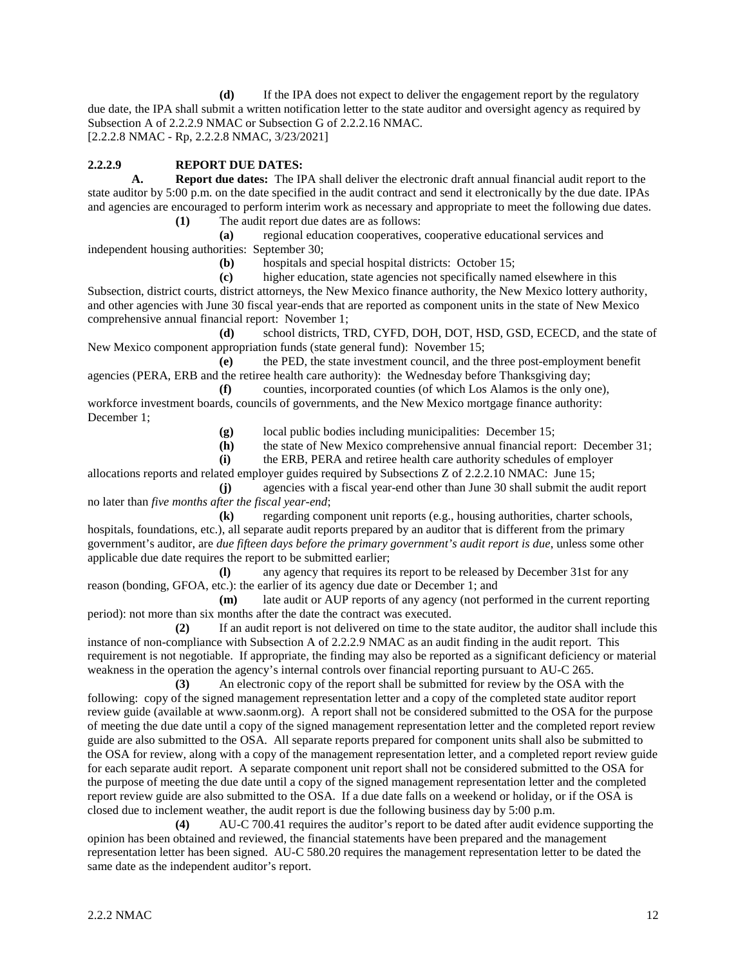**(d)** If the IPA does not expect to deliver the engagement report by the regulatory due date, the IPA shall submit a written notification letter to the state auditor and oversight agency as required by Subsection A of 2.2.2.9 NMAC or Subsection G of 2.2.2.16 NMAC. [2.2.2.8 NMAC - Rp, 2.2.2.8 NMAC, 3/23/2021]

# **2.2.2.9 REPORT DUE DATES:**

**A. Report due dates:** The IPA shall deliver the electronic draft annual financial audit report to the state auditor by 5:00 p.m. on the date specified in the audit contract and send it electronically by the due date. IPAs and agencies are encouraged to perform interim work as necessary and appropriate to meet the following due dates. **(1)** The audit report due dates are as follows:

**(a)** regional education cooperatives, cooperative educational services and

independent housing authorities: September 30;

**(b)** hospitals and special hospital districts: October 15;

**(c)** higher education, state agencies not specifically named elsewhere in this Subsection, district courts, district attorneys, the New Mexico finance authority, the New Mexico lottery authority, and other agencies with June 30 fiscal year-ends that are reported as component units in the state of New Mexico comprehensive annual financial report: November 1;

**(d)** school districts, TRD, CYFD, DOH, DOT, HSD, GSD, ECECD, and the state of New Mexico component appropriation funds (state general fund): November 15;

**(e)** the PED, the state investment council, and the three post-employment benefit agencies (PERA, ERB and the retiree health care authority): the Wednesday before Thanksgiving day;

**(f)** counties, incorporated counties (of which Los Alamos is the only one), workforce investment boards, councils of governments, and the New Mexico mortgage finance authority: December 1;

**(g)** local public bodies including municipalities: December 15;

**(h)** the state of New Mexico comprehensive annual financial report: December 31;

**(i)** the ERB, PERA and retiree health care authority schedules of employer

allocations reports and related employer guides required by Subsections Z of 2.2.2.10 NMAC: June 15; **(j)** agencies with a fiscal year-end other than June 30 shall submit the audit report

no later than *five months after the fiscal year-end*;

**(k)** regarding component unit reports (e.g., housing authorities, charter schools, hospitals, foundations, etc.), all separate audit reports prepared by an auditor that is different from the primary government's auditor, are *due fifteen days before the primary government's audit report is due*, unless some other applicable due date requires the report to be submitted earlier;

**(l)** any agency that requires its report to be released by December 31st for any reason (bonding, GFOA, etc.): the earlier of its agency due date or December 1; and

**(m)** late audit or AUP reports of any agency (not performed in the current reporting period): not more than six months after the date the contract was executed.

**(2)** If an audit report is not delivered on time to the state auditor, the auditor shall include this instance of non-compliance with Subsection A of 2.2.2.9 NMAC as an audit finding in the audit report. This requirement is not negotiable. If appropriate, the finding may also be reported as a significant deficiency or material weakness in the operation the agency's internal controls over financial reporting pursuant to AU-C 265.

**(3)** An electronic copy of the report shall be submitted for review by the OSA with the following: copy of the signed management representation letter and a copy of the completed state auditor report review guide (available at www.saonm.org). A report shall not be considered submitted to the OSA for the purpose of meeting the due date until a copy of the signed management representation letter and the completed report review guide are also submitted to the OSA. All separate reports prepared for component units shall also be submitted to the OSA for review, along with a copy of the management representation letter, and a completed report review guide for each separate audit report. A separate component unit report shall not be considered submitted to the OSA for the purpose of meeting the due date until a copy of the signed management representation letter and the completed report review guide are also submitted to the OSA. If a due date falls on a weekend or holiday, or if the OSA is closed due to inclement weather, the audit report is due the following business day by 5:00 p.m.

**(4)** AU-C 700.41 requires the auditor's report to be dated after audit evidence supporting the opinion has been obtained and reviewed, the financial statements have been prepared and the management representation letter has been signed. AU-C 580.20 requires the management representation letter to be dated the same date as the independent auditor's report.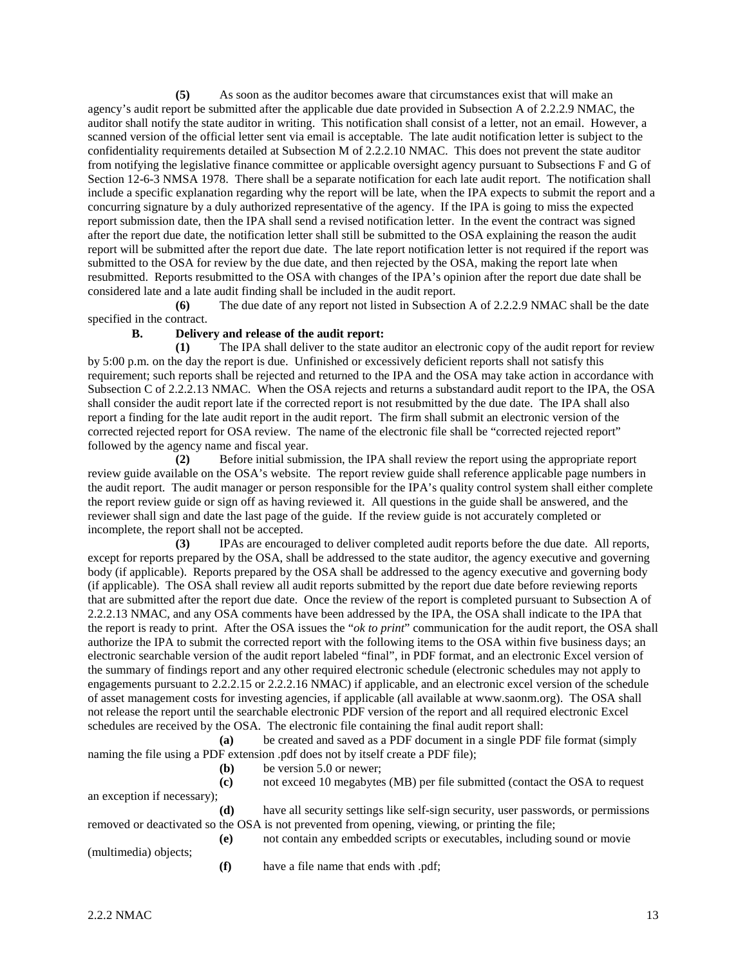**(5)** As soon as the auditor becomes aware that circumstances exist that will make an agency's audit report be submitted after the applicable due date provided in Subsection A of 2.2.2.9 NMAC, the auditor shall notify the state auditor in writing. This notification shall consist of a letter, not an email. However, a scanned version of the official letter sent via email is acceptable. The late audit notification letter is subject to the confidentiality requirements detailed at Subsection M of 2.2.2.10 NMAC. This does not prevent the state auditor from notifying the legislative finance committee or applicable oversight agency pursuant to Subsections F and G of Section 12-6-3 NMSA 1978. There shall be a separate notification for each late audit report. The notification shall include a specific explanation regarding why the report will be late, when the IPA expects to submit the report and a concurring signature by a duly authorized representative of the agency. If the IPA is going to miss the expected report submission date, then the IPA shall send a revised notification letter. In the event the contract was signed after the report due date, the notification letter shall still be submitted to the OSA explaining the reason the audit report will be submitted after the report due date. The late report notification letter is not required if the report was submitted to the OSA for review by the due date, and then rejected by the OSA, making the report late when resubmitted. Reports resubmitted to the OSA with changes of the IPA's opinion after the report due date shall be considered late and a late audit finding shall be included in the audit report.

**(6)** The due date of any report not listed in Subsection A of 2.2.2.9 NMAC shall be the date specified in the contract.

#### **B. Delivery and release of the audit report:**

**(1)** The IPA shall deliver to the state auditor an electronic copy of the audit report for review by 5:00 p.m. on the day the report is due. Unfinished or excessively deficient reports shall not satisfy this requirement; such reports shall be rejected and returned to the IPA and the OSA may take action in accordance with Subsection C of 2.2.2.13 NMAC. When the OSA rejects and returns a substandard audit report to the IPA, the OSA shall consider the audit report late if the corrected report is not resubmitted by the due date. The IPA shall also report a finding for the late audit report in the audit report. The firm shall submit an electronic version of the corrected rejected report for OSA review. The name of the electronic file shall be "corrected rejected report" followed by the agency name and fiscal year.

**(2)** Before initial submission, the IPA shall review the report using the appropriate report review guide available on the OSA's website. The report review guide shall reference applicable page numbers in the audit report. The audit manager or person responsible for the IPA's quality control system shall either complete the report review guide or sign off as having reviewed it. All questions in the guide shall be answered, and the reviewer shall sign and date the last page of the guide. If the review guide is not accurately completed or incomplete, the report shall not be accepted.

**(3)** IPAs are encouraged to deliver completed audit reports before the due date. All reports, except for reports prepared by the OSA, shall be addressed to the state auditor, the agency executive and governing body (if applicable). Reports prepared by the OSA shall be addressed to the agency executive and governing body (if applicable). The OSA shall review all audit reports submitted by the report due date before reviewing reports that are submitted after the report due date. Once the review of the report is completed pursuant to Subsection A of 2.2.2.13 NMAC, and any OSA comments have been addressed by the IPA, the OSA shall indicate to the IPA that the report is ready to print. After the OSA issues the "*ok to print*" communication for the audit report, the OSA shall authorize the IPA to submit the corrected report with the following items to the OSA within five business days; an electronic searchable version of the audit report labeled "final", in PDF format, and an electronic Excel version of the summary of findings report and any other required electronic schedule (electronic schedules may not apply to engagements pursuant to 2.2.2.15 or 2.2.2.16 NMAC) if applicable, and an electronic excel version of the schedule of asset management costs for investing agencies, if applicable (all available at www.saonm.org). The OSA shall not release the report until the searchable electronic PDF version of the report and all required electronic Excel schedules are received by the OSA. The electronic file containing the final audit report shall:

**(a)** be created and saved as a PDF document in a single PDF file format (simply naming the file using a PDF extension .pdf does not by itself create a PDF file);

- **(b)** be version 5.0 or newer;
- **(c)** not exceed 10 megabytes (MB) per file submitted (contact the OSA to request an exception if necessary);

**(d)** have all security settings like self-sign security, user passwords, or permissions removed or deactivated so the OSA is not prevented from opening, viewing, or printing the file;

- **(e)** not contain any embedded scripts or executables, including sound or movie
- (multimedia) objects;
- **(f)** have a file name that ends with .pdf;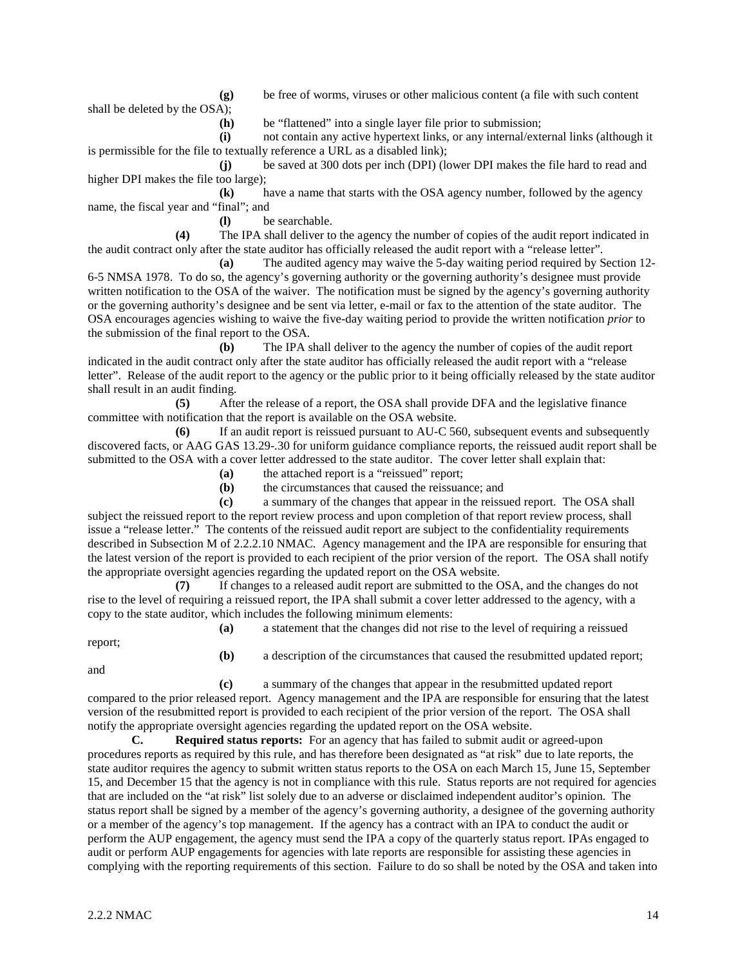**(g)** be free of worms, viruses or other malicious content (a file with such content

shall be deleted by the OSA);

**(h)** be "flattened" into a single layer file prior to submission;

**(i)** not contain any active hypertext links, or any internal/external links (although it is permissible for the file to textually reference a URL as a disabled link);

**(j)** be saved at 300 dots per inch (DPI) (lower DPI makes the file hard to read and higher DPI makes the file too large);

**(k)** have a name that starts with the OSA agency number, followed by the agency name, the fiscal year and "final"; and

**(l)** be searchable.

**(4)** The IPA shall deliver to the agency the number of copies of the audit report indicated in the audit contract only after the state auditor has officially released the audit report with a "release letter".

**(a)** The audited agency may waive the 5-day waiting period required by Section 12- 6-5 NMSA 1978. To do so, the agency's governing authority or the governing authority's designee must provide written notification to the OSA of the waiver. The notification must be signed by the agency's governing authority or the governing authority's designee and be sent via letter, e-mail or fax to the attention of the state auditor. The OSA encourages agencies wishing to waive the five-day waiting period to provide the written notification *prior* to the submission of the final report to the OSA.

**(b)** The IPA shall deliver to the agency the number of copies of the audit report indicated in the audit contract only after the state auditor has officially released the audit report with a "release letter". Release of the audit report to the agency or the public prior to it being officially released by the state auditor shall result in an audit finding.

**(5)** After the release of a report, the OSA shall provide DFA and the legislative finance committee with notification that the report is available on the OSA website.

**(6)** If an audit report is reissued pursuant to AU-C 560, subsequent events and subsequently discovered facts, or AAG GAS 13.29-.30 for uniform guidance compliance reports, the reissued audit report shall be submitted to the OSA with a cover letter addressed to the state auditor. The cover letter shall explain that:

**(a)** the attached report is a "reissued" report;<br>**(b)** the circumstances that caused the reissuar

**(b)** the circumstances that caused the reissuance; and

**(c)** a summary of the changes that appear in the reissued report. The OSA shall subject the reissued report to the report review process and upon completion of that report review process, shall issue a "release letter." The contents of the reissued audit report are subject to the confidentiality requirements described in Subsection M of 2.2.2.10 NMAC. Agency management and the IPA are responsible for ensuring that the latest version of the report is provided to each recipient of the prior version of the report. The OSA shall notify the appropriate oversight agencies regarding the updated report on the OSA website.

**(7)** If changes to a released audit report are submitted to the OSA, and the changes do not rise to the level of requiring a reissued report, the IPA shall submit a cover letter addressed to the agency, with a copy to the state auditor, which includes the following minimum elements:

report;

and

**(a)** a statement that the changes did not rise to the level of requiring a reissued

**(b)** a description of the circumstances that caused the resubmitted updated report;

**(c)** a summary of the changes that appear in the resubmitted updated report compared to the prior released report. Agency management and the IPA are responsible for ensuring that the latest version of the resubmitted report is provided to each recipient of the prior version of the report. The OSA shall notify the appropriate oversight agencies regarding the updated report on the OSA website.

**C. Required status reports:** For an agency that has failed to submit audit or agreed-upon procedures reports as required by this rule, and has therefore been designated as "at risk" due to late reports, the state auditor requires the agency to submit written status reports to the OSA on each March 15, June 15, September 15, and December 15 that the agency is not in compliance with this rule. Status reports are not required for agencies that are included on the "at risk" list solely due to an adverse or disclaimed independent auditor's opinion. The status report shall be signed by a member of the agency's governing authority, a designee of the governing authority or a member of the agency's top management. If the agency has a contract with an IPA to conduct the audit or perform the AUP engagement, the agency must send the IPA a copy of the quarterly status report. IPAs engaged to audit or perform AUP engagements for agencies with late reports are responsible for assisting these agencies in complying with the reporting requirements of this section. Failure to do so shall be noted by the OSA and taken into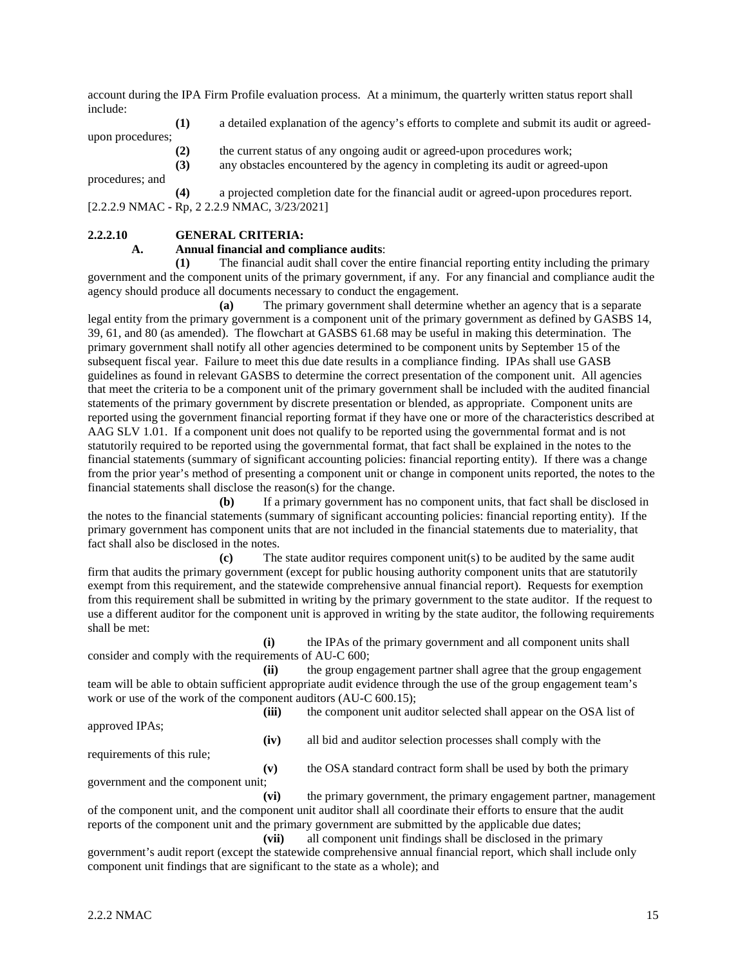account during the IPA Firm Profile evaluation process. At a minimum, the quarterly written status report shall include:

**(1)** a detailed explanation of the agency's efforts to complete and submit its audit or agreedupon procedures;

**(2)** the current status of any ongoing audit or agreed-upon procedures work;

**(3)** any obstacles encountered by the agency in completing its audit or agreed-upon

procedures; and

**(4)** a projected completion date for the financial audit or agreed-upon procedures report. [2.2.2.9 NMAC **-** Rp, 2 2.2.9 NMAC, 3/23/2021]

# **2.2.2.10 GENERAL CRITERIA:**

# **A. Annual financial and compliance audits**:

**(1)** The financial audit shall cover the entire financial reporting entity including the primary government and the component units of the primary government, if any. For any financial and compliance audit the agency should produce all documents necessary to conduct the engagement.

**(a)** The primary government shall determine whether an agency that is a separate legal entity from the primary government is a component unit of the primary government as defined by GASBS 14, 39, 61, and 80 (as amended). The flowchart at GASBS 61.68 may be useful in making this determination. The primary government shall notify all other agencies determined to be component units by September 15 of the subsequent fiscal year. Failure to meet this due date results in a compliance finding. IPAs shall use GASB guidelines as found in relevant GASBS to determine the correct presentation of the component unit. All agencies that meet the criteria to be a component unit of the primary government shall be included with the audited financial statements of the primary government by discrete presentation or blended, as appropriate. Component units are reported using the government financial reporting format if they have one or more of the characteristics described at AAG SLV 1.01. If a component unit does not qualify to be reported using the governmental format and is not statutorily required to be reported using the governmental format, that fact shall be explained in the notes to the financial statements (summary of significant accounting policies: financial reporting entity). If there was a change from the prior year's method of presenting a component unit or change in component units reported, the notes to the financial statements shall disclose the reason(s) for the change.

**(b)** If a primary government has no component units, that fact shall be disclosed in the notes to the financial statements (summary of significant accounting policies: financial reporting entity). If the primary government has component units that are not included in the financial statements due to materiality, that fact shall also be disclosed in the notes.

**(c)** The state auditor requires component unit(s) to be audited by the same audit firm that audits the primary government (except for public housing authority component units that are statutorily exempt from this requirement, and the statewide comprehensive annual financial report). Requests for exemption from this requirement shall be submitted in writing by the primary government to the state auditor. If the request to use a different auditor for the component unit is approved in writing by the state auditor, the following requirements shall be met:

**(i)** the IPAs of the primary government and all component units shall consider and comply with the requirements of AU-C 600;

**(ii)** the group engagement partner shall agree that the group engagement team will be able to obtain sufficient appropriate audit evidence through the use of the group engagement team's work or use of the work of the component auditors (AU-C 600.15);

**(iii)** the component unit auditor selected shall appear on the OSA list of approved IPAs; **(iv)** all bid and auditor selection processes shall comply with the requirements of this rule; **(v)** the OSA standard contract form shall be used by both the primary government and the component unit;

**(vi)** the primary government, the primary engagement partner, management of the component unit, and the component unit auditor shall all coordinate their efforts to ensure that the audit reports of the component unit and the primary government are submitted by the applicable due dates;

**(vii)** all component unit findings shall be disclosed in the primary government's audit report (except the statewide comprehensive annual financial report, which shall include only component unit findings that are significant to the state as a whole); and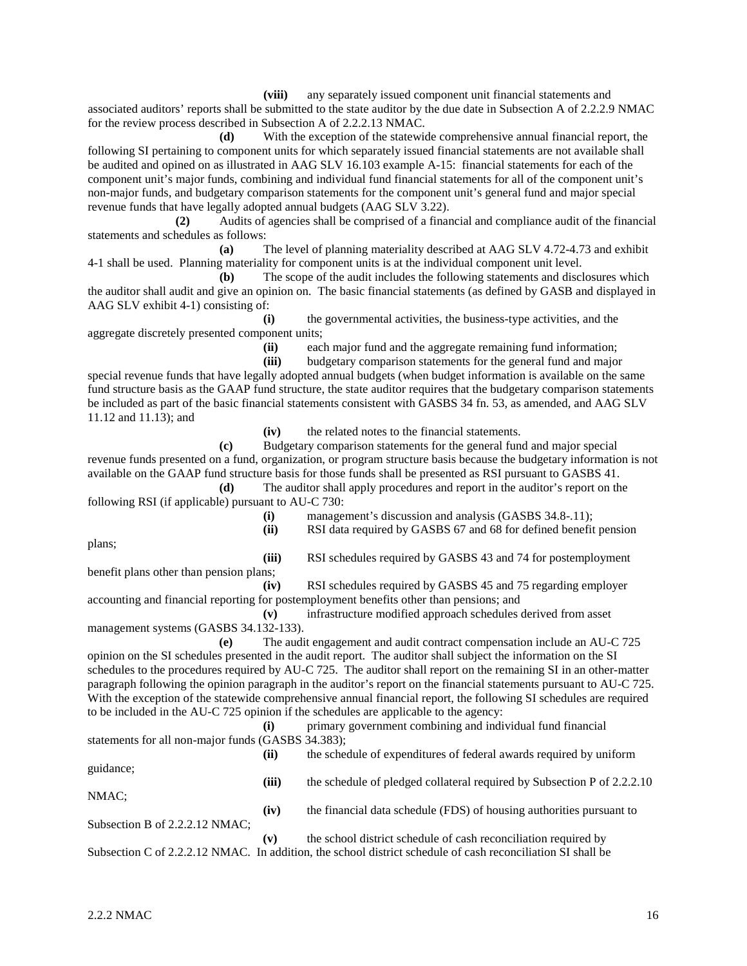**(viii)** any separately issued component unit financial statements and associated auditors' reports shall be submitted to the state auditor by the due date in Subsection A of 2.2.2.9 NMAC for the review process described in Subsection A of 2.2.2.13 NMAC.

**(d)** With the exception of the statewide comprehensive annual financial report, the following SI pertaining to component units for which separately issued financial statements are not available shall be audited and opined on as illustrated in AAG SLV 16.103 example A-15: financial statements for each of the component unit's major funds, combining and individual fund financial statements for all of the component unit's non-major funds, and budgetary comparison statements for the component unit's general fund and major special revenue funds that have legally adopted annual budgets (AAG SLV 3.22).

**(2)** Audits of agencies shall be comprised of a financial and compliance audit of the financial statements and schedules as follows:

**(a)** The level of planning materiality described at AAG SLV 4.72-4.73 and exhibit 4-1 shall be used. Planning materiality for component units is at the individual component unit level.

**(b)** The scope of the audit includes the following statements and disclosures which the auditor shall audit and give an opinion on. The basic financial statements (as defined by GASB and displayed in AAG SLV exhibit 4-1) consisting of:

**(i)** the governmental activities, the business-type activities, and the aggregate discretely presented component units;

**(ii)** each major fund and the aggregate remaining fund information;<br>**(iii)** budgetary comparison statements for the general fund and maior

**(iii)** budgetary comparison statements for the general fund and major special revenue funds that have legally adopted annual budgets (when budget information is available on the same fund structure basis as the GAAP fund structure, the state auditor requires that the budgetary comparison statements be included as part of the basic financial statements consistent with GASBS 34 fn. 53, as amended, and AAG SLV 11.12 and 11.13); and

**(iv)** the related notes to the financial statements.

**(c)** Budgetary comparison statements for the general fund and major special revenue funds presented on a fund, organization, or program structure basis because the budgetary information is not available on the GAAP fund structure basis for those funds shall be presented as RSI pursuant to GASBS 41.

**(d)** The auditor shall apply procedures and report in the auditor's report on the following RSI (if applicable) pursuant to AU-C 730:

**(i)** management's discussion and analysis (GASBS 34.8-.11);

**(ii)** RSI data required by GASBS 67 and 68 for defined benefit pension

plans;

**(iii)** RSI schedules required by GASBS 43 and 74 for postemployment benefit plans other than pension plans;

**(iv)** RSI schedules required by GASBS 45 and 75 regarding employer accounting and financial reporting for postemployment benefits other than pensions; and

**(v)** infrastructure modified approach schedules derived from asset management systems (GASBS 34.132-133).

**(e)** The audit engagement and audit contract compensation include an AU-C 725 opinion on the SI schedules presented in the audit report. The auditor shall subject the information on the SI schedules to the procedures required by AU-C 725. The auditor shall report on the remaining SI in an other-matter paragraph following the opinion paragraph in the auditor's report on the financial statements pursuant to AU-C 725. With the exception of the statewide comprehensive annual financial report, the following SI schedules are required to be included in the AU-C 725 opinion if the schedules are applicable to the agency:

**(i)** primary government combining and individual fund financial statements for all non-major funds (GASBS 34.383); **(ii)** the schedule of expenditures of federal awards required by uniform

**(iii)** the schedule of pledged collateral required by Subsection P of 2.2.2.10

NMAC;

guidance;

**(iv)** the financial data schedule (FDS) of housing authorities pursuant to Subsection B of 2.2.2.12 NMAC;

**(v)** the school district schedule of cash reconciliation required by Subsection C of 2.2.2.12 NMAC. In addition, the school district schedule of cash reconciliation SI shall be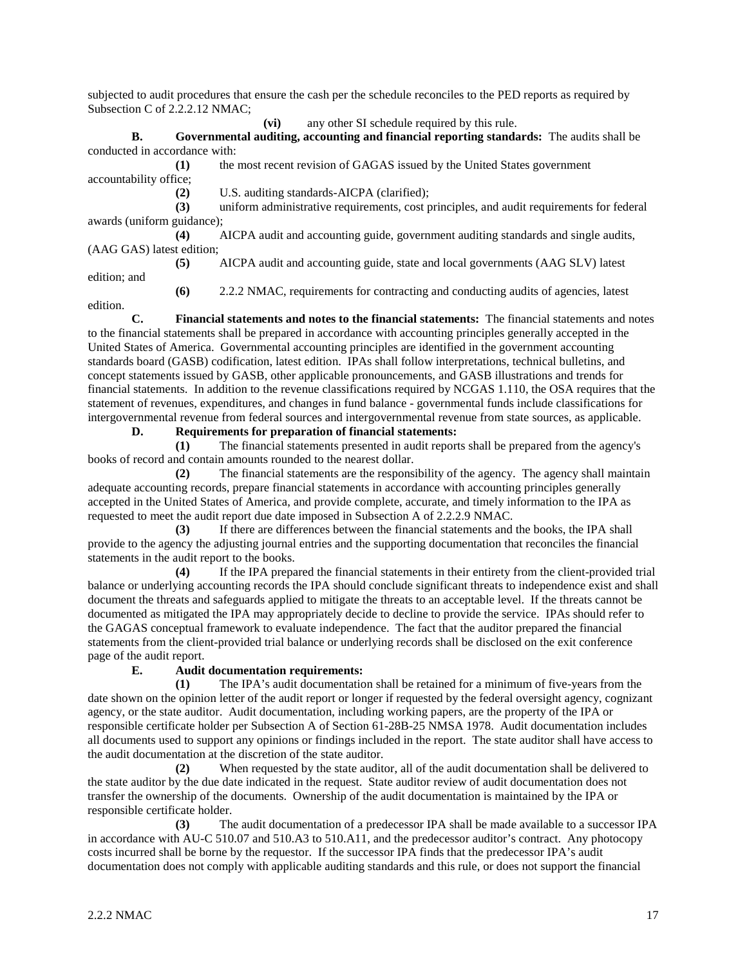subjected to audit procedures that ensure the cash per the schedule reconciles to the PED reports as required by Subsection C of 2.2.2.12 NMAC;

**(vi)** any other SI schedule required by this rule.

**B. Governmental auditing, accounting and financial reporting standards:** The audits shall be conducted in accordance with:

**(1)** the most recent revision of GAGAS issued by the United States government accountability office;

**(2)** U.S. auditing standards-AICPA (clarified);

**(3)** uniform administrative requirements, cost principles, and audit requirements for federal awards (uniform guidance);

**(4)** AICPA audit and accounting guide, government auditing standards and single audits, (AAG GAS) latest edition;

**(5)** AICPA audit and accounting guide, state and local governments (AAG SLV) latest edition; and

**(6)** 2.2.2 NMAC, requirements for contracting and conducting audits of agencies, latest

edition.

**C. Financial statements and notes to the financial statements:** The financial statements and notes to the financial statements shall be prepared in accordance with accounting principles generally accepted in the United States of America. Governmental accounting principles are identified in the government accounting standards board (GASB) codification, latest edition. IPAs shall follow interpretations, technical bulletins, and concept statements issued by GASB, other applicable pronouncements, and GASB illustrations and trends for financial statements. In addition to the revenue classifications required by NCGAS 1.110, the OSA requires that the statement of revenues, expenditures, and changes in fund balance - governmental funds include classifications for intergovernmental revenue from federal sources and intergovernmental revenue from state sources, as applicable.

**D. Requirements for preparation of financial statements:**

**(1)** The financial statements presented in audit reports shall be prepared from the agency's books of record and contain amounts rounded to the nearest dollar.

**(2)** The financial statements are the responsibility of the agency. The agency shall maintain adequate accounting records, prepare financial statements in accordance with accounting principles generally accepted in the United States of America, and provide complete, accurate, and timely information to the IPA as requested to meet the audit report due date imposed in Subsection A of 2.2.2.9 NMAC.

**(3)** If there are differences between the financial statements and the books, the IPA shall provide to the agency the adjusting journal entries and the supporting documentation that reconciles the financial statements in the audit report to the books.

**(4)** If the IPA prepared the financial statements in their entirety from the client-provided trial balance or underlying accounting records the IPA should conclude significant threats to independence exist and shall document the threats and safeguards applied to mitigate the threats to an acceptable level. If the threats cannot be documented as mitigated the IPA may appropriately decide to decline to provide the service. IPAs should refer to the GAGAS conceptual framework to evaluate independence. The fact that the auditor prepared the financial statements from the client-provided trial balance or underlying records shall be disclosed on the exit conference page of the audit report.

# **E. Audit documentation requirements:**

**(1)** The IPA's audit documentation shall be retained for a minimum of five-years from the date shown on the opinion letter of the audit report or longer if requested by the federal oversight agency, cognizant agency, or the state auditor. Audit documentation, including working papers, are the property of the IPA or responsible certificate holder per Subsection A of Section 61-28B-25 NMSA 1978. Audit documentation includes all documents used to support any opinions or findings included in the report. The state auditor shall have access to the audit documentation at the discretion of the state auditor.

**(2)** When requested by the state auditor, all of the audit documentation shall be delivered to the state auditor by the due date indicated in the request. State auditor review of audit documentation does not transfer the ownership of the documents. Ownership of the audit documentation is maintained by the IPA or responsible certificate holder.

**(3)** The audit documentation of a predecessor IPA shall be made available to a successor IPA in accordance with AU-C 510.07 and 510.A3 to 510.A11, and the predecessor auditor's contract. Any photocopy costs incurred shall be borne by the requestor. If the successor IPA finds that the predecessor IPA's audit documentation does not comply with applicable auditing standards and this rule, or does not support the financial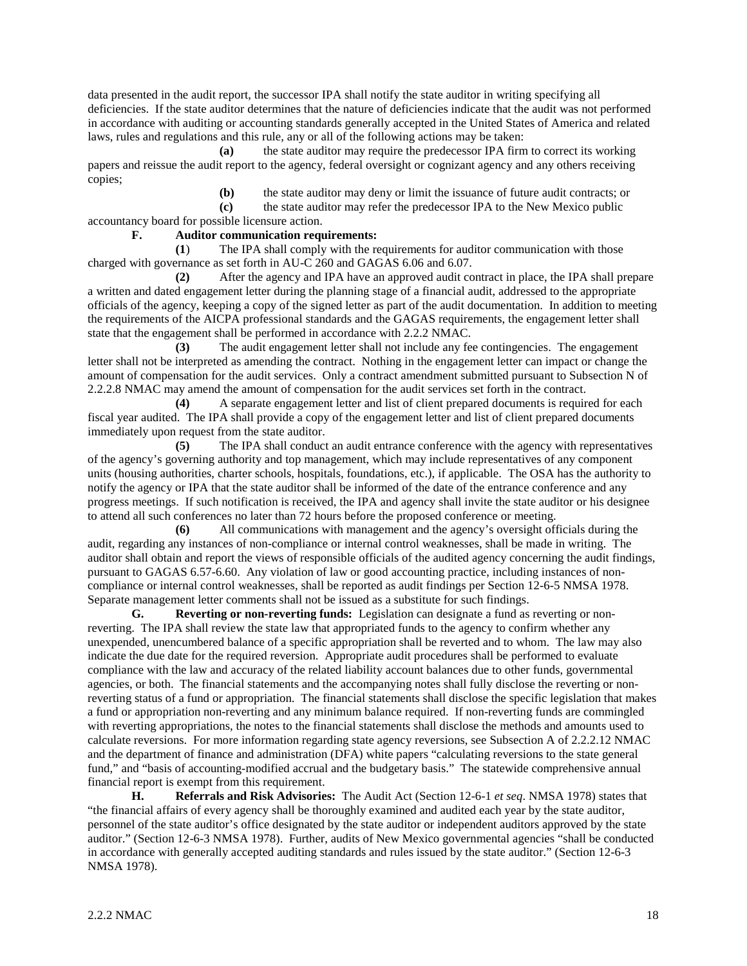data presented in the audit report, the successor IPA shall notify the state auditor in writing specifying all deficiencies. If the state auditor determines that the nature of deficiencies indicate that the audit was not performed in accordance with auditing or accounting standards generally accepted in the United States of America and related laws, rules and regulations and this rule, any or all of the following actions may be taken:

**(a)** the state auditor may require the predecessor IPA firm to correct its working papers and reissue the audit report to the agency, federal oversight or cognizant agency and any others receiving copies;

**(b)** the state auditor may deny or limit the issuance of future audit contracts; or

**(c)** the state auditor may refer the predecessor IPA to the New Mexico public accountancy board for possible licensure action.

**F. Auditor communication requirements:**

**(1**) The IPA shall comply with the requirements for auditor communication with those charged with governance as set forth in AU-C 260 and GAGAS 6.06 and 6.07.

**(2)** After the agency and IPA have an approved audit contract in place, the IPA shall prepare a written and dated engagement letter during the planning stage of a financial audit, addressed to the appropriate officials of the agency, keeping a copy of the signed letter as part of the audit documentation. In addition to meeting the requirements of the AICPA professional standards and the GAGAS requirements, the engagement letter shall state that the engagement shall be performed in accordance with 2.2.2 NMAC.

**(3)** The audit engagement letter shall not include any fee contingencies. The engagement letter shall not be interpreted as amending the contract. Nothing in the engagement letter can impact or change the amount of compensation for the audit services. Only a contract amendment submitted pursuant to Subsection N of 2.2.2.8 NMAC may amend the amount of compensation for the audit services set forth in the contract.

**(4)** A separate engagement letter and list of client prepared documents is required for each fiscal year audited. The IPA shall provide a copy of the engagement letter and list of client prepared documents immediately upon request from the state auditor.

**(5)** The IPA shall conduct an audit entrance conference with the agency with representatives of the agency's governing authority and top management, which may include representatives of any component units (housing authorities, charter schools, hospitals, foundations, etc.), if applicable. The OSA has the authority to notify the agency or IPA that the state auditor shall be informed of the date of the entrance conference and any progress meetings. If such notification is received, the IPA and agency shall invite the state auditor or his designee to attend all such conferences no later than 72 hours before the proposed conference or meeting.

**(6)** All communications with management and the agency's oversight officials during the audit, regarding any instances of non-compliance or internal control weaknesses, shall be made in writing. The auditor shall obtain and report the views of responsible officials of the audited agency concerning the audit findings, pursuant to GAGAS 6.57-6.60. Any violation of law or good accounting practice, including instances of noncompliance or internal control weaknesses, shall be reported as audit findings per Section 12-6-5 NMSA 1978. Separate management letter comments shall not be issued as a substitute for such findings.

**G. Reverting or non-reverting funds:** Legislation can designate a fund as reverting or nonreverting. The IPA shall review the state law that appropriated funds to the agency to confirm whether any unexpended, unencumbered balance of a specific appropriation shall be reverted and to whom. The law may also indicate the due date for the required reversion. Appropriate audit procedures shall be performed to evaluate compliance with the law and accuracy of the related liability account balances due to other funds, governmental agencies, or both. The financial statements and the accompanying notes shall fully disclose the reverting or nonreverting status of a fund or appropriation. The financial statements shall disclose the specific legislation that makes a fund or appropriation non-reverting and any minimum balance required. If non-reverting funds are commingled with reverting appropriations, the notes to the financial statements shall disclose the methods and amounts used to calculate reversions. For more information regarding state agency reversions, see Subsection A of 2.2.2.12 NMAC and the department of finance and administration (DFA) white papers "calculating reversions to the state general fund," and "basis of accounting-modified accrual and the budgetary basis." The statewide comprehensive annual financial report is exempt from this requirement.

**H. Referrals and Risk Advisories:** The Audit Act (Section 12-6-1 *et seq*. NMSA 1978) states that "the financial affairs of every agency shall be thoroughly examined and audited each year by the state auditor, personnel of the state auditor's office designated by the state auditor or independent auditors approved by the state auditor." (Section 12-6-3 NMSA 1978). Further, audits of New Mexico governmental agencies "shall be conducted in accordance with generally accepted auditing standards and rules issued by the state auditor." (Section 12-6-3 NMSA 1978).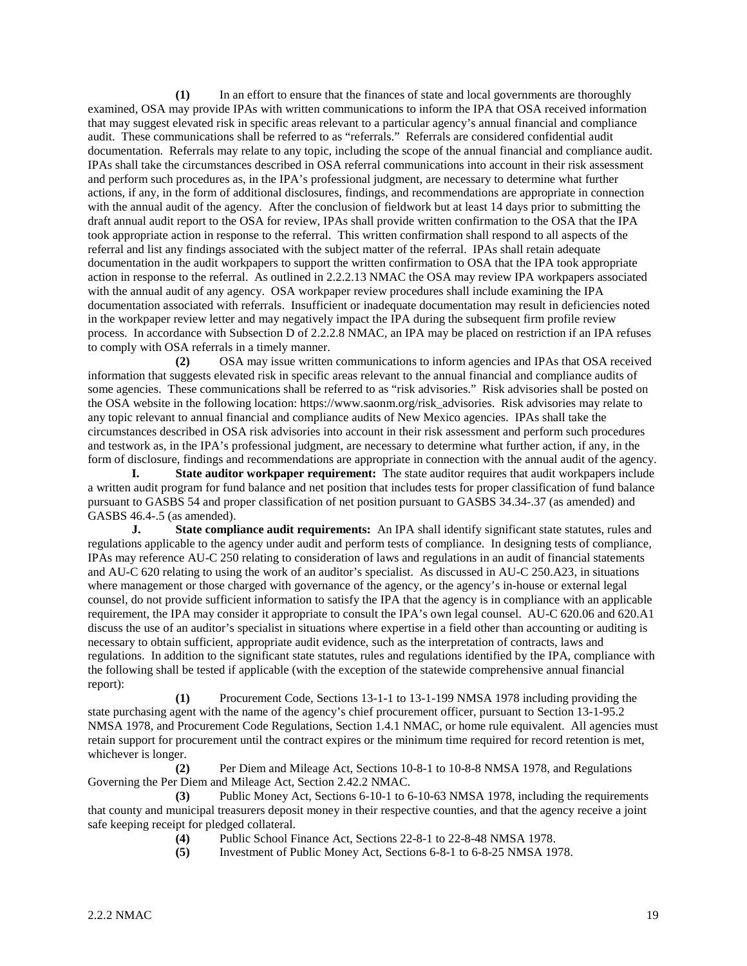**(1)** In an effort to ensure that the finances of state and local governments are thoroughly examined, OSA may provide IPAs with written communications to inform the IPA that OSA received information that may suggest elevated risk in specific areas relevant to a particular agency's annual financial and compliance audit. These communications shall be referred to as "referrals." Referrals are considered confidential audit documentation. Referrals may relate to any topic, including the scope of the annual financial and compliance audit. IPAs shall take the circumstances described in OSA referral communications into account in their risk assessment and perform such procedures as, in the IPA's professional judgment, are necessary to determine what further actions, if any, in the form of additional disclosures, findings, and recommendations are appropriate in connection with the annual audit of the agency. After the conclusion of fieldwork but at least 14 days prior to submitting the draft annual audit report to the OSA for review, IPAs shall provide written confirmation to the OSA that the IPA took appropriate action in response to the referral. This written confirmation shall respond to all aspects of the referral and list any findings associated with the subject matter of the referral. IPAs shall retain adequate documentation in the audit workpapers to support the written confirmation to OSA that the IPA took appropriate action in response to the referral. As outlined in 2.2.2.13 NMAC the OSA may review IPA workpapers associated with the annual audit of any agency. OSA workpaper review procedures shall include examining the IPA documentation associated with referrals. Insufficient or inadequate documentation may result in deficiencies noted in the workpaper review letter and may negatively impact the IPA during the subsequent firm profile review process. In accordance with Subsection D of 2.2.2.8 NMAC, an IPA may be placed on restriction if an IPA refuses to comply with OSA referrals in a timely manner.

**(2)** OSA may issue written communications to inform agencies and IPAs that OSA received information that suggests elevated risk in specific areas relevant to the annual financial and compliance audits of some agencies. These communications shall be referred to as "risk advisories." Risk advisories shall be posted on the OSA website in the following location: https://www.saonm.org/risk\_advisories. Risk advisories may relate to any topic relevant to annual financial and compliance audits of New Mexico agencies. IPAs shall take the circumstances described in OSA risk advisories into account in their risk assessment and perform such procedures and testwork as, in the IPA's professional judgment, are necessary to determine what further action, if any, in the form of disclosure, findings and recommendations are appropriate in connection with the annual audit of the agency.

**I. State auditor workpaper requirement:** The state auditor requires that audit workpapers include a written audit program for fund balance and net position that includes tests for proper classification of fund balance pursuant to GASBS 54 and proper classification of net position pursuant to GASBS 34.34-.37 (as amended) and GASBS 46.4-.5 (as amended).

**J. State compliance audit requirements:** An IPA shall identify significant state statutes, rules and regulations applicable to the agency under audit and perform tests of compliance. In designing tests of compliance, IPAs may reference AU-C 250 relating to consideration of laws and regulations in an audit of financial statements and AU-C 620 relating to using the work of an auditor's specialist. As discussed in AU-C 250.A23, in situations where management or those charged with governance of the agency, or the agency's in-house or external legal counsel, do not provide sufficient information to satisfy the IPA that the agency is in compliance with an applicable requirement, the IPA may consider it appropriate to consult the IPA's own legal counsel. AU-C 620.06 and 620.A1 discuss the use of an auditor's specialist in situations where expertise in a field other than accounting or auditing is necessary to obtain sufficient, appropriate audit evidence, such as the interpretation of contracts, laws and regulations. In addition to the significant state statutes, rules and regulations identified by the IPA, compliance with the following shall be tested if applicable (with the exception of the statewide comprehensive annual financial report):

**(1)** Procurement Code, Sections 13-1-1 to 13-1-199 NMSA 1978 including providing the state purchasing agent with the name of the agency's chief procurement officer, pursuant to Section 13-1-95.2 NMSA 1978, and Procurement Code Regulations, Section 1.4.1 NMAC, or home rule equivalent. All agencies must retain support for procurement until the contract expires or the minimum time required for record retention is met, whichever is longer.

**(2)** Per Diem and Mileage Act, Sections 10-8-1 to 10-8-8 NMSA 1978, and Regulations Governing the Per Diem and Mileage Act, Section 2.42.2 NMAC.

**(3)** Public Money Act, Sections 6-10-1 to 6-10-63 NMSA 1978, including the requirements that county and municipal treasurers deposit money in their respective counties, and that the agency receive a joint safe keeping receipt for pledged collateral.

(4) Public School Finance Act, Sections 22-8-1 to 22-8-48 NMSA 1978.<br>
Investment of Public Money Act, Sections 6-8-1 to 6-8-25 NMSA 19

**(5)** Investment of Public Money Act, Sections 6-8-1 to 6-8-25 NMSA 1978.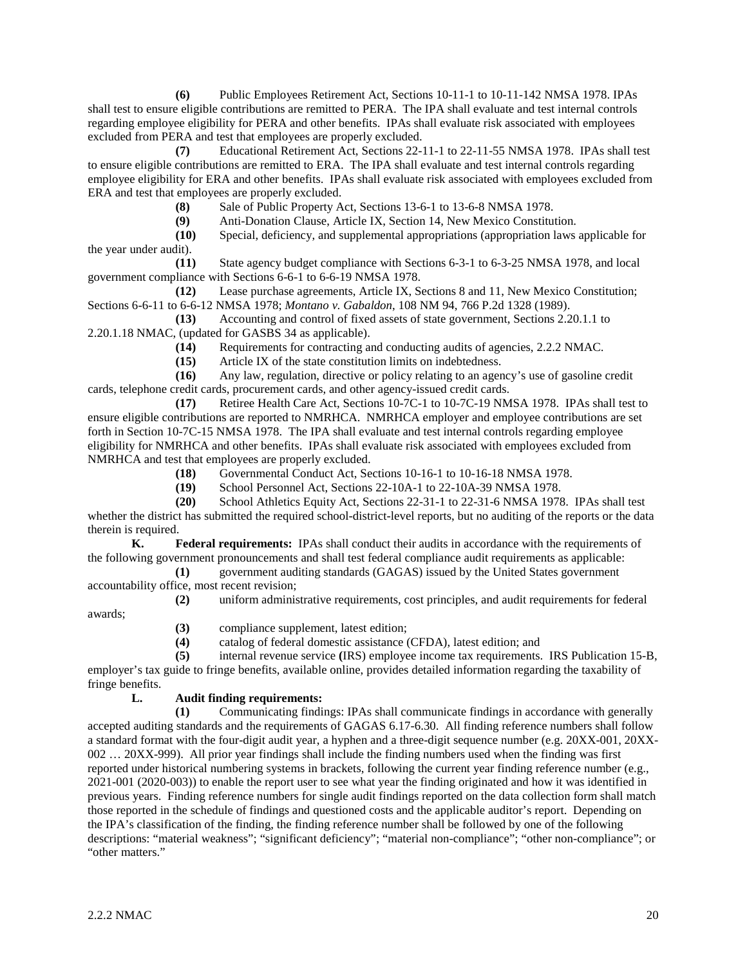**(6)** Public Employees Retirement Act, Sections 10-11-1 to 10-11-142 NMSA 1978. IPAs shall test to ensure eligible contributions are remitted to PERA. The IPA shall evaluate and test internal controls regarding employee eligibility for PERA and other benefits. IPAs shall evaluate risk associated with employees excluded from PERA and test that employees are properly excluded.

**(7)** Educational Retirement Act, Sections 22-11-1 to 22-11-55 NMSA 1978. IPAs shall test to ensure eligible contributions are remitted to ERA. The IPA shall evaluate and test internal controls regarding employee eligibility for ERA and other benefits. IPAs shall evaluate risk associated with employees excluded from ERA and test that employees are properly excluded.

**(8)** Sale of Public Property Act, Sections 13-6-1 to 13-6-8 NMSA 1978.

**(9)** Anti-Donation Clause, Article IX, Section 14, New Mexico Constitution.

Special, deficiency, and supplemental appropriations (appropriation laws applicable for the year under audit).

**(11)** State agency budget compliance with Sections 6-3-1 to 6-3-25 NMSA 1978, and local government compliance with Sections 6-6-1 to 6-6-19 NMSA 1978.

**(12)** Lease purchase agreements, Article IX, Sections 8 and 11, New Mexico Constitution; Sections 6-6-11 to 6-6-12 NMSA 1978; *Montano v. Gabaldon*, 108 NM 94, 766 P.2d 1328 (1989).

**(13)** Accounting and control of fixed assets of state government, Sections 2.20.1.1 to 2.20.1.18 NMAC, (updated for GASBS 34 as applicable).

**(14)** Requirements for contracting and conducting audits of agencies, 2.2.2 NMAC.<br>**(15)** Article IX of the state constitution limits on indebtedness.

**(15)** Article IX of the state constitution limits on indebtedness.

**(16)** Any law, regulation, directive or policy relating to an agency's use of gasoline credit cards, telephone credit cards, procurement cards, and other agency-issued credit cards.

**(17)** Retiree Health Care Act, Sections 10-7C-1 to 10-7C-19 NMSA 1978. IPAs shall test to ensure eligible contributions are reported to NMRHCA. NMRHCA employer and employee contributions are set forth in Section 10-7C-15 NMSA 1978. The IPA shall evaluate and test internal controls regarding employee eligibility for NMRHCA and other benefits. IPAs shall evaluate risk associated with employees excluded from NMRHCA and test that employees are properly excluded.

**(18)** Governmental Conduct Act, Sections 10-16-1 to 10-16-18 NMSA 1978.

**(19)** School Personnel Act, Sections 22-10A-1 to 22-10A-39 NMSA 1978.

**(20)** School Athletics Equity Act, Sections 22-31-1 to 22-31-6 NMSA 1978. IPAs shall test whether the district has submitted the required school-district-level reports, but no auditing of the reports or the data therein is required.

**K. Federal requirements:** IPAs shall conduct their audits in accordance with the requirements of the following government pronouncements and shall test federal compliance audit requirements as applicable:

**(1)** government auditing standards (GAGAS) issued by the United States government accountability office, most recent revision;

**(2)** uniform administrative requirements, cost principles, and audit requirements for federal awards;

**(3)** compliance supplement, latest edition;

**(4)** catalog of federal domestic assistance (CFDA), latest edition; and

**(5)** internal revenue service **(**IRS) employee income tax requirements. IRS Publication 15-B, employer's tax guide to fringe benefits, available online, provides detailed information regarding the taxability of fringe benefits.

# **L. Audit finding requirements:**

**(1)** Communicating findings: IPAs shall communicate findings in accordance with generally accepted auditing standards and the requirements of GAGAS 6.17-6.30. All finding reference numbers shall follow a standard format with the four-digit audit year, a hyphen and a three-digit sequence number (e.g. 20XX-001, 20XX-002 … 20XX-999). All prior year findings shall include the finding numbers used when the finding was first reported under historical numbering systems in brackets, following the current year finding reference number (e.g., 2021-001 (2020-003)) to enable the report user to see what year the finding originated and how it was identified in previous years. Finding reference numbers for single audit findings reported on the data collection form shall match those reported in the schedule of findings and questioned costs and the applicable auditor's report. Depending on the IPA's classification of the finding, the finding reference number shall be followed by one of the following descriptions: "material weakness"; "significant deficiency"; "material non-compliance"; "other non-compliance"; or "other matters."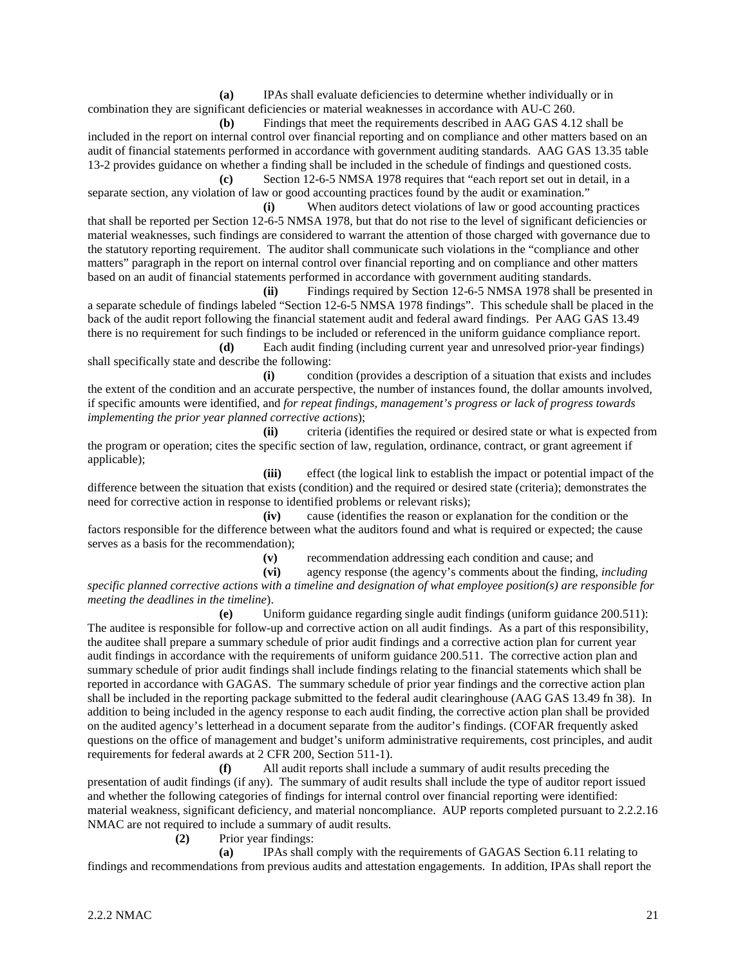**(a)** IPAs shall evaluate deficiencies to determine whether individually or in combination they are significant deficiencies or material weaknesses in accordance with AU-C 260.

**(b)** Findings that meet the requirements described in AAG GAS 4.12 shall be included in the report on internal control over financial reporting and on compliance and other matters based on an audit of financial statements performed in accordance with government auditing standards. AAG GAS 13.35 table 13-2 provides guidance on whether a finding shall be included in the schedule of findings and questioned costs.

**(c)** Section 12-6-5 NMSA 1978 requires that "each report set out in detail, in a separate section, any violation of law or good accounting practices found by the audit or examination."

**(i)** When auditors detect violations of law or good accounting practices that shall be reported per Section 12-6-5 NMSA 1978, but that do not rise to the level of significant deficiencies or material weaknesses, such findings are considered to warrant the attention of those charged with governance due to the statutory reporting requirement. The auditor shall communicate such violations in the "compliance and other matters" paragraph in the report on internal control over financial reporting and on compliance and other matters based on an audit of financial statements performed in accordance with government auditing standards.

**(ii)** Findings required by Section 12-6-5 NMSA 1978 shall be presented in a separate schedule of findings labeled "Section 12-6-5 NMSA 1978 findings". This schedule shall be placed in the back of the audit report following the financial statement audit and federal award findings. Per AAG GAS 13.49 there is no requirement for such findings to be included or referenced in the uniform guidance compliance report.

**(d)** Each audit finding (including current year and unresolved prior-year findings) shall specifically state and describe the following:

**(i)** condition (provides a description of a situation that exists and includes the extent of the condition and an accurate perspective, the number of instances found, the dollar amounts involved, if specific amounts were identified, and *for repeat findings, management's progress or lack of progress towards implementing the prior year planned corrective actions*);

**(ii)** criteria (identifies the required or desired state or what is expected from the program or operation; cites the specific section of law, regulation, ordinance, contract, or grant agreement if applicable);

**(iii)** effect (the logical link to establish the impact or potential impact of the difference between the situation that exists (condition) and the required or desired state (criteria); demonstrates the need for corrective action in response to identified problems or relevant risks);

**(iv)** cause (identifies the reason or explanation for the condition or the factors responsible for the difference between what the auditors found and what is required or expected; the cause serves as a basis for the recommendation);

(v) recommendation addressing each condition and cause; and (vi) agency response (the agency's comments about the finding

**(vi)** agency response (the agency's comments about the finding, *including specific planned corrective actions with a timeline and designation of what employee position(s) are responsible for meeting the deadlines in the timeline*).

**(e)** Uniform guidance regarding single audit findings (uniform guidance 200.511): The auditee is responsible for follow-up and corrective action on all audit findings. As a part of this responsibility, the auditee shall prepare a summary schedule of prior audit findings and a corrective action plan for current year audit findings in accordance with the requirements of uniform guidance 200.511. The corrective action plan and summary schedule of prior audit findings shall include findings relating to the financial statements which shall be reported in accordance with GAGAS. The summary schedule of prior year findings and the corrective action plan shall be included in the reporting package submitted to the federal audit clearinghouse (AAG GAS 13.49 fn 38). In addition to being included in the agency response to each audit finding, the corrective action plan shall be provided on the audited agency's letterhead in a document separate from the auditor's findings. (COFAR frequently asked questions on the office of management and budget's uniform administrative requirements, cost principles, and audit requirements for federal awards at 2 CFR 200, Section 511-1).

**(f)** All audit reports shall include a summary of audit results preceding the presentation of audit findings (if any). The summary of audit results shall include the type of auditor report issued and whether the following categories of findings for internal control over financial reporting were identified: material weakness, significant deficiency, and material noncompliance. AUP reports completed pursuant to 2.2.2.16 NMAC are not required to include a summary of audit results.

**(2)** Prior year findings:

**(a)** IPAs shall comply with the requirements of GAGAS Section 6.11 relating to findings and recommendations from previous audits and attestation engagements. In addition, IPAs shall report the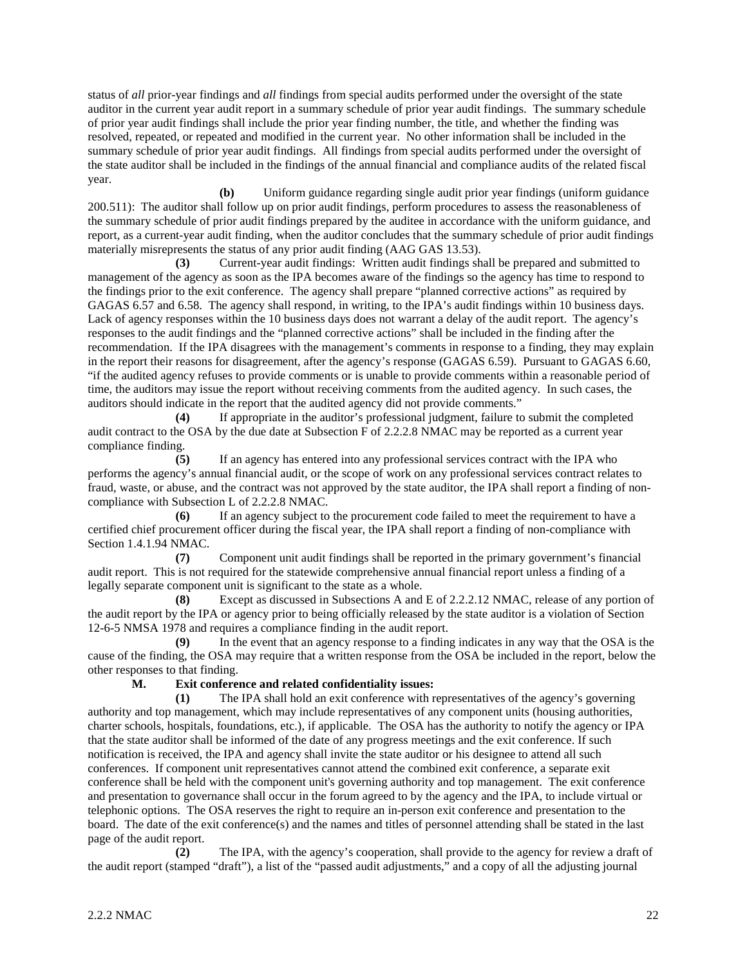status of *all* prior-year findings and *all* findings from special audits performed under the oversight of the state auditor in the current year audit report in a summary schedule of prior year audit findings. The summary schedule of prior year audit findings shall include the prior year finding number, the title, and whether the finding was resolved, repeated, or repeated and modified in the current year. No other information shall be included in the summary schedule of prior year audit findings. All findings from special audits performed under the oversight of the state auditor shall be included in the findings of the annual financial and compliance audits of the related fiscal year.

**(b)** Uniform guidance regarding single audit prior year findings (uniform guidance 200.511): The auditor shall follow up on prior audit findings, perform procedures to assess the reasonableness of the summary schedule of prior audit findings prepared by the auditee in accordance with the uniform guidance, and report, as a current-year audit finding, when the auditor concludes that the summary schedule of prior audit findings materially misrepresents the status of any prior audit finding (AAG GAS 13.53).

**(3)** Current-year audit findings: Written audit findings shall be prepared and submitted to management of the agency as soon as the IPA becomes aware of the findings so the agency has time to respond to the findings prior to the exit conference. The agency shall prepare "planned corrective actions" as required by GAGAS 6.57 and 6.58. The agency shall respond, in writing, to the IPA's audit findings within 10 business days. Lack of agency responses within the 10 business days does not warrant a delay of the audit report. The agency's responses to the audit findings and the "planned corrective actions" shall be included in the finding after the recommendation. If the IPA disagrees with the management's comments in response to a finding, they may explain in the report their reasons for disagreement, after the agency's response (GAGAS 6.59). Pursuant to GAGAS 6.60, "if the audited agency refuses to provide comments or is unable to provide comments within a reasonable period of time, the auditors may issue the report without receiving comments from the audited agency. In such cases, the auditors should indicate in the report that the audited agency did not provide comments."

**(4)** If appropriate in the auditor's professional judgment, failure to submit the completed audit contract to the OSA by the due date at Subsection F of 2.2.2.8 NMAC may be reported as a current year compliance finding.

**(5)** If an agency has entered into any professional services contract with the IPA who performs the agency's annual financial audit, or the scope of work on any professional services contract relates to fraud, waste, or abuse, and the contract was not approved by the state auditor, the IPA shall report a finding of noncompliance with Subsection L of 2.2.2.8 NMAC.

**(6)** If an agency subject to the procurement code failed to meet the requirement to have a certified chief procurement officer during the fiscal year, the IPA shall report a finding of non-compliance with Section 1.4.1.94 NMAC.

**(7)** Component unit audit findings shall be reported in the primary government's financial audit report. This is not required for the statewide comprehensive annual financial report unless a finding of a legally separate component unit is significant to the state as a whole.

**(8)** Except as discussed in Subsections A and E of 2.2.2.12 NMAC, release of any portion of the audit report by the IPA or agency prior to being officially released by the state auditor is a violation of Section 12-6-5 NMSA 1978 and requires a compliance finding in the audit report.

**(9)** In the event that an agency response to a finding indicates in any way that the OSA is the cause of the finding, the OSA may require that a written response from the OSA be included in the report, below the other responses to that finding.

# **M. Exit conference and related confidentiality issues:**

**(1)** The IPA shall hold an exit conference with representatives of the agency's governing authority and top management, which may include representatives of any component units (housing authorities, charter schools, hospitals, foundations, etc.), if applicable. The OSA has the authority to notify the agency or IPA that the state auditor shall be informed of the date of any progress meetings and the exit conference. If such notification is received, the IPA and agency shall invite the state auditor or his designee to attend all such conferences. If component unit representatives cannot attend the combined exit conference, a separate exit conference shall be held with the component unit's governing authority and top management. The exit conference and presentation to governance shall occur in the forum agreed to by the agency and the IPA, to include virtual or telephonic options. The OSA reserves the right to require an in-person exit conference and presentation to the board. The date of the exit conference(s) and the names and titles of personnel attending shall be stated in the last page of the audit report.

**(2)** The IPA, with the agency's cooperation, shall provide to the agency for review a draft of the audit report (stamped "draft"), a list of the "passed audit adjustments," and a copy of all the adjusting journal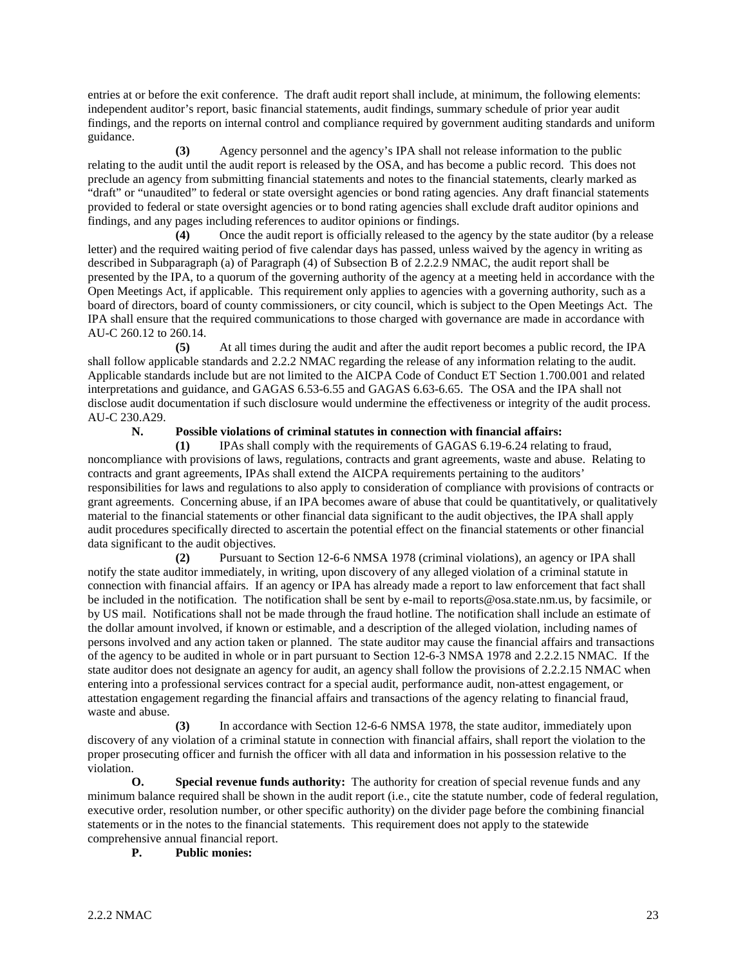entries at or before the exit conference. The draft audit report shall include, at minimum, the following elements: independent auditor's report, basic financial statements, audit findings, summary schedule of prior year audit findings, and the reports on internal control and compliance required by government auditing standards and uniform guidance.

**(3)** Agency personnel and the agency's IPA shall not release information to the public relating to the audit until the audit report is released by the OSA, and has become a public record. This does not preclude an agency from submitting financial statements and notes to the financial statements, clearly marked as "draft" or "unaudited" to federal or state oversight agencies or bond rating agencies. Any draft financial statements provided to federal or state oversight agencies or to bond rating agencies shall exclude draft auditor opinions and findings, and any pages including references to auditor opinions or findings.

**(4)** Once the audit report is officially released to the agency by the state auditor (by a release letter) and the required waiting period of five calendar days has passed, unless waived by the agency in writing as described in Subparagraph (a) of Paragraph (4) of Subsection B of 2.2.2.9 NMAC, the audit report shall be presented by the IPA, to a quorum of the governing authority of the agency at a meeting held in accordance with the Open Meetings Act, if applicable. This requirement only applies to agencies with a governing authority, such as a board of directors, board of county commissioners, or city council, which is subject to the Open Meetings Act. The IPA shall ensure that the required communications to those charged with governance are made in accordance with AU-C 260.12 to 260.14.

**(5)** At all times during the audit and after the audit report becomes a public record, the IPA shall follow applicable standards and 2.2.2 NMAC regarding the release of any information relating to the audit. Applicable standards include but are not limited to the AICPA Code of Conduct ET Section 1.700.001 and related interpretations and guidance, and GAGAS 6.53-6.55 and GAGAS 6.63-6.65. The OSA and the IPA shall not disclose audit documentation if such disclosure would undermine the effectiveness or integrity of the audit process. AU-C 230.A29.

# **N. Possible violations of criminal statutes in connection with financial affairs:**

**(1)** IPAs shall comply with the requirements of GAGAS 6.19-6.24 relating to fraud, noncompliance with provisions of laws, regulations, contracts and grant agreements, waste and abuse. Relating to contracts and grant agreements, IPAs shall extend the AICPA requirements pertaining to the auditors' responsibilities for laws and regulations to also apply to consideration of compliance with provisions of contracts or grant agreements. Concerning abuse, if an IPA becomes aware of abuse that could be quantitatively, or qualitatively material to the financial statements or other financial data significant to the audit objectives, the IPA shall apply audit procedures specifically directed to ascertain the potential effect on the financial statements or other financial data significant to the audit objectives.

**(2)** Pursuant to Section 12-6-6 NMSA 1978 (criminal violations), an agency or IPA shall notify the state auditor immediately, in writing, upon discovery of any alleged violation of a criminal statute in connection with financial affairs. If an agency or IPA has already made a report to law enforcement that fact shall be included in the notification. The notification shall be sent by e-mail to reports@osa.state.nm.us, by facsimile, or by US mail. Notifications shall not be made through the fraud hotline. The notification shall include an estimate of the dollar amount involved, if known or estimable, and a description of the alleged violation, including names of persons involved and any action taken or planned. The state auditor may cause the financial affairs and transactions of the agency to be audited in whole or in part pursuant to Section 12-6-3 NMSA 1978 and 2.2.2.15 NMAC. If the state auditor does not designate an agency for audit, an agency shall follow the provisions of 2.2.2.15 NMAC when entering into a professional services contract for a special audit, performance audit, non-attest engagement, or attestation engagement regarding the financial affairs and transactions of the agency relating to financial fraud, waste and abuse.

**(3)** In accordance with Section 12-6-6 NMSA 1978, the state auditor, immediately upon discovery of any violation of a criminal statute in connection with financial affairs, shall report the violation to the proper prosecuting officer and furnish the officer with all data and information in his possession relative to the violation.

**O. Special revenue funds authority:** The authority for creation of special revenue funds and any minimum balance required shall be shown in the audit report (i.e., cite the statute number, code of federal regulation, executive order, resolution number, or other specific authority) on the divider page before the combining financial statements or in the notes to the financial statements. This requirement does not apply to the statewide comprehensive annual financial report.

**P. Public monies:**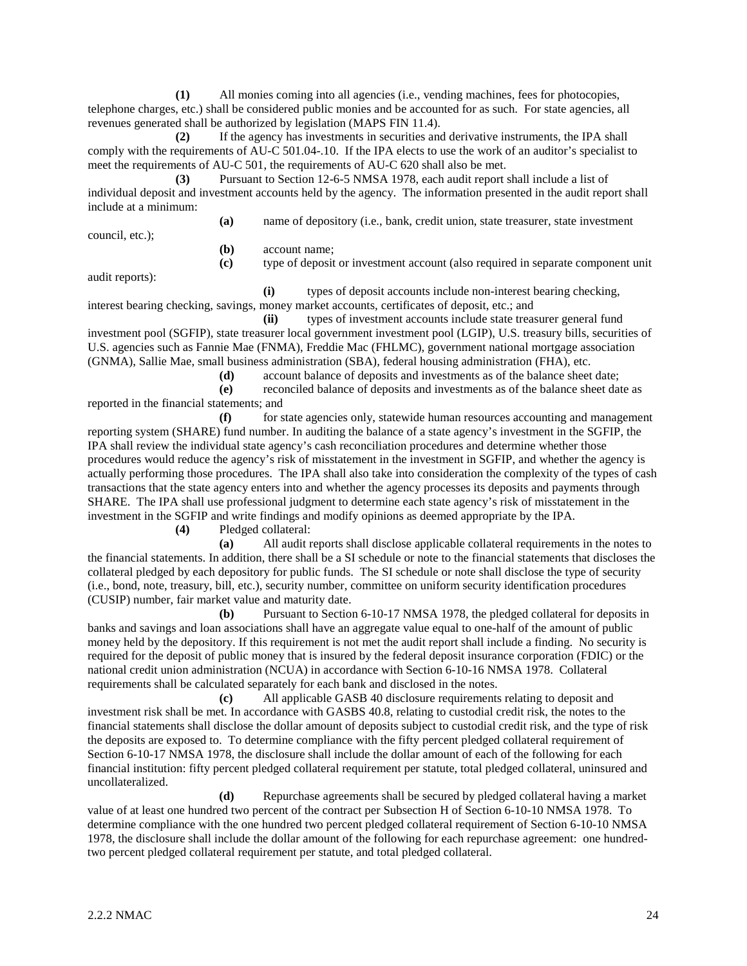**(1)** All monies coming into all agencies (i.e., vending machines, fees for photocopies, telephone charges, etc.) shall be considered public monies and be accounted for as such. For state agencies, all revenues generated shall be authorized by legislation (MAPS FIN 11.4).

**(2)** If the agency has investments in securities and derivative instruments, the IPA shall comply with the requirements of AU-C 501.04-.10. If the IPA elects to use the work of an auditor's specialist to meet the requirements of AU-C 501, the requirements of AU-C 620 shall also be met.

**(3)** Pursuant to Section 12-6-5 NMSA 1978, each audit report shall include a list of individual deposit and investment accounts held by the agency. The information presented in the audit report shall include at a minimum:

council, etc.);

**(b)** account name;

audit reports):

**(i)** types of deposit accounts include non-interest bearing checking, interest bearing checking, savings, money market accounts, certificates of deposit, etc.; and

**(a)** name of depository (i.e., bank, credit union, state treasurer, state investment

**(c)** type of deposit or investment account (also required in separate component unit

**(ii)** types of investment accounts include state treasurer general fund investment pool (SGFIP), state treasurer local government investment pool (LGIP), U.S. treasury bills, securities of U.S. agencies such as Fannie Mae (FNMA), Freddie Mac (FHLMC), government national mortgage association (GNMA), Sallie Mae, small business administration (SBA), federal housing administration (FHA), etc.

**(d)** account balance of deposits and investments as of the balance sheet date;

**(e)** reconciled balance of deposits and investments as of the balance sheet date as reported in the financial statements; and

**(f)** for state agencies only, statewide human resources accounting and management reporting system (SHARE) fund number. In auditing the balance of a state agency's investment in the SGFIP, the IPA shall review the individual state agency's cash reconciliation procedures and determine whether those procedures would reduce the agency's risk of misstatement in the investment in SGFIP, and whether the agency is actually performing those procedures. The IPA shall also take into consideration the complexity of the types of cash transactions that the state agency enters into and whether the agency processes its deposits and payments through SHARE. The IPA shall use professional judgment to determine each state agency's risk of misstatement in the investment in the SGFIP and write findings and modify opinions as deemed appropriate by the IPA.

**(4)** Pledged collateral:

**(a)** All audit reports shall disclose applicable collateral requirements in the notes to the financial statements. In addition, there shall be a SI schedule or note to the financial statements that discloses the collateral pledged by each depository for public funds. The SI schedule or note shall disclose the type of security (i.e., bond, note, treasury, bill, etc.), security number, committee on uniform security identification procedures (CUSIP) number, fair market value and maturity date.

**(b)** Pursuant to Section 6-10-17 NMSA 1978, the pledged collateral for deposits in banks and savings and loan associations shall have an aggregate value equal to one-half of the amount of public money held by the depository. If this requirement is not met the audit report shall include a finding. No security is required for the deposit of public money that is insured by the federal deposit insurance corporation (FDIC) or the national credit union administration (NCUA) in accordance with Section 6-10-16 NMSA 1978. Collateral requirements shall be calculated separately for each bank and disclosed in the notes.

**(c)** All applicable GASB 40 disclosure requirements relating to deposit and investment risk shall be met. In accordance with GASBS 40.8, relating to custodial credit risk, the notes to the financial statements shall disclose the dollar amount of deposits subject to custodial credit risk, and the type of risk the deposits are exposed to. To determine compliance with the fifty percent pledged collateral requirement of Section 6-10-17 NMSA 1978, the disclosure shall include the dollar amount of each of the following for each financial institution: fifty percent pledged collateral requirement per statute, total pledged collateral, uninsured and uncollateralized.

**(d)** Repurchase agreements shall be secured by pledged collateral having a market value of at least one hundred two percent of the contract per Subsection H of Section 6-10-10 NMSA 1978. To determine compliance with the one hundred two percent pledged collateral requirement of Section 6-10-10 NMSA 1978, the disclosure shall include the dollar amount of the following for each repurchase agreement: one hundredtwo percent pledged collateral requirement per statute, and total pledged collateral.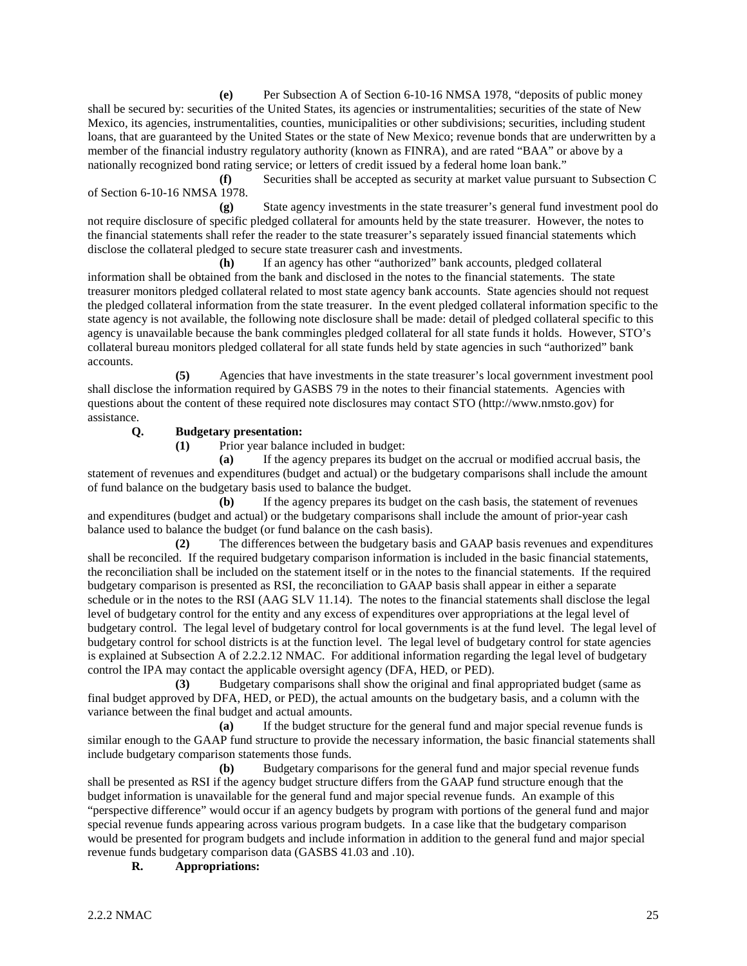**(e)** Per Subsection A of Section 6-10-16 NMSA 1978, "deposits of public money shall be secured by: securities of the United States, its agencies or instrumentalities; securities of the state of New Mexico, its agencies, instrumentalities, counties, municipalities or other subdivisions; securities, including student loans, that are guaranteed by the United States or the state of New Mexico; revenue bonds that are underwritten by a member of the financial industry regulatory authority (known as FINRA), and are rated "BAA" or above by a nationally recognized bond rating service; or letters of credit issued by a federal home loan bank."

**(f)** Securities shall be accepted as security at market value pursuant to Subsection C of Section 6-10-16 NMSA 1978.

**(g)** State agency investments in the state treasurer's general fund investment pool do not require disclosure of specific pledged collateral for amounts held by the state treasurer. However, the notes to the financial statements shall refer the reader to the state treasurer's separately issued financial statements which disclose the collateral pledged to secure state treasurer cash and investments.

**(h)** If an agency has other "authorized" bank accounts, pledged collateral information shall be obtained from the bank and disclosed in the notes to the financial statements. The state treasurer monitors pledged collateral related to most state agency bank accounts. State agencies should not request the pledged collateral information from the state treasurer. In the event pledged collateral information specific to the state agency is not available, the following note disclosure shall be made: detail of pledged collateral specific to this agency is unavailable because the bank commingles pledged collateral for all state funds it holds. However, STO's collateral bureau monitors pledged collateral for all state funds held by state agencies in such "authorized" bank accounts.

**(5)** Agencies that have investments in the state treasurer's local government investment pool shall disclose the information required by GASBS 79 in the notes to their financial statements. Agencies with questions about the content of these required note disclosures may contact STO (http://www.nmsto.gov) for assistance.

# **Q. Budgetary presentation:**

**(1)** Prior year balance included in budget:

**(a)** If the agency prepares its budget on the accrual or modified accrual basis, the statement of revenues and expenditures (budget and actual) or the budgetary comparisons shall include the amount of fund balance on the budgetary basis used to balance the budget.

**(b)** If the agency prepares its budget on the cash basis, the statement of revenues and expenditures (budget and actual) or the budgetary comparisons shall include the amount of prior-year cash balance used to balance the budget (or fund balance on the cash basis).

**(2)** The differences between the budgetary basis and GAAP basis revenues and expenditures shall be reconciled. If the required budgetary comparison information is included in the basic financial statements, the reconciliation shall be included on the statement itself or in the notes to the financial statements. If the required budgetary comparison is presented as RSI, the reconciliation to GAAP basis shall appear in either a separate schedule or in the notes to the RSI (AAG SLV 11.14). The notes to the financial statements shall disclose the legal level of budgetary control for the entity and any excess of expenditures over appropriations at the legal level of budgetary control. The legal level of budgetary control for local governments is at the fund level. The legal level of budgetary control for school districts is at the function level. The legal level of budgetary control for state agencies is explained at Subsection A of 2.2.2.12 NMAC. For additional information regarding the legal level of budgetary control the IPA may contact the applicable oversight agency (DFA, HED, or PED).

**(3)** Budgetary comparisons shall show the original and final appropriated budget (same as final budget approved by DFA, HED, or PED), the actual amounts on the budgetary basis, and a column with the variance between the final budget and actual amounts.

**(a)** If the budget structure for the general fund and major special revenue funds is similar enough to the GAAP fund structure to provide the necessary information, the basic financial statements shall include budgetary comparison statements those funds.

**(b)** Budgetary comparisons for the general fund and major special revenue funds shall be presented as RSI if the agency budget structure differs from the GAAP fund structure enough that the budget information is unavailable for the general fund and major special revenue funds. An example of this "perspective difference" would occur if an agency budgets by program with portions of the general fund and major special revenue funds appearing across various program budgets. In a case like that the budgetary comparison would be presented for program budgets and include information in addition to the general fund and major special revenue funds budgetary comparison data (GASBS 41.03 and .10).

**R. Appropriations:**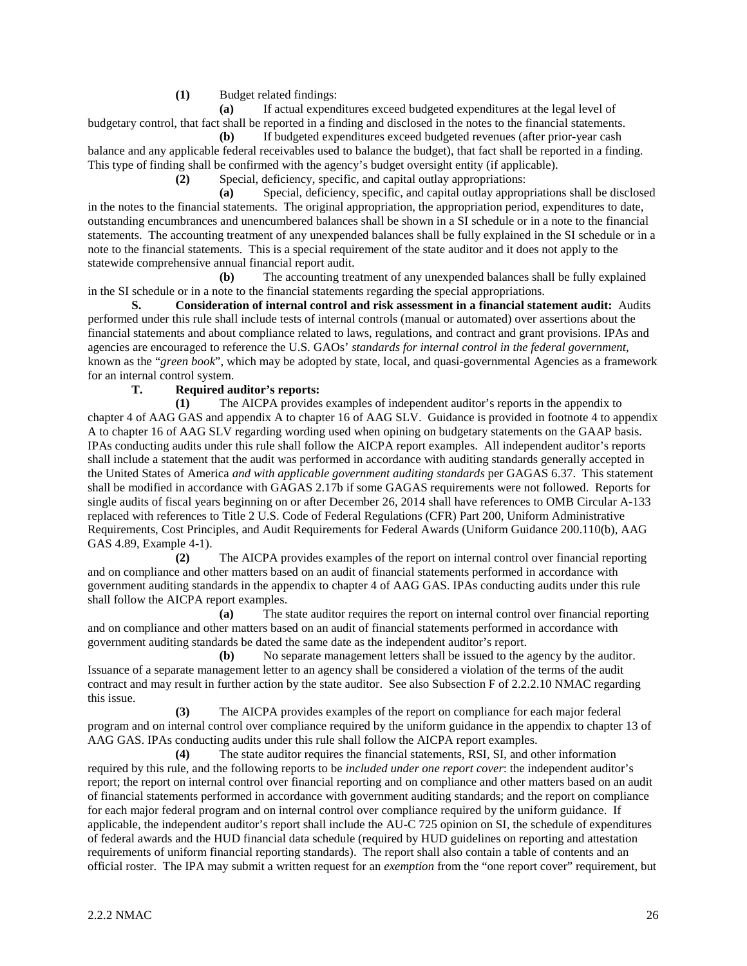**(1)** Budget related findings:

**(a)** If actual expenditures exceed budgeted expenditures at the legal level of budgetary control, that fact shall be reported in a finding and disclosed in the notes to the financial statements.

**(b)** If budgeted expenditures exceed budgeted revenues (after prior-year cash balance and any applicable federal receivables used to balance the budget), that fact shall be reported in a finding. This type of finding shall be confirmed with the agency's budget oversight entity (if applicable).

**(2)** Special, deficiency, specific, and capital outlay appropriations:

**(a)** Special, deficiency, specific, and capital outlay appropriations shall be disclosed in the notes to the financial statements. The original appropriation, the appropriation period, expenditures to date, outstanding encumbrances and unencumbered balances shall be shown in a SI schedule or in a note to the financial statements. The accounting treatment of any unexpended balances shall be fully explained in the SI schedule or in a note to the financial statements. This is a special requirement of the state auditor and it does not apply to the statewide comprehensive annual financial report audit.

**(b)** The accounting treatment of any unexpended balances shall be fully explained in the SI schedule or in a note to the financial statements regarding the special appropriations.

**S. Consideration of internal control and risk assessment in a financial statement audit:** Audits performed under this rule shall include tests of internal controls (manual or automated) over assertions about the financial statements and about compliance related to laws, regulations, and contract and grant provisions. IPAs and agencies are encouraged to reference the U.S. GAOs' *standards for internal control in the federal government*, known as the "*green book*", which may be adopted by state, local, and quasi-governmental Agencies as a framework for an internal control system.

# **T. Required auditor's reports:**

**(1)** The AICPA provides examples of independent auditor's reports in the appendix to chapter 4 of AAG GAS and appendix A to chapter 16 of AAG SLV. Guidance is provided in footnote 4 to appendix A to chapter 16 of AAG SLV regarding wording used when opining on budgetary statements on the GAAP basis. IPAs conducting audits under this rule shall follow the AICPA report examples. All independent auditor's reports shall include a statement that the audit was performed in accordance with auditing standards generally accepted in the United States of America *and with applicable government auditing standards* per GAGAS 6.37. This statement shall be modified in accordance with GAGAS 2.17b if some GAGAS requirements were not followed. Reports for single audits of fiscal years beginning on or after December 26, 2014 shall have references to OMB Circular A-133 replaced with references to Title 2 U.S. Code of Federal Regulations (CFR) Part 200, Uniform Administrative Requirements, Cost Principles, and Audit Requirements for Federal Awards (Uniform Guidance 200.110(b), AAG GAS 4.89, Example 4-1).

**(2)** The AICPA provides examples of the report on internal control over financial reporting and on compliance and other matters based on an audit of financial statements performed in accordance with government auditing standards in the appendix to chapter 4 of AAG GAS. IPAs conducting audits under this rule shall follow the AICPA report examples.

**(a)** The state auditor requires the report on internal control over financial reporting and on compliance and other matters based on an audit of financial statements performed in accordance with government auditing standards be dated the same date as the independent auditor's report.

**(b)** No separate management letters shall be issued to the agency by the auditor. Issuance of a separate management letter to an agency shall be considered a violation of the terms of the audit contract and may result in further action by the state auditor. See also Subsection F of 2.2.2.10 NMAC regarding this issue.

**(3)** The AICPA provides examples of the report on compliance for each major federal program and on internal control over compliance required by the uniform guidance in the appendix to chapter 13 of AAG GAS. IPAs conducting audits under this rule shall follow the AICPA report examples.

**(4)** The state auditor requires the financial statements, RSI, SI, and other information required by this rule, and the following reports to be *included under one report cover*: the independent auditor's report; the report on internal control over financial reporting and on compliance and other matters based on an audit of financial statements performed in accordance with government auditing standards; and the report on compliance for each major federal program and on internal control over compliance required by the uniform guidance. If applicable, the independent auditor's report shall include the AU-C 725 opinion on SI, the schedule of expenditures of federal awards and the HUD financial data schedule (required by HUD guidelines on reporting and attestation requirements of uniform financial reporting standards). The report shall also contain a table of contents and an official roster. The IPA may submit a written request for an *exemption* from the "one report cover" requirement, but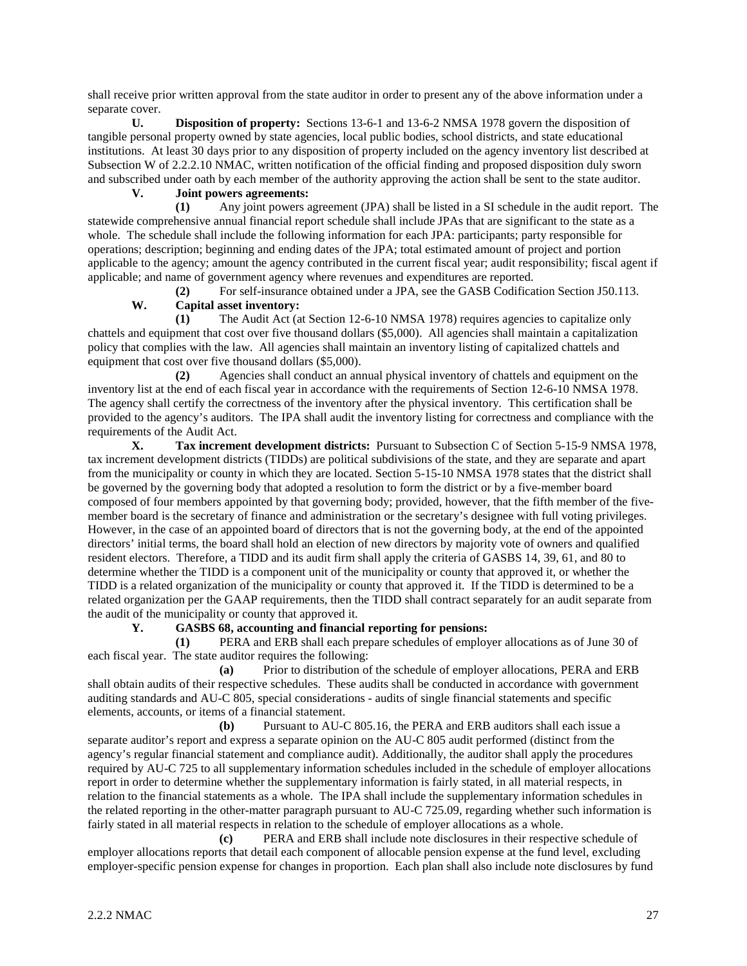shall receive prior written approval from the state auditor in order to present any of the above information under a separate cover.

**U. Disposition of property:** Sections 13-6-1 and 13-6-2 NMSA 1978 govern the disposition of tangible personal property owned by state agencies, local public bodies, school districts, and state educational institutions. At least 30 days prior to any disposition of property included on the agency inventory list described at Subsection W of 2.2.2.10 NMAC, written notification of the official finding and proposed disposition duly sworn and subscribed under oath by each member of the authority approving the action shall be sent to the state auditor.

# **V. Joint powers agreements:**

**(1)** Any joint powers agreement (JPA) shall be listed in a SI schedule in the audit report. The statewide comprehensive annual financial report schedule shall include JPAs that are significant to the state as a whole. The schedule shall include the following information for each JPA: participants; party responsible for operations; description; beginning and ending dates of the JPA; total estimated amount of project and portion applicable to the agency; amount the agency contributed in the current fiscal year; audit responsibility; fiscal agent if applicable; and name of government agency where revenues and expenditures are reported.

**(2)** For self-insurance obtained under a JPA, see the GASB Codification Section J50.113. **W. Capital asset inventory:**

**(1)** The Audit Act (at Section 12-6-10 NMSA 1978) requires agencies to capitalize only chattels and equipment that cost over five thousand dollars (\$5,000). All agencies shall maintain a capitalization policy that complies with the law. All agencies shall maintain an inventory listing of capitalized chattels and equipment that cost over five thousand dollars (\$5,000).

**(2)** Agencies shall conduct an annual physical inventory of chattels and equipment on the inventory list at the end of each fiscal year in accordance with the requirements of Section 12-6-10 NMSA 1978. The agency shall certify the correctness of the inventory after the physical inventory. This certification shall be provided to the agency's auditors. The IPA shall audit the inventory listing for correctness and compliance with the requirements of the Audit Act.

**X. Tax increment development districts:** Pursuant to Subsection C of Section 5-15-9 NMSA 1978, tax increment development districts (TIDDs) are political subdivisions of the state, and they are separate and apart from the municipality or county in which they are located. Section 5-15-10 NMSA 1978 states that the district shall be governed by the governing body that adopted a resolution to form the district or by a five-member board composed of four members appointed by that governing body; provided, however, that the fifth member of the fivemember board is the secretary of finance and administration or the secretary's designee with full voting privileges. However, in the case of an appointed board of directors that is not the governing body, at the end of the appointed directors' initial terms, the board shall hold an election of new directors by majority vote of owners and qualified resident electors. Therefore, a TIDD and its audit firm shall apply the criteria of GASBS 14, 39, 61, and 80 to determine whether the TIDD is a component unit of the municipality or county that approved it, or whether the TIDD is a related organization of the municipality or county that approved it. If the TIDD is determined to be a related organization per the GAAP requirements, then the TIDD shall contract separately for an audit separate from the audit of the municipality or county that approved it.

# **Y. GASBS 68, accounting and financial reporting for pensions:**

**(1)** PERA and ERB shall each prepare schedules of employer allocations as of June 30 of each fiscal year. The state auditor requires the following:

**(a)** Prior to distribution of the schedule of employer allocations, PERA and ERB shall obtain audits of their respective schedules. These audits shall be conducted in accordance with government auditing standards and AU-C 805, special considerations - audits of single financial statements and specific elements, accounts, or items of a financial statement.

**(b)** Pursuant to AU-C 805.16, the PERA and ERB auditors shall each issue a separate auditor's report and express a separate opinion on the AU-C 805 audit performed (distinct from the agency's regular financial statement and compliance audit). Additionally, the auditor shall apply the procedures required by AU-C 725 to all supplementary information schedules included in the schedule of employer allocations report in order to determine whether the supplementary information is fairly stated, in all material respects, in relation to the financial statements as a whole. The IPA shall include the supplementary information schedules in the related reporting in the other-matter paragraph pursuant to AU-C 725.09, regarding whether such information is fairly stated in all material respects in relation to the schedule of employer allocations as a whole.

**(c)** PERA and ERB shall include note disclosures in their respective schedule of employer allocations reports that detail each component of allocable pension expense at the fund level, excluding employer-specific pension expense for changes in proportion. Each plan shall also include note disclosures by fund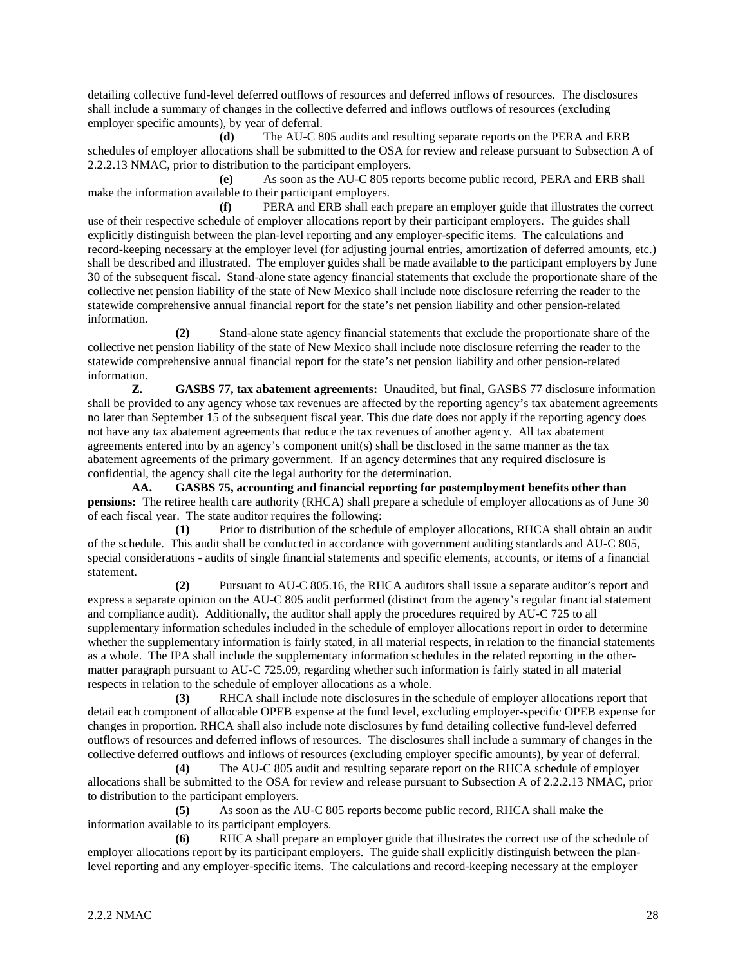detailing collective fund-level deferred outflows of resources and deferred inflows of resources. The disclosures shall include a summary of changes in the collective deferred and inflows outflows of resources (excluding employer specific amounts), by year of deferral.

**(d)** The AU-C 805 audits and resulting separate reports on the PERA and ERB schedules of employer allocations shall be submitted to the OSA for review and release pursuant to Subsection A of 2.2.2.13 NMAC, prior to distribution to the participant employers.

**(e)** As soon as the AU-C 805 reports become public record, PERA and ERB shall make the information available to their participant employers.

**(f)** PERA and ERB shall each prepare an employer guide that illustrates the correct use of their respective schedule of employer allocations report by their participant employers. The guides shall explicitly distinguish between the plan-level reporting and any employer-specific items. The calculations and record-keeping necessary at the employer level (for adjusting journal entries, amortization of deferred amounts, etc.) shall be described and illustrated. The employer guides shall be made available to the participant employers by June 30 of the subsequent fiscal. Stand-alone state agency financial statements that exclude the proportionate share of the collective net pension liability of the state of New Mexico shall include note disclosure referring the reader to the statewide comprehensive annual financial report for the state's net pension liability and other pension-related information.

**(2)** Stand-alone state agency financial statements that exclude the proportionate share of the collective net pension liability of the state of New Mexico shall include note disclosure referring the reader to the statewide comprehensive annual financial report for the state's net pension liability and other pension-related information.

**Z. GASBS 77, tax abatement agreements:** Unaudited, but final, GASBS 77 disclosure information shall be provided to any agency whose tax revenues are affected by the reporting agency's tax abatement agreements no later than September 15 of the subsequent fiscal year. This due date does not apply if the reporting agency does not have any tax abatement agreements that reduce the tax revenues of another agency. All tax abatement agreements entered into by an agency's component unit(s) shall be disclosed in the same manner as the tax abatement agreements of the primary government. If an agency determines that any required disclosure is confidential, the agency shall cite the legal authority for the determination.

**AA. GASBS 75, accounting and financial reporting for postemployment benefits other than pensions:** The retiree health care authority (RHCA) shall prepare a schedule of employer allocations as of June 30 of each fiscal year. The state auditor requires the following:

**(1)** Prior to distribution of the schedule of employer allocations, RHCA shall obtain an audit of the schedule. This audit shall be conducted in accordance with government auditing standards and AU-C 805, special considerations - audits of single financial statements and specific elements, accounts, or items of a financial statement.

**(2)** Pursuant to AU-C 805.16, the RHCA auditors shall issue a separate auditor's report and express a separate opinion on the AU-C 805 audit performed (distinct from the agency's regular financial statement and compliance audit). Additionally, the auditor shall apply the procedures required by AU-C 725 to all supplementary information schedules included in the schedule of employer allocations report in order to determine whether the supplementary information is fairly stated, in all material respects, in relation to the financial statements as a whole. The IPA shall include the supplementary information schedules in the related reporting in the othermatter paragraph pursuant to AU-C 725.09, regarding whether such information is fairly stated in all material respects in relation to the schedule of employer allocations as a whole.

**(3)** RHCA shall include note disclosures in the schedule of employer allocations report that detail each component of allocable OPEB expense at the fund level, excluding employer-specific OPEB expense for changes in proportion. RHCA shall also include note disclosures by fund detailing collective fund-level deferred outflows of resources and deferred inflows of resources. The disclosures shall include a summary of changes in the collective deferred outflows and inflows of resources (excluding employer specific amounts), by year of deferral.

**(4)** The AU-C 805 audit and resulting separate report on the RHCA schedule of employer allocations shall be submitted to the OSA for review and release pursuant to Subsection A of 2.2.2.13 NMAC, prior to distribution to the participant employers.

**(5)** As soon as the AU-C 805 reports become public record, RHCA shall make the information available to its participant employers.

**(6)** RHCA shall prepare an employer guide that illustrates the correct use of the schedule of employer allocations report by its participant employers. The guide shall explicitly distinguish between the planlevel reporting and any employer-specific items. The calculations and record-keeping necessary at the employer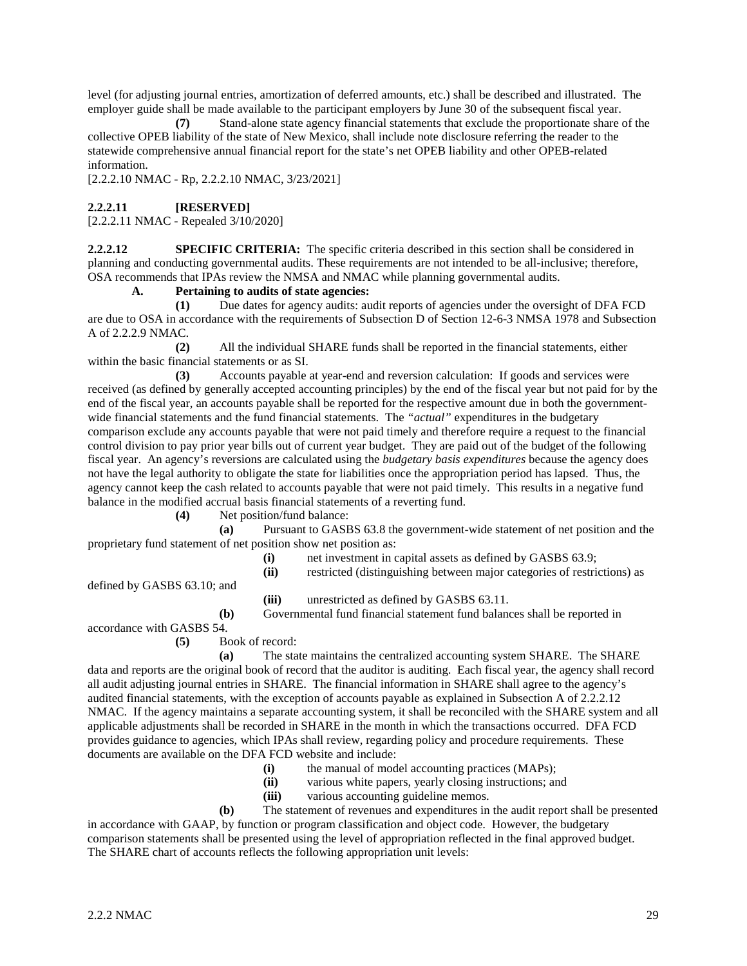level (for adjusting journal entries, amortization of deferred amounts, etc.) shall be described and illustrated. The employer guide shall be made available to the participant employers by June 30 of the subsequent fiscal year.

**(7)** Stand-alone state agency financial statements that exclude the proportionate share of the collective OPEB liability of the state of New Mexico, shall include note disclosure referring the reader to the statewide comprehensive annual financial report for the state's net OPEB liability and other OPEB-related information.

[2.2.2.10 NMAC - Rp, 2.2.2.10 NMAC, 3/23/2021]

#### **2.2.2.11 [RESERVED]**

[2.2.2.11 NMAC - Repealed 3/10/2020]

**2.2.2.12 SPECIFIC CRITERIA:** The specific criteria described in this section shall be considered in planning and conducting governmental audits. These requirements are not intended to be all-inclusive; therefore, OSA recommends that IPAs review the NMSA and NMAC while planning governmental audits.

#### **A. Pertaining to audits of state agencies:**

**(1)** Due dates for agency audits: audit reports of agencies under the oversight of DFA FCD are due to OSA in accordance with the requirements of Subsection D of Section 12-6-3 NMSA 1978 and Subsection A of 2.2.2.9 NMAC.

**(2)** All the individual SHARE funds shall be reported in the financial statements, either within the basic financial statements or as SI.

**(3)** Accounts payable at year-end and reversion calculation: If goods and services were received (as defined by generally accepted accounting principles) by the end of the fiscal year but not paid for by the end of the fiscal year, an accounts payable shall be reported for the respective amount due in both the governmentwide financial statements and the fund financial statements. The *"actual"* expenditures in the budgetary comparison exclude any accounts payable that were not paid timely and therefore require a request to the financial control division to pay prior year bills out of current year budget. They are paid out of the budget of the following fiscal year. An agency's reversions are calculated using the *budgetary basis expenditures* because the agency does not have the legal authority to obligate the state for liabilities once the appropriation period has lapsed. Thus, the agency cannot keep the cash related to accounts payable that were not paid timely. This results in a negative fund balance in the modified accrual basis financial statements of a reverting fund.

**(4)** Net position/fund balance:

**(a)** Pursuant to GASBS 63.8 the government-wide statement of net position and the proprietary fund statement of net position show net position as:

(i) net investment in capital assets as defined by GASBS 63.9;<br>(ii) restricted (distinguishing between major categories of restriction

restricted (distinguishing between major categories of restrictions) as

defined by GASBS 63.10; and

**(iii)** unrestricted as defined by GASBS 63.11.

**(b)** Governmental fund financial statement fund balances shall be reported in

accordance with GASBS 54.

# **(5)** Book of record:

**(a)** The state maintains the centralized accounting system SHARE. The SHARE data and reports are the original book of record that the auditor is auditing. Each fiscal year, the agency shall record all audit adjusting journal entries in SHARE. The financial information in SHARE shall agree to the agency's audited financial statements, with the exception of accounts payable as explained in Subsection A of 2.2.2.12 NMAC. If the agency maintains a separate accounting system, it shall be reconciled with the SHARE system and all applicable adjustments shall be recorded in SHARE in the month in which the transactions occurred. DFA FCD provides guidance to agencies, which IPAs shall review, regarding policy and procedure requirements. These documents are available on the DFA FCD website and include:

- **(i)** the manual of model accounting practices (MAPs);
- **(ii)** various white papers, yearly closing instructions; and
- **(iii)** various accounting guideline memos.

**(b)** The statement of revenues and expenditures in the audit report shall be presented in accordance with GAAP, by function or program classification and object code. However, the budgetary comparison statements shall be presented using the level of appropriation reflected in the final approved budget. The SHARE chart of accounts reflects the following appropriation unit levels: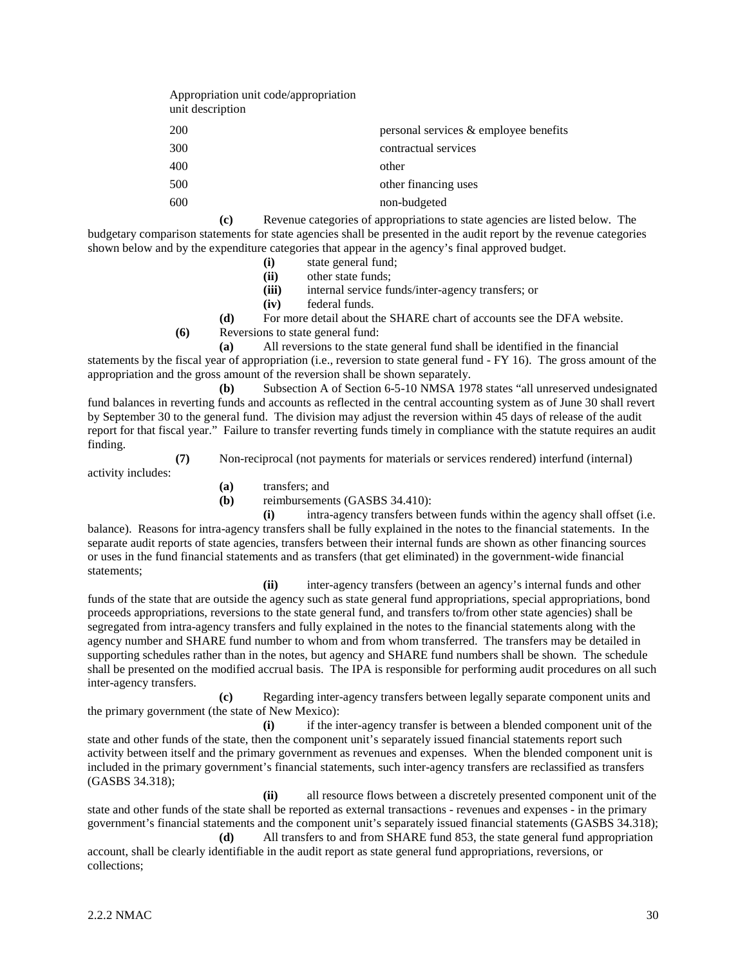| Appropriation unit code/appropriation<br>unit description |                                       |
|-----------------------------------------------------------|---------------------------------------|
| 200                                                       | personal services & employee benefits |
| 300                                                       | contractual services                  |
| 400                                                       | other                                 |
| 500                                                       | other financing uses                  |
| 600                                                       | non-budgeted                          |
|                                                           |                                       |

**(c)** Revenue categories of appropriations to state agencies are listed below. The budgetary comparison statements for state agencies shall be presented in the audit report by the revenue categories shown below and by the expenditure categories that appear in the agency's final approved budget.

- (i) state general fund;<br>(ii) other state funds;
- other state funds;
- **(iii)** internal service funds/inter-agency transfers; or
- **(iv)** federal funds.

**(d)** For more detail about the SHARE chart of accounts see the DFA website.

**(6)** Reversions to state general fund:

**(a)** All reversions to the state general fund shall be identified in the financial statements by the fiscal year of appropriation (i.e., reversion to state general fund - FY 16). The gross amount of the appropriation and the gross amount of the reversion shall be shown separately.

**(b)** Subsection A of Section 6-5-10 NMSA 1978 states "all unreserved undesignated fund balances in reverting funds and accounts as reflected in the central accounting system as of June 30 shall revert by September 30 to the general fund. The division may adjust the reversion within 45 days of release of the audit report for that fiscal year." Failure to transfer reverting funds timely in compliance with the statute requires an audit finding.

**(7)** Non-reciprocal (not payments for materials or services rendered) interfund (internal)

- activity includes:
- **(a)** transfers; and

**(b)** reimbursements (GASBS 34.410):

**(i)** intra-agency transfers between funds within the agency shall offset (i.e. balance). Reasons for intra-agency transfers shall be fully explained in the notes to the financial statements. In the separate audit reports of state agencies, transfers between their internal funds are shown as other financing sources or uses in the fund financial statements and as transfers (that get eliminated) in the government-wide financial statements;

**(ii)** inter-agency transfers (between an agency's internal funds and other funds of the state that are outside the agency such as state general fund appropriations, special appropriations, bond proceeds appropriations, reversions to the state general fund, and transfers to/from other state agencies) shall be segregated from intra-agency transfers and fully explained in the notes to the financial statements along with the agency number and SHARE fund number to whom and from whom transferred. The transfers may be detailed in supporting schedules rather than in the notes, but agency and SHARE fund numbers shall be shown. The schedule shall be presented on the modified accrual basis. The IPA is responsible for performing audit procedures on all such inter-agency transfers.

**(c)** Regarding inter-agency transfers between legally separate component units and the primary government (the state of New Mexico):

**(i)** if the inter-agency transfer is between a blended component unit of the state and other funds of the state, then the component unit's separately issued financial statements report such activity between itself and the primary government as revenues and expenses. When the blended component unit is included in the primary government's financial statements, such inter-agency transfers are reclassified as transfers (GASBS 34.318);

**(ii)** all resource flows between a discretely presented component unit of the state and other funds of the state shall be reported as external transactions - revenues and expenses - in the primary government's financial statements and the component unit's separately issued financial statements (GASBS 34.318); **(d)** All transfers to and from SHARE fund 853, the state general fund appropriation

account, shall be clearly identifiable in the audit report as state general fund appropriations, reversions, or collections;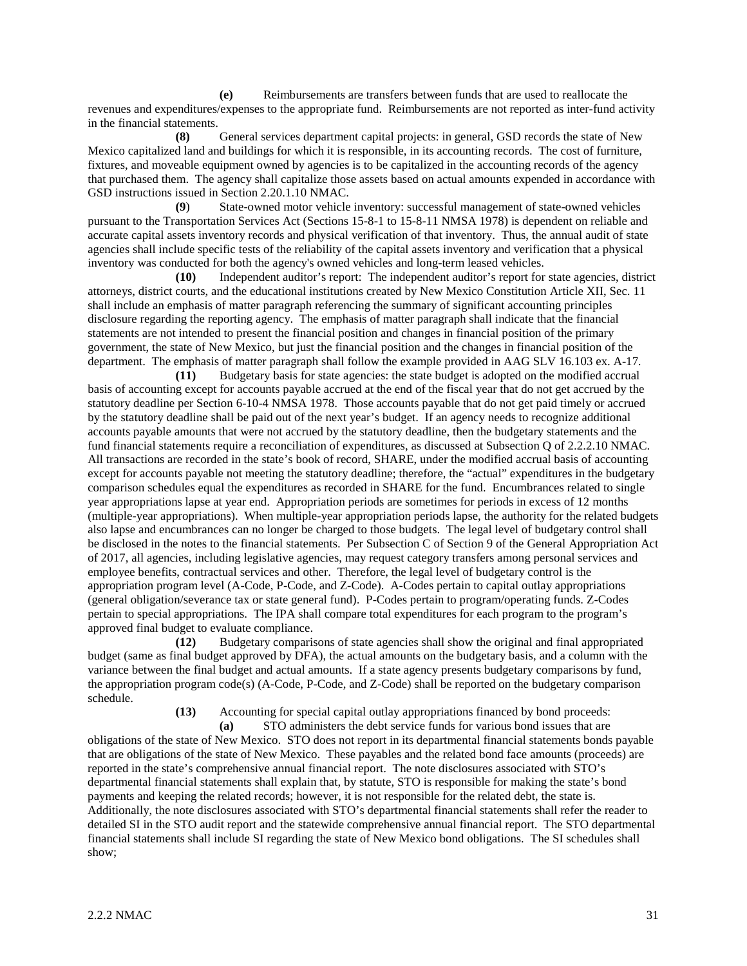**(e)** Reimbursements are transfers between funds that are used to reallocate the revenues and expenditures/expenses to the appropriate fund. Reimbursements are not reported as inter-fund activity in the financial statements.

**(8)** General services department capital projects: in general, GSD records the state of New Mexico capitalized land and buildings for which it is responsible, in its accounting records. The cost of furniture, fixtures, and moveable equipment owned by agencies is to be capitalized in the accounting records of the agency that purchased them. The agency shall capitalize those assets based on actual amounts expended in accordance with GSD instructions issued in Section 2.20.1.10 NMAC.

**(9**) State-owned motor vehicle inventory: successful management of state-owned vehicles pursuant to the Transportation Services Act (Sections 15-8-1 to 15-8-11 NMSA 1978) is dependent on reliable and accurate capital assets inventory records and physical verification of that inventory. Thus, the annual audit of state agencies shall include specific tests of the reliability of the capital assets inventory and verification that a physical inventory was conducted for both the agency's owned vehicles and long-term leased vehicles.

**(10)** Independent auditor's report: The independent auditor's report for state agencies, district attorneys, district courts, and the educational institutions created by New Mexico Constitution Article XII, Sec. 11 shall include an emphasis of matter paragraph referencing the summary of significant accounting principles disclosure regarding the reporting agency. The emphasis of matter paragraph shall indicate that the financial statements are not intended to present the financial position and changes in financial position of the primary government, the state of New Mexico, but just the financial position and the changes in financial position of the department. The emphasis of matter paragraph shall follow the example provided in AAG SLV 16.103 ex. A-17*.*

**(11)** Budgetary basis for state agencies: the state budget is adopted on the modified accrual basis of accounting except for accounts payable accrued at the end of the fiscal year that do not get accrued by the statutory deadline per Section 6-10-4 NMSA 1978. Those accounts payable that do not get paid timely or accrued by the statutory deadline shall be paid out of the next year's budget. If an agency needs to recognize additional accounts payable amounts that were not accrued by the statutory deadline, then the budgetary statements and the fund financial statements require a reconciliation of expenditures, as discussed at Subsection Q of 2.2.2.10 NMAC. All transactions are recorded in the state's book of record, SHARE, under the modified accrual basis of accounting except for accounts payable not meeting the statutory deadline; therefore, the "actual" expenditures in the budgetary comparison schedules equal the expenditures as recorded in SHARE for the fund. Encumbrances related to single year appropriations lapse at year end. Appropriation periods are sometimes for periods in excess of 12 months (multiple-year appropriations). When multiple-year appropriation periods lapse, the authority for the related budgets also lapse and encumbrances can no longer be charged to those budgets. The legal level of budgetary control shall be disclosed in the notes to the financial statements. Per Subsection C of Section 9 of the General Appropriation Act of 2017, all agencies, including legislative agencies, may request category transfers among personal services and employee benefits, contractual services and other. Therefore, the legal level of budgetary control is the appropriation program level (A-Code, P-Code, and Z-Code). A-Codes pertain to capital outlay appropriations (general obligation/severance tax or state general fund). P-Codes pertain to program/operating funds. Z-Codes pertain to special appropriations. The IPA shall compare total expenditures for each program to the program's approved final budget to evaluate compliance.

**(12)** Budgetary comparisons of state agencies shall show the original and final appropriated budget (same as final budget approved by DFA), the actual amounts on the budgetary basis, and a column with the variance between the final budget and actual amounts. If a state agency presents budgetary comparisons by fund, the appropriation program code(s) (A-Code, P-Code, and Z-Code) shall be reported on the budgetary comparison schedule.

**(13)** Accounting for special capital outlay appropriations financed by bond proceeds:

**(a)** STO administers the debt service funds for various bond issues that are obligations of the state of New Mexico. STO does not report in its departmental financial statements bonds payable that are obligations of the state of New Mexico. These payables and the related bond face amounts (proceeds) are reported in the state's comprehensive annual financial report. The note disclosures associated with STO's departmental financial statements shall explain that, by statute, STO is responsible for making the state's bond payments and keeping the related records; however, it is not responsible for the related debt, the state is. Additionally, the note disclosures associated with STO's departmental financial statements shall refer the reader to detailed SI in the STO audit report and the statewide comprehensive annual financial report. The STO departmental financial statements shall include SI regarding the state of New Mexico bond obligations. The SI schedules shall show;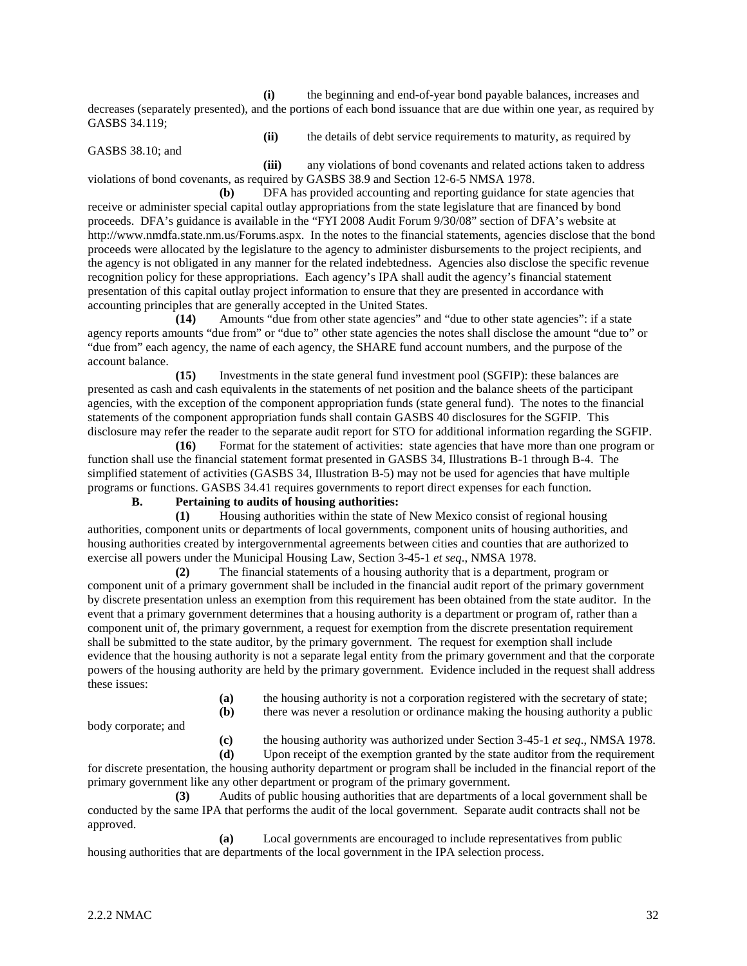**(i)** the beginning and end-of-year bond payable balances, increases and decreases (separately presented), and the portions of each bond issuance that are due within one year, as required by GASBS 34.119;

GASBS 38.10; and

**(ii)** the details of debt service requirements to maturity, as required by

**(iii)** any violations of bond covenants and related actions taken to address violations of bond covenants, as required by GASBS 38.9 and Section 12-6-5 NMSA 1978.

**(b)** DFA has provided accounting and reporting guidance for state agencies that receive or administer special capital outlay appropriations from the state legislature that are financed by bond proceeds. DFA's guidance is available in the "FYI 2008 Audit Forum 9/30/08" section of DFA's website at http://www.nmdfa.state.nm.us/Forums.aspx. In the notes to the financial statements, agencies disclose that the bond proceeds were allocated by the legislature to the agency to administer disbursements to the project recipients, and the agency is not obligated in any manner for the related indebtedness. Agencies also disclose the specific revenue recognition policy for these appropriations. Each agency's IPA shall audit the agency's financial statement presentation of this capital outlay project information to ensure that they are presented in accordance with accounting principles that are generally accepted in the United States.

**(14)** Amounts "due from other state agencies" and "due to other state agencies": if a state agency reports amounts "due from" or "due to" other state agencies the notes shall disclose the amount "due to" or "due from" each agency, the name of each agency, the SHARE fund account numbers, and the purpose of the account balance.

**(15)** Investments in the state general fund investment pool (SGFIP): these balances are presented as cash and cash equivalents in the statements of net position and the balance sheets of the participant agencies, with the exception of the component appropriation funds (state general fund). The notes to the financial statements of the component appropriation funds shall contain GASBS 40 disclosures for the SGFIP. This disclosure may refer the reader to the separate audit report for STO for additional information regarding the SGFIP.

**(16)** Format for the statement of activities: state agencies that have more than one program or function shall use the financial statement format presented in GASBS 34, Illustrations B-1 through B-4. The simplified statement of activities (GASBS 34, Illustration B-5) may not be used for agencies that have multiple programs or functions. GASBS 34.41 requires governments to report direct expenses for each function.

# **B. Pertaining to audits of housing authorities:**

**(1)** Housing authorities within the state of New Mexico consist of regional housing authorities, component units or departments of local governments, component units of housing authorities, and housing authorities created by intergovernmental agreements between cities and counties that are authorized to exercise all powers under the Municipal Housing Law, Section 3-45-1 *et seq*., NMSA 1978.

**(2)** The financial statements of a housing authority that is a department, program or component unit of a primary government shall be included in the financial audit report of the primary government by discrete presentation unless an exemption from this requirement has been obtained from the state auditor. In the event that a primary government determines that a housing authority is a department or program of, rather than a component unit of, the primary government, a request for exemption from the discrete presentation requirement shall be submitted to the state auditor, by the primary government. The request for exemption shall include evidence that the housing authority is not a separate legal entity from the primary government and that the corporate powers of the housing authority are held by the primary government. Evidence included in the request shall address these issues:

- **(a)** the housing authority is not a corporation registered with the secretary of state;
- **(b)** there was never a resolution or ordinance making the housing authority a public

body corporate; and

**(c)** the housing authority was authorized under Section 3-45-1 *et seq*., NMSA 1978.

**(d)** Upon receipt of the exemption granted by the state auditor from the requirement for discrete presentation, the housing authority department or program shall be included in the financial report of the primary government like any other department or program of the primary government.

**(3)** Audits of public housing authorities that are departments of a local government shall be conducted by the same IPA that performs the audit of the local government. Separate audit contracts shall not be approved.

**(a)** Local governments are encouraged to include representatives from public housing authorities that are departments of the local government in the IPA selection process.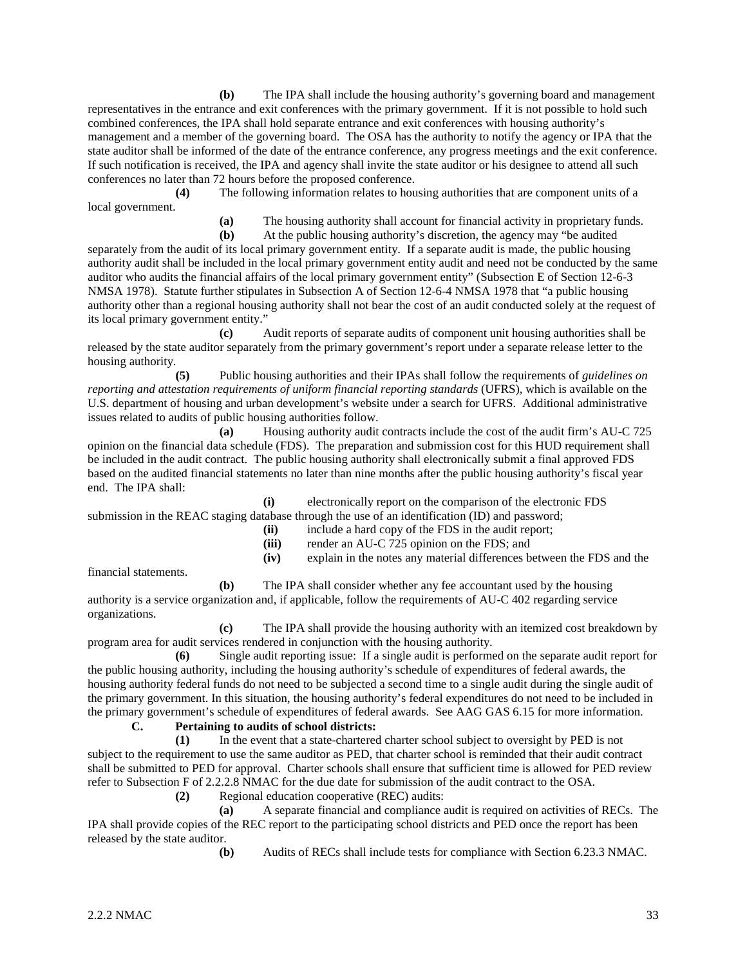**(b)** The IPA shall include the housing authority's governing board and management representatives in the entrance and exit conferences with the primary government. If it is not possible to hold such combined conferences, the IPA shall hold separate entrance and exit conferences with housing authority's management and a member of the governing board. The OSA has the authority to notify the agency or IPA that the state auditor shall be informed of the date of the entrance conference, any progress meetings and the exit conference. If such notification is received, the IPA and agency shall invite the state auditor or his designee to attend all such conferences no later than 72 hours before the proposed conference.

**(4)** The following information relates to housing authorities that are component units of a local government.

**(a)** The housing authority shall account for financial activity in proprietary funds.

**(b)** At the public housing authority's discretion, the agency may "be audited separately from the audit of its local primary government entity. If a separate audit is made, the public housing authority audit shall be included in the local primary government entity audit and need not be conducted by the same auditor who audits the financial affairs of the local primary government entity" (Subsection E of Section 12-6-3 NMSA 1978). Statute further stipulates in Subsection A of Section 12-6-4 NMSA 1978 that "a public housing authority other than a regional housing authority shall not bear the cost of an audit conducted solely at the request of its local primary government entity."

**(c)** Audit reports of separate audits of component unit housing authorities shall be released by the state auditor separately from the primary government's report under a separate release letter to the housing authority.

**(5)** Public housing authorities and their IPAs shall follow the requirements of *guidelines on reporting and attestation requirements of uniform financial reporting standards* (UFRS), which is available on the U.S. department of housing and urban development's website under a search for UFRS. Additional administrative issues related to audits of public housing authorities follow.

**(a)** Housing authority audit contracts include the cost of the audit firm's AU-C 725 opinion on the financial data schedule (FDS). The preparation and submission cost for this HUD requirement shall be included in the audit contract. The public housing authority shall electronically submit a final approved FDS based on the audited financial statements no later than nine months after the public housing authority's fiscal year end. The IPA shall:

**(i)** electronically report on the comparison of the electronic FDS submission in the REAC staging database through the use of an identification (ID) and password;

- **(ii)** include a hard copy of the FDS in the audit report;
	- **(iii)** render an AU-C 725 opinion on the FDS; and
- **(iv)** explain in the notes any material differences between the FDS and the

financial statements.

**(b)** The IPA shall consider whether any fee accountant used by the housing authority is a service organization and, if applicable, follow the requirements of AU-C 402 regarding service organizations.

**(c)** The IPA shall provide the housing authority with an itemized cost breakdown by program area for audit services rendered in conjunction with the housing authority.

**(6)** Single audit reporting issue: If a single audit is performed on the separate audit report for the public housing authority, including the housing authority's schedule of expenditures of federal awards, the housing authority federal funds do not need to be subjected a second time to a single audit during the single audit of the primary government. In this situation, the housing authority's federal expenditures do not need to be included in the primary government's schedule of expenditures of federal awards. See AAG GAS 6.15 for more information.

# **C. Pertaining to audits of school districts:**

**(1)** In the event that a state-chartered charter school subject to oversight by PED is not subject to the requirement to use the same auditor as PED, that charter school is reminded that their audit contract shall be submitted to PED for approval. Charter schools shall ensure that sufficient time is allowed for PED review refer to Subsection F of 2.2.2.8 NMAC for the due date for submission of the audit contract to the OSA.

**(2)** Regional education cooperative (REC) audits:

**(a)** A separate financial and compliance audit is required on activities of RECs. The IPA shall provide copies of the REC report to the participating school districts and PED once the report has been released by the state auditor.

**(b)** Audits of RECs shall include tests for compliance with Section 6.23.3 NMAC.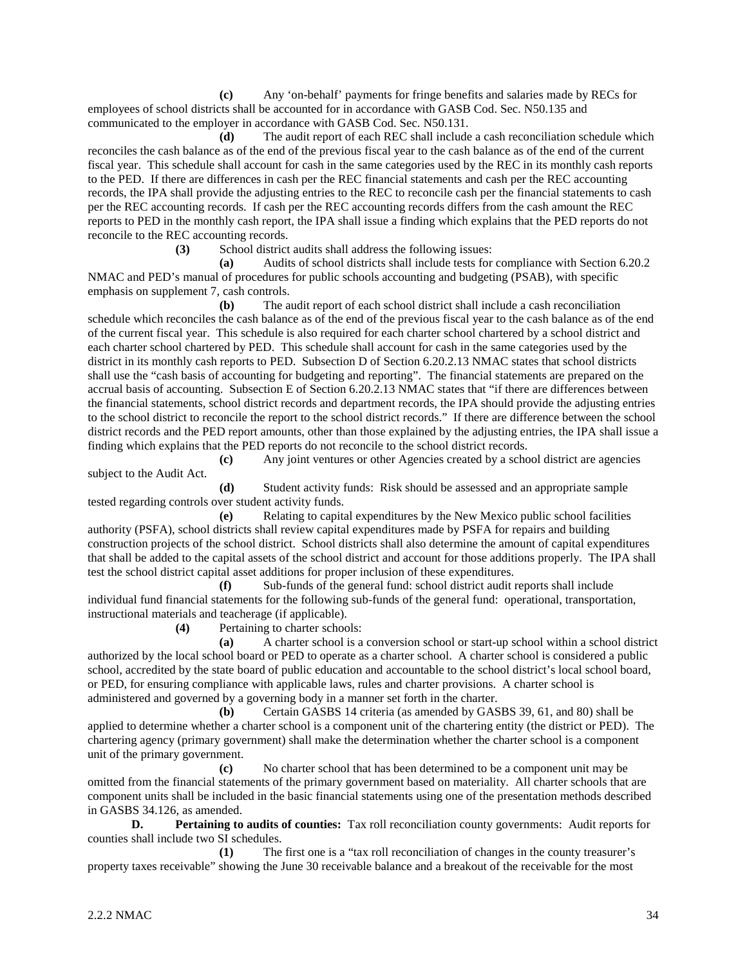**(c)** Any 'on-behalf' payments for fringe benefits and salaries made by RECs for employees of school districts shall be accounted for in accordance with GASB Cod. Sec. N50.135 and communicated to the employer in accordance with GASB Cod. Sec. N50.131.

**(d)** The audit report of each REC shall include a cash reconciliation schedule which reconciles the cash balance as of the end of the previous fiscal year to the cash balance as of the end of the current fiscal year. This schedule shall account for cash in the same categories used by the REC in its monthly cash reports to the PED. If there are differences in cash per the REC financial statements and cash per the REC accounting records, the IPA shall provide the adjusting entries to the REC to reconcile cash per the financial statements to cash per the REC accounting records. If cash per the REC accounting records differs from the cash amount the REC reports to PED in the monthly cash report, the IPA shall issue a finding which explains that the PED reports do not reconcile to the REC accounting records.

**(3)** School district audits shall address the following issues:

**(a)** Audits of school districts shall include tests for compliance with Section 6.20.2 NMAC and PED's manual of procedures for public schools accounting and budgeting (PSAB), with specific emphasis on supplement 7, cash controls.

**(b)** The audit report of each school district shall include a cash reconciliation schedule which reconciles the cash balance as of the end of the previous fiscal year to the cash balance as of the end of the current fiscal year. This schedule is also required for each charter school chartered by a school district and each charter school chartered by PED. This schedule shall account for cash in the same categories used by the district in its monthly cash reports to PED. Subsection D of Section 6.20.2.13 NMAC states that school districts shall use the "cash basis of accounting for budgeting and reporting". The financial statements are prepared on the accrual basis of accounting. Subsection E of Section 6.20.2.13 NMAC states that "if there are differences between the financial statements, school district records and department records, the IPA should provide the adjusting entries to the school district to reconcile the report to the school district records." If there are difference between the school district records and the PED report amounts, other than those explained by the adjusting entries, the IPA shall issue a finding which explains that the PED reports do not reconcile to the school district records.

**(c)** Any joint ventures or other Agencies created by a school district are agencies subject to the Audit Act.

**(d)** Student activity funds: Risk should be assessed and an appropriate sample tested regarding controls over student activity funds.

**(e)** Relating to capital expenditures by the New Mexico public school facilities authority (PSFA), school districts shall review capital expenditures made by PSFA for repairs and building construction projects of the school district. School districts shall also determine the amount of capital expenditures that shall be added to the capital assets of the school district and account for those additions properly. The IPA shall test the school district capital asset additions for proper inclusion of these expenditures.

**(f)** Sub-funds of the general fund: school district audit reports shall include individual fund financial statements for the following sub-funds of the general fund: operational, transportation, instructional materials and teacherage (if applicable).

**(4)** Pertaining to charter schools:

**(a)** A charter school is a conversion school or start-up school within a school district authorized by the local school board or PED to operate as a charter school. A charter school is considered a public school, accredited by the state board of public education and accountable to the school district's local school board, or PED, for ensuring compliance with applicable laws, rules and charter provisions. A charter school is administered and governed by a governing body in a manner set forth in the charter.

**(b)** Certain GASBS 14 criteria (as amended by GASBS 39, 61, and 80) shall be applied to determine whether a charter school is a component unit of the chartering entity (the district or PED). The chartering agency (primary government) shall make the determination whether the charter school is a component unit of the primary government.

**(c)** No charter school that has been determined to be a component unit may be omitted from the financial statements of the primary government based on materiality. All charter schools that are component units shall be included in the basic financial statements using one of the presentation methods described in GASBS 34.126, as amended.

**D. Pertaining to audits of counties:** Tax roll reconciliation county governments: Audit reports for counties shall include two SI schedules.

**(1)** The first one is a "tax roll reconciliation of changes in the county treasurer's property taxes receivable" showing the June 30 receivable balance and a breakout of the receivable for the most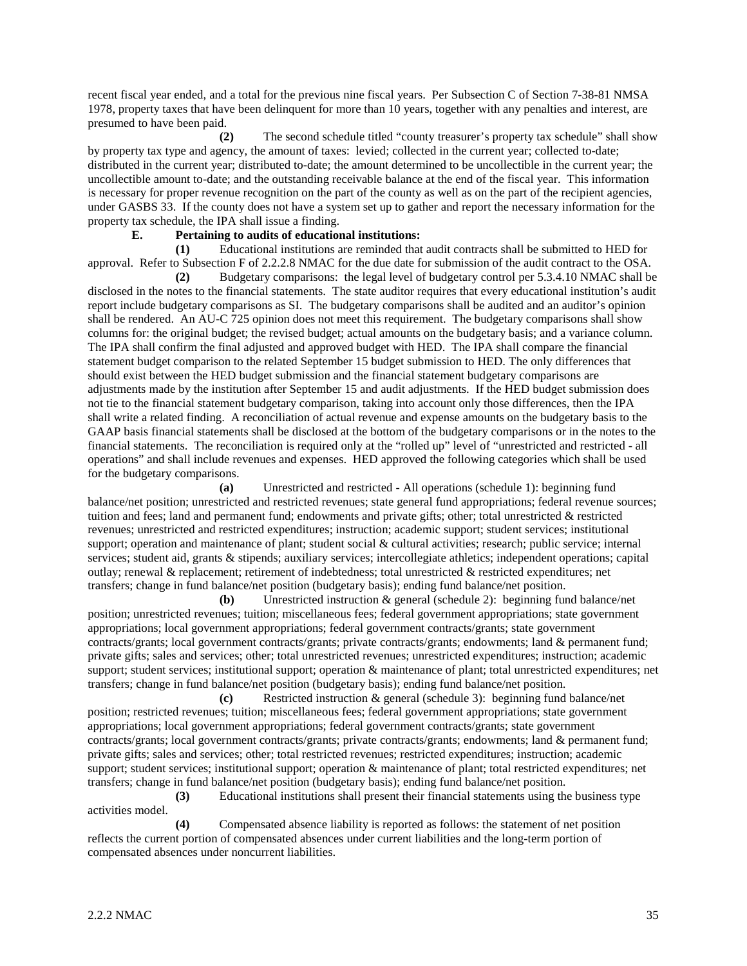recent fiscal year ended, and a total for the previous nine fiscal years. Per Subsection C of Section 7-38-81 NMSA 1978, property taxes that have been delinquent for more than 10 years, together with any penalties and interest, are presumed to have been paid.

**(2)** The second schedule titled "county treasurer's property tax schedule" shall show by property tax type and agency, the amount of taxes: levied; collected in the current year; collected to-date; distributed in the current year; distributed to-date; the amount determined to be uncollectible in the current year; the uncollectible amount to-date; and the outstanding receivable balance at the end of the fiscal year. This information is necessary for proper revenue recognition on the part of the county as well as on the part of the recipient agencies, under GASBS 33. If the county does not have a system set up to gather and report the necessary information for the property tax schedule, the IPA shall issue a finding.

#### **E. Pertaining to audits of educational institutions:**

**(1)** Educational institutions are reminded that audit contracts shall be submitted to HED for approval. Refer to Subsection F of 2.2.2.8 NMAC for the due date for submission of the audit contract to the OSA.

**(2)** Budgetary comparisons: the legal level of budgetary control per 5.3.4.10 NMAC shall be disclosed in the notes to the financial statements. The state auditor requires that every educational institution's audit report include budgetary comparisons as SI. The budgetary comparisons shall be audited and an auditor's opinion shall be rendered. An AU-C 725 opinion does not meet this requirement. The budgetary comparisons shall show columns for: the original budget; the revised budget; actual amounts on the budgetary basis; and a variance column. The IPA shall confirm the final adjusted and approved budget with HED. The IPA shall compare the financial statement budget comparison to the related September 15 budget submission to HED. The only differences that should exist between the HED budget submission and the financial statement budgetary comparisons are adjustments made by the institution after September 15 and audit adjustments. If the HED budget submission does not tie to the financial statement budgetary comparison, taking into account only those differences, then the IPA shall write a related finding. A reconciliation of actual revenue and expense amounts on the budgetary basis to the GAAP basis financial statements shall be disclosed at the bottom of the budgetary comparisons or in the notes to the financial statements. The reconciliation is required only at the "rolled up" level of "unrestricted and restricted - all operations" and shall include revenues and expenses. HED approved the following categories which shall be used for the budgetary comparisons.

**(a)** Unrestricted and restricted - All operations (schedule 1): beginning fund balance/net position; unrestricted and restricted revenues; state general fund appropriations; federal revenue sources; tuition and fees; land and permanent fund; endowments and private gifts; other; total unrestricted & restricted revenues; unrestricted and restricted expenditures; instruction; academic support; student services; institutional support; operation and maintenance of plant; student social & cultural activities; research; public service; internal services; student aid, grants & stipends; auxiliary services; intercollegiate athletics; independent operations; capital outlay; renewal & replacement; retirement of indebtedness; total unrestricted & restricted expenditures; net transfers; change in fund balance/net position (budgetary basis); ending fund balance/net position.

**(b)** Unrestricted instruction & general (schedule 2): beginning fund balance/net position; unrestricted revenues; tuition; miscellaneous fees; federal government appropriations; state government appropriations; local government appropriations; federal government contracts/grants; state government contracts/grants; local government contracts/grants; private contracts/grants; endowments; land & permanent fund; private gifts; sales and services; other; total unrestricted revenues; unrestricted expenditures; instruction; academic support; student services; institutional support; operation & maintenance of plant; total unrestricted expenditures; net transfers; change in fund balance/net position (budgetary basis); ending fund balance/net position.

**(c)** Restricted instruction & general (schedule 3): beginning fund balance/net position; restricted revenues; tuition; miscellaneous fees; federal government appropriations; state government appropriations; local government appropriations; federal government contracts/grants; state government contracts/grants; local government contracts/grants; private contracts/grants; endowments; land & permanent fund; private gifts; sales and services; other; total restricted revenues; restricted expenditures; instruction; academic support; student services; institutional support; operation & maintenance of plant; total restricted expenditures; net transfers; change in fund balance/net position (budgetary basis); ending fund balance/net position.

**(3)** Educational institutions shall present their financial statements using the business type activities model.

**(4)** Compensated absence liability is reported as follows: the statement of net position reflects the current portion of compensated absences under current liabilities and the long-term portion of compensated absences under noncurrent liabilities.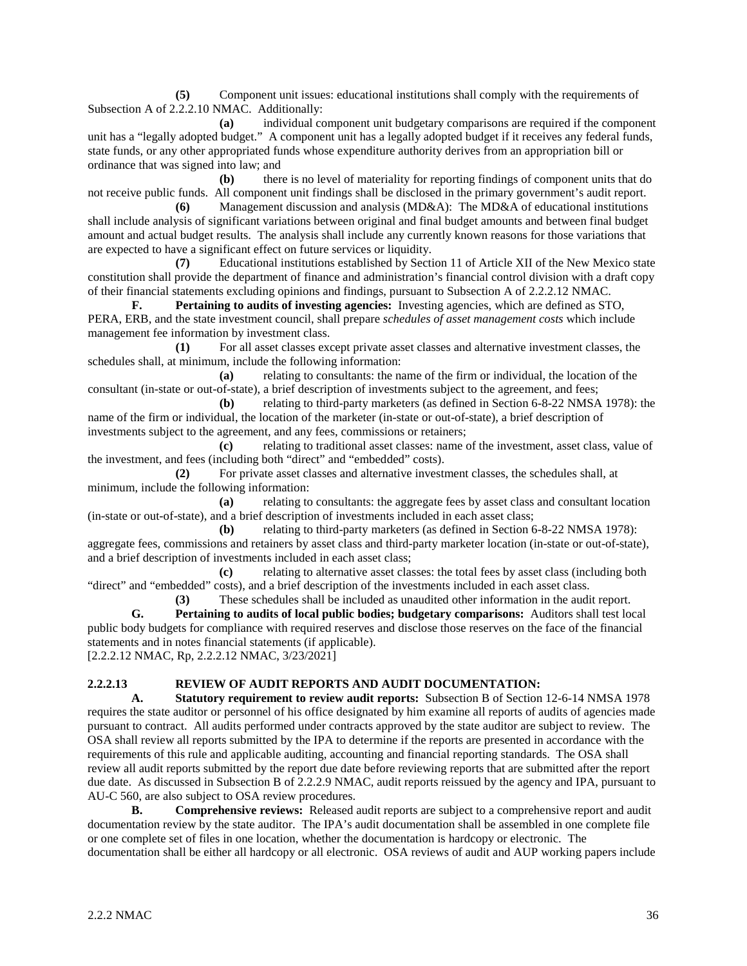**(5)** Component unit issues: educational institutions shall comply with the requirements of Subsection A of 2.2.2.10 NMAC. Additionally:

**(a)** individual component unit budgetary comparisons are required if the component unit has a "legally adopted budget." A component unit has a legally adopted budget if it receives any federal funds, state funds, or any other appropriated funds whose expenditure authority derives from an appropriation bill or ordinance that was signed into law; and

**(b)** there is no level of materiality for reporting findings of component units that do not receive public funds. All component unit findings shall be disclosed in the primary government's audit report.

**(6)** Management discussion and analysis (MD&A): The MD&A of educational institutions shall include analysis of significant variations between original and final budget amounts and between final budget amount and actual budget results. The analysis shall include any currently known reasons for those variations that are expected to have a significant effect on future services or liquidity.

**(7)** Educational institutions established by Section 11 of Article XII of the New Mexico state constitution shall provide the department of finance and administration's financial control division with a draft copy of their financial statements excluding opinions and findings, pursuant to Subsection A of 2.2.2.12 NMAC.

**F. Pertaining to audits of investing agencies:** Investing agencies, which are defined as STO, PERA, ERB, and the state investment council, shall prepare *schedules of asset management costs* which include management fee information by investment class.

**(1)** For all asset classes except private asset classes and alternative investment classes, the schedules shall, at minimum, include the following information:

**(a)** relating to consultants: the name of the firm or individual, the location of the consultant (in-state or out-of-state), a brief description of investments subject to the agreement, and fees;

**(b)** relating to third-party marketers (as defined in Section 6-8-22 NMSA 1978): the name of the firm or individual, the location of the marketer (in-state or out-of-state), a brief description of investments subject to the agreement, and any fees, commissions or retainers;

**(c)** relating to traditional asset classes: name of the investment, asset class, value of the investment, and fees (including both "direct" and "embedded" costs).

**(2)** For private asset classes and alternative investment classes, the schedules shall, at minimum, include the following information:

**(a)** relating to consultants: the aggregate fees by asset class and consultant location (in-state or out-of-state), and a brief description of investments included in each asset class;

**(b)** relating to third-party marketers (as defined in Section 6-8-22 NMSA 1978): aggregate fees, commissions and retainers by asset class and third-party marketer location (in-state or out-of-state), and a brief description of investments included in each asset class;

**(c)** relating to alternative asset classes: the total fees by asset class (including both "direct" and "embedded" costs), and a brief description of the investments included in each asset class.

**(3)** These schedules shall be included as unaudited other information in the audit report. **G. Pertaining to audits of local public bodies; budgetary comparisons:** Auditors shall test local public body budgets for compliance with required reserves and disclose those reserves on the face of the financial statements and in notes financial statements (if applicable).

[2.2.2.12 NMAC, Rp, 2.2.2.12 NMAC, 3/23/2021]

# **2.2.2.13 REVIEW OF AUDIT REPORTS AND AUDIT DOCUMENTATION:**

**A. Statutory requirement to review audit reports:** Subsection B of Section 12-6-14 NMSA 1978 requires the state auditor or personnel of his office designated by him examine all reports of audits of agencies made pursuant to contract. All audits performed under contracts approved by the state auditor are subject to review. The OSA shall review all reports submitted by the IPA to determine if the reports are presented in accordance with the requirements of this rule and applicable auditing, accounting and financial reporting standards. The OSA shall review all audit reports submitted by the report due date before reviewing reports that are submitted after the report due date. As discussed in Subsection B of 2.2.2.9 NMAC, audit reports reissued by the agency and IPA, pursuant to AU-C 560, are also subject to OSA review procedures.

**B. Comprehensive reviews:** Released audit reports are subject to a comprehensive report and audit documentation review by the state auditor. The IPA's audit documentation shall be assembled in one complete file or one complete set of files in one location, whether the documentation is hardcopy or electronic. The documentation shall be either all hardcopy or all electronic. OSA reviews of audit and AUP working papers include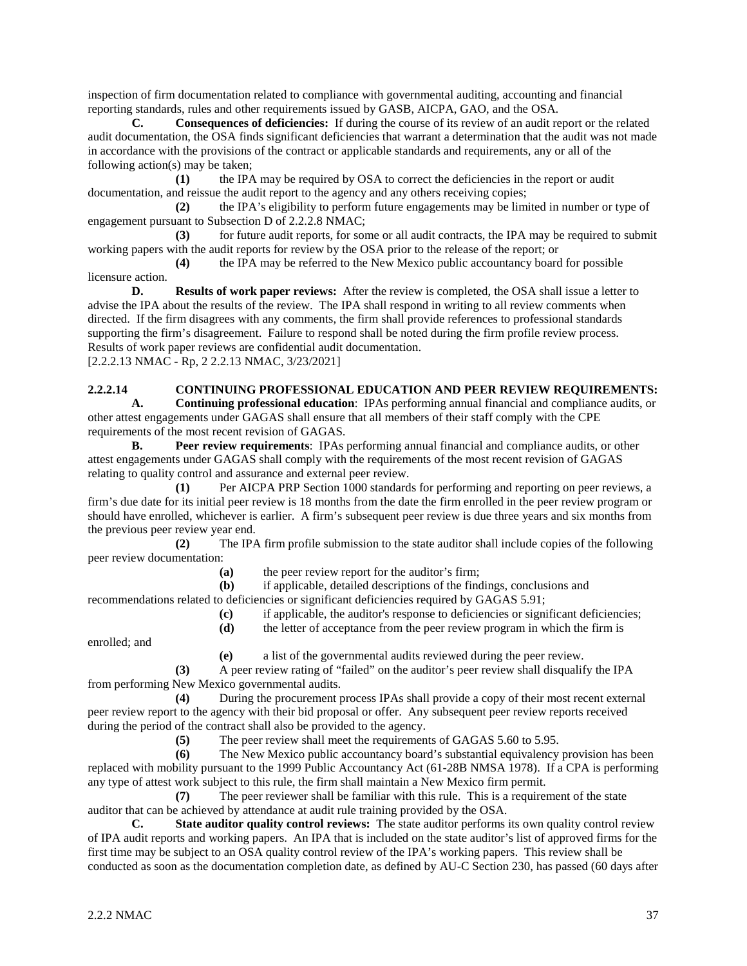inspection of firm documentation related to compliance with governmental auditing, accounting and financial reporting standards, rules and other requirements issued by GASB, AICPA, GAO, and the OSA.

**C. Consequences of deficiencies:** If during the course of its review of an audit report or the related audit documentation, the OSA finds significant deficiencies that warrant a determination that the audit was not made in accordance with the provisions of the contract or applicable standards and requirements, any or all of the following action(s) may be taken;

**(1)** the IPA may be required by OSA to correct the deficiencies in the report or audit documentation, and reissue the audit report to the agency and any others receiving copies;

**(2)** the IPA's eligibility to perform future engagements may be limited in number or type of engagement pursuant to Subsection D of 2.2.2.8 NMAC;

**(3)** for future audit reports, for some or all audit contracts, the IPA may be required to submit working papers with the audit reports for review by the OSA prior to the release of the report; or

**(4)** the IPA may be referred to the New Mexico public accountancy board for possible licensure action.

**D. Results of work paper reviews:** After the review is completed, the OSA shall issue a letter to advise the IPA about the results of the review. The IPA shall respond in writing to all review comments when directed. If the firm disagrees with any comments, the firm shall provide references to professional standards supporting the firm's disagreement. Failure to respond shall be noted during the firm profile review process. Results of work paper reviews are confidential audit documentation. [2.2.2.13 NMAC - Rp, 2 2.2.13 NMAC, 3/23/2021]

# **2.2.2.14 CONTINUING PROFESSIONAL EDUCATION AND PEER REVIEW REQUIREMENTS:**<br>**4. Continuing professional education**: IPAs performing annual financial and compliance audits, or

**A. Continuing professional education**: IPAs performing annual financial and compliance audits, or other attest engagements under GAGAS shall ensure that all members of their staff comply with the CPE requirements of the most recent revision of GAGAS.

**B. Peer review requirements**: IPAs performing annual financial and compliance audits, or other attest engagements under GAGAS shall comply with the requirements of the most recent revision of GAGAS relating to quality control and assurance and external peer review.

**(1)** Per AICPA PRP Section 1000 standards for performing and reporting on peer reviews, a firm's due date for its initial peer review is 18 months from the date the firm enrolled in the peer review program or should have enrolled, whichever is earlier. A firm's subsequent peer review is due three years and six months from the previous peer review year end.

**(2)** The IPA firm profile submission to the state auditor shall include copies of the following peer review documentation:

**(a)** the peer review report for the auditor's firm;

**(b)** if applicable, detailed descriptions of the findings, conclusions and

recommendations related to deficiencies or significant deficiencies required by GAGAS 5.91;

**(c)** if applicable, the auditor's response to deficiencies or significant deficiencies; **(d)** the letter of acceptance from the peer review program in which the firm is

enrolled; and

**(e)** a list of the governmental audits reviewed during the peer review.

**(3)** A peer review rating of "failed" on the auditor's peer review shall disqualify the IPA from performing New Mexico governmental audits.

**(4)** During the procurement process IPAs shall provide a copy of their most recent external peer review report to the agency with their bid proposal or offer. Any subsequent peer review reports received during the period of the contract shall also be provided to the agency.

**(5)** The peer review shall meet the requirements of GAGAS 5.60 to 5.95.

**(6)** The New Mexico public accountancy board's substantial equivalency provision has been replaced with mobility pursuant to the 1999 Public Accountancy Act (61-28B NMSA 1978). If a CPA is performing any type of attest work subject to this rule, the firm shall maintain a New Mexico firm permit.

**(7)** The peer reviewer shall be familiar with this rule. This is a requirement of the state auditor that can be achieved by attendance at audit rule training provided by the OSA.

**C. State auditor quality control reviews:** The state auditor performs its own quality control review of IPA audit reports and working papers. An IPA that is included on the state auditor's list of approved firms for the first time may be subject to an OSA quality control review of the IPA's working papers. This review shall be conducted as soon as the documentation completion date, as defined by AU-C Section 230, has passed (60 days after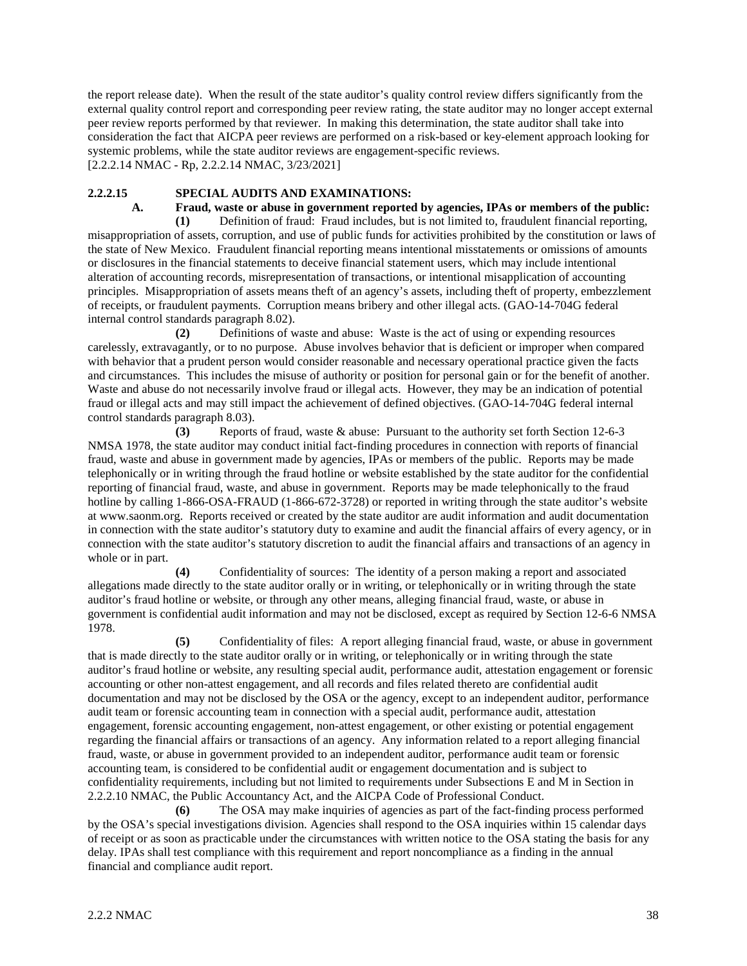the report release date). When the result of the state auditor's quality control review differs significantly from the external quality control report and corresponding peer review rating, the state auditor may no longer accept external peer review reports performed by that reviewer. In making this determination, the state auditor shall take into consideration the fact that AICPA peer reviews are performed on a risk-based or key-element approach looking for systemic problems, while the state auditor reviews are engagement-specific reviews. [2.2.2.14 NMAC - Rp, 2.2.2.14 NMAC, 3/23/2021]

# **2.2.2.15 SPECIAL AUDITS AND EXAMINATIONS:**

**A. Fraud, waste or abuse in government reported by agencies, IPAs or members of the public:**

**(1)** Definition of fraud: Fraud includes, but is not limited to, fraudulent financial reporting, misappropriation of assets, corruption, and use of public funds for activities prohibited by the constitution or laws of the state of New Mexico. Fraudulent financial reporting means intentional misstatements or omissions of amounts or disclosures in the financial statements to deceive financial statement users, which may include intentional alteration of accounting records, misrepresentation of transactions, or intentional misapplication of accounting principles. Misappropriation of assets means theft of an agency's assets, including theft of property, embezzlement of receipts, or fraudulent payments. Corruption means bribery and other illegal acts. (GAO-14-704G federal internal control standards paragraph 8.02).

**(2)** Definitions of waste and abuse: Waste is the act of using or expending resources carelessly, extravagantly, or to no purpose. Abuse involves behavior that is deficient or improper when compared with behavior that a prudent person would consider reasonable and necessary operational practice given the facts and circumstances. This includes the misuse of authority or position for personal gain or for the benefit of another. Waste and abuse do not necessarily involve fraud or illegal acts. However, they may be an indication of potential fraud or illegal acts and may still impact the achievement of defined objectives. (GAO-14-704G federal internal control standards paragraph 8.03).

**(3)** Reports of fraud, waste & abuse: Pursuant to the authority set forth Section 12-6-3 NMSA 1978, the state auditor may conduct initial fact-finding procedures in connection with reports of financial fraud, waste and abuse in government made by agencies, IPAs or members of the public. Reports may be made telephonically or in writing through the fraud hotline or website established by the state auditor for the confidential reporting of financial fraud, waste, and abuse in government. Reports may be made telephonically to the fraud hotline by calling 1-866-OSA-FRAUD (1-866-672-3728) or reported in writing through the state auditor's website at www.saonm.org. Reports received or created by the state auditor are audit information and audit documentation in connection with the state auditor's statutory duty to examine and audit the financial affairs of every agency, or in connection with the state auditor's statutory discretion to audit the financial affairs and transactions of an agency in whole or in part.

**(4)** Confidentiality of sources: The identity of a person making a report and associated allegations made directly to the state auditor orally or in writing, or telephonically or in writing through the state auditor's fraud hotline or website, or through any other means, alleging financial fraud, waste, or abuse in government is confidential audit information and may not be disclosed, except as required by Section 12-6-6 NMSA 1978.

**(5)** Confidentiality of files: A report alleging financial fraud, waste, or abuse in government that is made directly to the state auditor orally or in writing, or telephonically or in writing through the state auditor's fraud hotline or website, any resulting special audit, performance audit, attestation engagement or forensic accounting or other non-attest engagement, and all records and files related thereto are confidential audit documentation and may not be disclosed by the OSA or the agency, except to an independent auditor, performance audit team or forensic accounting team in connection with a special audit, performance audit, attestation engagement, forensic accounting engagement, non-attest engagement, or other existing or potential engagement regarding the financial affairs or transactions of an agency. Any information related to a report alleging financial fraud, waste, or abuse in government provided to an independent auditor, performance audit team or forensic accounting team, is considered to be confidential audit or engagement documentation and is subject to confidentiality requirements, including but not limited to requirements under Subsections E and M in Section in 2.2.2.10 NMAC, the Public Accountancy Act, and the AICPA Code of Professional Conduct.

**(6)** The OSA may make inquiries of agencies as part of the fact-finding process performed by the OSA's special investigations division. Agencies shall respond to the OSA inquiries within 15 calendar days of receipt or as soon as practicable under the circumstances with written notice to the OSA stating the basis for any delay. IPAs shall test compliance with this requirement and report noncompliance as a finding in the annual financial and compliance audit report.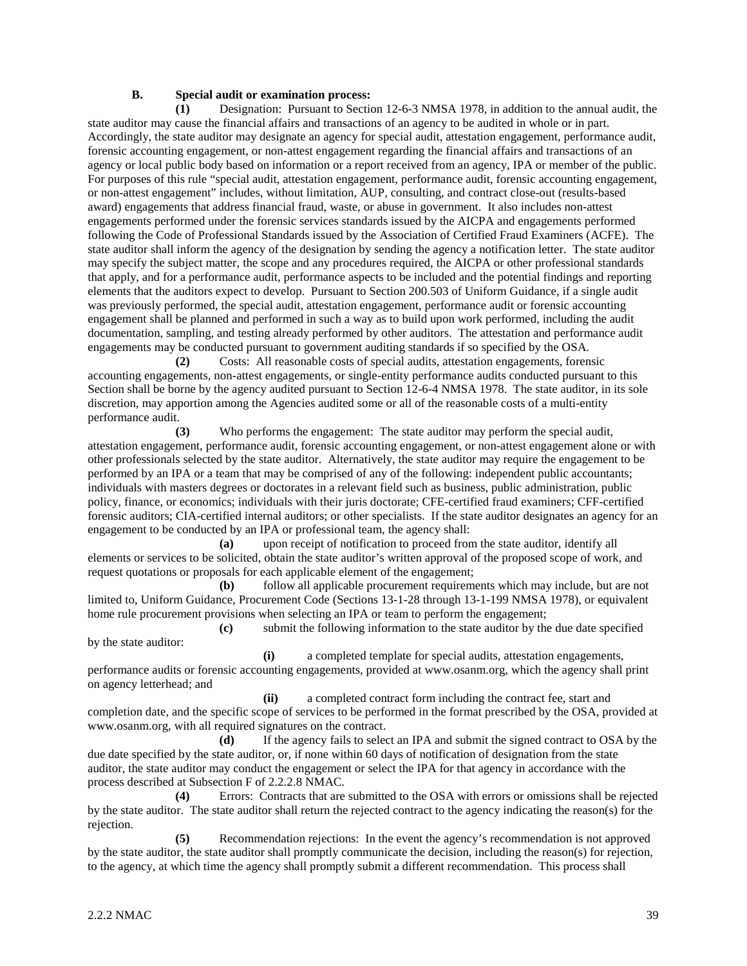#### **B. Special audit or examination process:**

**(1)** Designation: Pursuant to Section 12-6-3 NMSA 1978, in addition to the annual audit, the state auditor may cause the financial affairs and transactions of an agency to be audited in whole or in part. Accordingly, the state auditor may designate an agency for special audit, attestation engagement, performance audit, forensic accounting engagement, or non-attest engagement regarding the financial affairs and transactions of an agency or local public body based on information or a report received from an agency, IPA or member of the public. For purposes of this rule "special audit, attestation engagement, performance audit, forensic accounting engagement, or non-attest engagement" includes, without limitation, AUP, consulting, and contract close-out (results-based award) engagements that address financial fraud, waste, or abuse in government. It also includes non-attest engagements performed under the forensic services standards issued by the AICPA and engagements performed following the Code of Professional Standards issued by the Association of Certified Fraud Examiners (ACFE). The state auditor shall inform the agency of the designation by sending the agency a notification letter. The state auditor may specify the subject matter, the scope and any procedures required, the AICPA or other professional standards that apply, and for a performance audit, performance aspects to be included and the potential findings and reporting elements that the auditors expect to develop. Pursuant to Section 200.503 of Uniform Guidance, if a single audit was previously performed, the special audit, attestation engagement, performance audit or forensic accounting engagement shall be planned and performed in such a way as to build upon work performed, including the audit documentation, sampling, and testing already performed by other auditors. The attestation and performance audit engagements may be conducted pursuant to government auditing standards if so specified by the OSA.

**(2)** Costs: All reasonable costs of special audits, attestation engagements, forensic accounting engagements, non-attest engagements, or single-entity performance audits conducted pursuant to this Section shall be borne by the agency audited pursuant to Section 12-6-4 NMSA 1978. The state auditor, in its sole discretion, may apportion among the Agencies audited some or all of the reasonable costs of a multi-entity performance audit.

**(3)** Who performs the engagement: The state auditor may perform the special audit, attestation engagement, performance audit, forensic accounting engagement, or non-attest engagement alone or with other professionals selected by the state auditor. Alternatively, the state auditor may require the engagement to be performed by an IPA or a team that may be comprised of any of the following: independent public accountants; individuals with masters degrees or doctorates in a relevant field such as business, public administration, public policy, finance, or economics; individuals with their juris doctorate; CFE-certified fraud examiners; CFF-certified forensic auditors; CIA-certified internal auditors; or other specialists. If the state auditor designates an agency for an engagement to be conducted by an IPA or professional team, the agency shall:

**(a)** upon receipt of notification to proceed from the state auditor, identify all elements or services to be solicited, obtain the state auditor's written approval of the proposed scope of work, and request quotations or proposals for each applicable element of the engagement;

**(b)** follow all applicable procurement requirements which may include, but are not limited to, Uniform Guidance, Procurement Code (Sections 13-1-28 through 13-1-199 NMSA 1978), or equivalent home rule procurement provisions when selecting an IPA or team to perform the engagement;

**(c)** submit the following information to the state auditor by the due date specified by the state auditor:

**(i)** a completed template for special audits, attestation engagements, performance audits or forensic accounting engagements, provided at www.osanm.org, which the agency shall print on agency letterhead; and

**(ii)** a completed contract form including the contract fee, start and completion date, and the specific scope of services to be performed in the format prescribed by the OSA, provided at [www.osanm.org,](http://www.osanm.org/) with all required signatures on the contract.

**(d)** If the agency fails to select an IPA and submit the signed contract to OSA by the due date specified by the state auditor, or, if none within 60 days of notification of designation from the state auditor, the state auditor may conduct the engagement or select the IPA for that agency in accordance with the process described at Subsection F of 2.2.2.8 NMAC.

**(4)** Errors: Contracts that are submitted to the OSA with errors or omissions shall be rejected by the state auditor. The state auditor shall return the rejected contract to the agency indicating the reason(s) for the rejection.

**(5)** Recommendation rejections: In the event the agency's recommendation is not approved by the state auditor, the state auditor shall promptly communicate the decision, including the reason(s) for rejection, to the agency, at which time the agency shall promptly submit a different recommendation. This process shall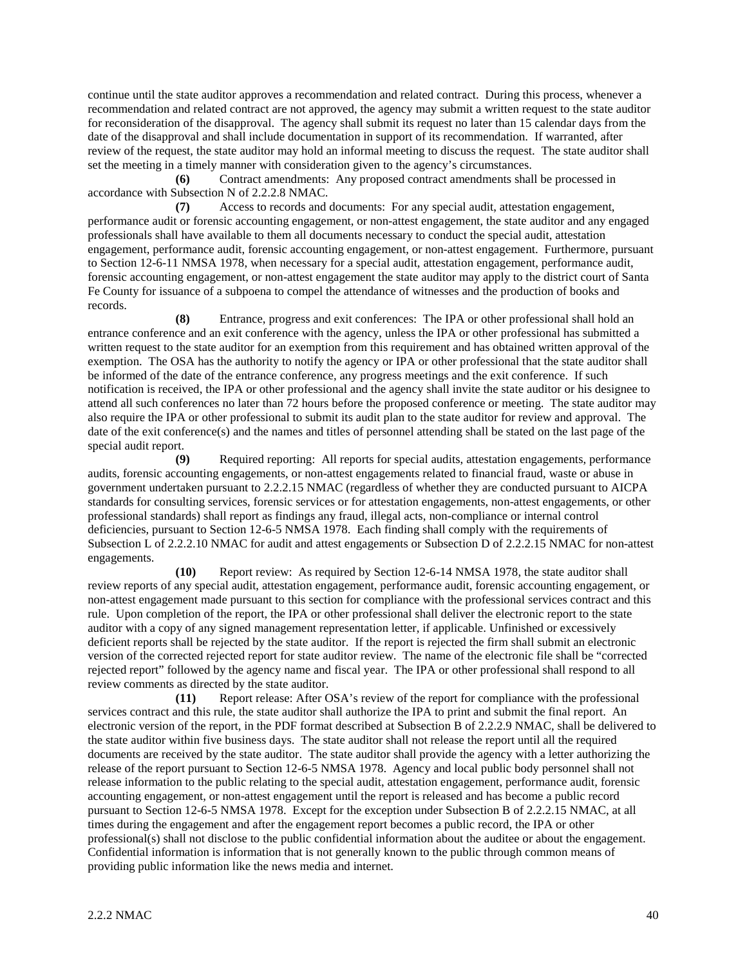continue until the state auditor approves a recommendation and related contract. During this process, whenever a recommendation and related contract are not approved, the agency may submit a written request to the state auditor for reconsideration of the disapproval. The agency shall submit its request no later than 15 calendar days from the date of the disapproval and shall include documentation in support of its recommendation. If warranted, after review of the request, the state auditor may hold an informal meeting to discuss the request. The state auditor shall set the meeting in a timely manner with consideration given to the agency's circumstances.

**(6)** Contract amendments: Any proposed contract amendments shall be processed in accordance with Subsection N of 2.2.2.8 NMAC.

**(7)** Access to records and documents: For any special audit, attestation engagement, performance audit or forensic accounting engagement, or non-attest engagement, the state auditor and any engaged professionals shall have available to them all documents necessary to conduct the special audit, attestation engagement, performance audit, forensic accounting engagement, or non-attest engagement. Furthermore, pursuant to Section 12-6-11 NMSA 1978, when necessary for a special audit, attestation engagement, performance audit, forensic accounting engagement, or non-attest engagement the state auditor may apply to the district court of Santa Fe County for issuance of a subpoena to compel the attendance of witnesses and the production of books and records.

**(8)** Entrance, progress and exit conferences: The IPA or other professional shall hold an entrance conference and an exit conference with the agency, unless the IPA or other professional has submitted a written request to the state auditor for an exemption from this requirement and has obtained written approval of the exemption. The OSA has the authority to notify the agency or IPA or other professional that the state auditor shall be informed of the date of the entrance conference, any progress meetings and the exit conference. If such notification is received, the IPA or other professional and the agency shall invite the state auditor or his designee to attend all such conferences no later than 72 hours before the proposed conference or meeting. The state auditor may also require the IPA or other professional to submit its audit plan to the state auditor for review and approval. The date of the exit conference(s) and the names and titles of personnel attending shall be stated on the last page of the special audit report.

**(9)** Required reporting: All reports for special audits, attestation engagements, performance audits, forensic accounting engagements, or non-attest engagements related to financial fraud, waste or abuse in government undertaken pursuant to 2.2.2.15 NMAC (regardless of whether they are conducted pursuant to AICPA standards for consulting services, forensic services or for attestation engagements, non-attest engagements, or other professional standards) shall report as findings any fraud, illegal acts, non-compliance or internal control deficiencies, pursuant to Section 12-6-5 NMSA 1978. Each finding shall comply with the requirements of Subsection L of 2.2.2.10 NMAC for audit and attest engagements or Subsection D of 2.2.2.15 NMAC for non-attest engagements.

**(10)** Report review: As required by Section 12-6-14 NMSA 1978, the state auditor shall review reports of any special audit, attestation engagement, performance audit, forensic accounting engagement, or non-attest engagement made pursuant to this section for compliance with the professional services contract and this rule. Upon completion of the report, the IPA or other professional shall deliver the electronic report to the state auditor with a copy of any signed management representation letter, if applicable. Unfinished or excessively deficient reports shall be rejected by the state auditor. If the report is rejected the firm shall submit an electronic version of the corrected rejected report for state auditor review. The name of the electronic file shall be "corrected rejected report" followed by the agency name and fiscal year. The IPA or other professional shall respond to all review comments as directed by the state auditor.

**(11)** Report release: After OSA's review of the report for compliance with the professional services contract and this rule, the state auditor shall authorize the IPA to print and submit the final report. An electronic version of the report, in the PDF format described at Subsection B of 2.2.2.9 NMAC, shall be delivered to the state auditor within five business days. The state auditor shall not release the report until all the required documents are received by the state auditor. The state auditor shall provide the agency with a letter authorizing the release of the report pursuant to Section 12-6-5 NMSA 1978. Agency and local public body personnel shall not release information to the public relating to the special audit, attestation engagement, performance audit, forensic accounting engagement, or non-attest engagement until the report is released and has become a public record pursuant to Section 12-6-5 NMSA 1978. Except for the exception under Subsection B of 2.2.2.15 NMAC, at all times during the engagement and after the engagement report becomes a public record, the IPA or other professional(s) shall not disclose to the public confidential information about the auditee or about the engagement. Confidential information is information that is not generally known to the public through common means of providing public information like the news media and internet.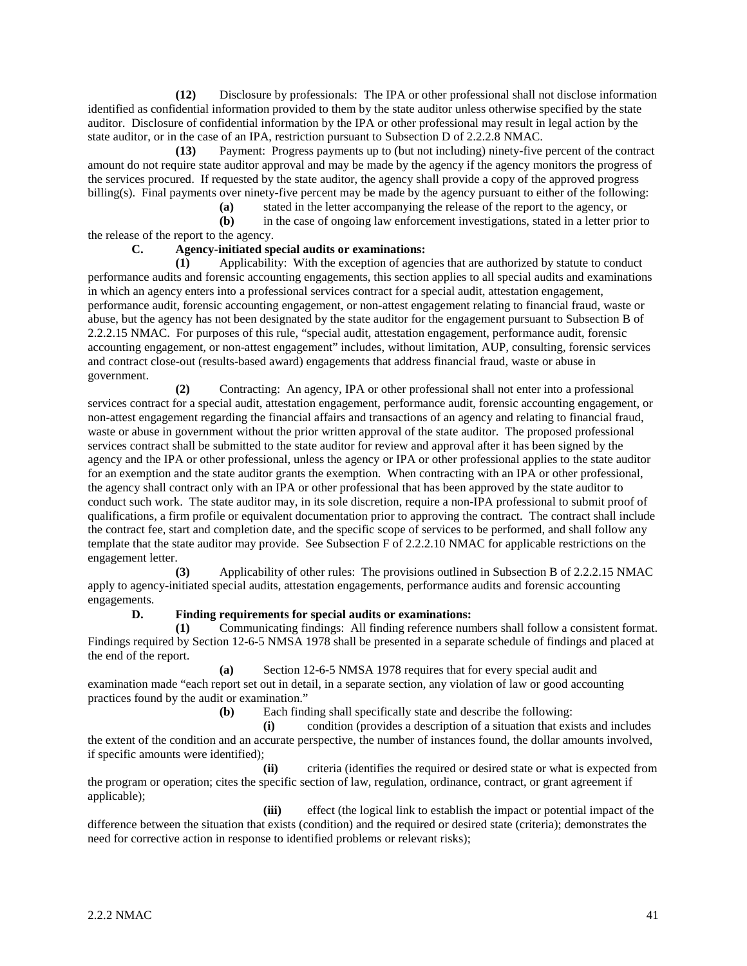**(12)** Disclosure by professionals: The IPA or other professional shall not disclose information identified as confidential information provided to them by the state auditor unless otherwise specified by the state auditor. Disclosure of confidential information by the IPA or other professional may result in legal action by the state auditor, or in the case of an IPA, restriction pursuant to Subsection D of 2.2.2.8 NMAC.

**(13)** Payment: Progress payments up to (but not including) ninety-five percent of the contract amount do not require state auditor approval and may be made by the agency if the agency monitors the progress of the services procured. If requested by the state auditor, the agency shall provide a copy of the approved progress billing(s). Final payments over ninety-five percent may be made by the agency pursuant to either of the following:<br>(a) stated in the letter accompanying the release of the report to the agency, or

**(a)** stated in the letter accompanying the release of the report to the agency, or

**(b)** in the case of ongoing law enforcement investigations, stated in a letter prior to the release of the report to the agency.

# **C. Agency-initiated special audits or examinations:**

**(1)** Applicability: With the exception of agencies that are authorized by statute to conduct performance audits and forensic accounting engagements, this section applies to all special audits and examinations in which an agency enters into a professional services contract for a special audit, attestation engagement, performance audit, forensic accounting engagement, or non-attest engagement relating to financial fraud, waste or abuse, but the agency has not been designated by the state auditor for the engagement pursuant to Subsection B of 2.2.2.15 NMAC. For purposes of this rule, "special audit, attestation engagement, performance audit, forensic accounting engagement, or non-attest engagement" includes, without limitation, AUP, consulting, forensic services and contract close-out (results-based award) engagements that address financial fraud, waste or abuse in government.

**(2)** Contracting: An agency, IPA or other professional shall not enter into a professional services contract for a special audit, attestation engagement, performance audit, forensic accounting engagement, or non-attest engagement regarding the financial affairs and transactions of an agency and relating to financial fraud, waste or abuse in government without the prior written approval of the state auditor. The proposed professional services contract shall be submitted to the state auditor for review and approval after it has been signed by the agency and the IPA or other professional, unless the agency or IPA or other professional applies to the state auditor for an exemption and the state auditor grants the exemption. When contracting with an IPA or other professional, the agency shall contract only with an IPA or other professional that has been approved by the state auditor to conduct such work. The state auditor may, in its sole discretion, require a non-IPA professional to submit proof of qualifications, a firm profile or equivalent documentation prior to approving the contract. The contract shall include the contract fee, start and completion date, and the specific scope of services to be performed, and shall follow any template that the state auditor may provide. See Subsection F of 2.2.2.10 NMAC for applicable restrictions on the engagement letter.

**(3)** Applicability of other rules: The provisions outlined in Subsection B of 2.2.2.15 NMAC apply to agency-initiated special audits, attestation engagements, performance audits and forensic accounting engagements.

# **D. Finding requirements for special audits or examinations:**

**(1)** Communicating findings: All finding reference numbers shall follow a consistent format. Findings required by Section 12-6-5 NMSA 1978 shall be presented in a separate schedule of findings and placed at the end of the report.

**(a)** Section 12-6-5 NMSA 1978 requires that for every special audit and examination made "each report set out in detail, in a separate section, any violation of law or good accounting practices found by the audit or examination."

**(b)** Each finding shall specifically state and describe the following:

**(i)** condition (provides a description of a situation that exists and includes the extent of the condition and an accurate perspective, the number of instances found, the dollar amounts involved, if specific amounts were identified);

**(ii)** criteria (identifies the required or desired state or what is expected from the program or operation; cites the specific section of law, regulation, ordinance, contract, or grant agreement if applicable);

**(iii)** effect (the logical link to establish the impact or potential impact of the difference between the situation that exists (condition) and the required or desired state (criteria); demonstrates the need for corrective action in response to identified problems or relevant risks);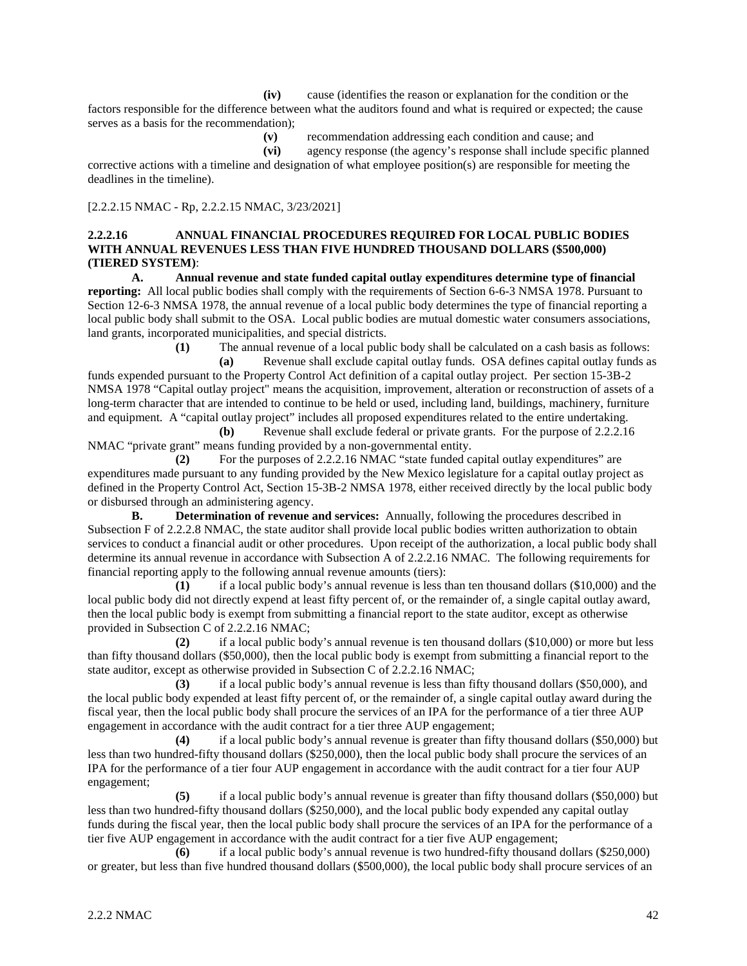**(iv)** cause (identifies the reason or explanation for the condition or the factors responsible for the difference between what the auditors found and what is required or expected; the cause serves as a basis for the recommendation);

**(v)** recommendation addressing each condition and cause; and

**(vi)** agency response (the agency's response shall include specific planned corrective actions with a timeline and designation of what employee position(s) are responsible for meeting the deadlines in the timeline).

[2.2.2.15 NMAC - Rp, 2.2.2.15 NMAC, 3/23/2021]

#### **2.2.2.16 ANNUAL FINANCIAL PROCEDURES REQUIRED FOR LOCAL PUBLIC BODIES WITH ANNUAL REVENUES LESS THAN FIVE HUNDRED THOUSAND DOLLARS (\$500,000) (TIERED SYSTEM)**:

**A. Annual revenue and state funded capital outlay expenditures determine type of financial reporting:** All local public bodies shall comply with the requirements of Section 6-6-3 NMSA 1978. Pursuant to Section 12-6-3 NMSA 1978, the annual revenue of a local public body determines the type of financial reporting a local public body shall submit to the OSA. Local public bodies are mutual domestic water consumers associations, land grants, incorporated municipalities, and special districts.

**(1)** The annual revenue of a local public body shall be calculated on a cash basis as follows:

**(a)** Revenue shall exclude capital outlay funds. OSA defines capital outlay funds as funds expended pursuant to the Property Control Act definition of a capital outlay project. Per section 15-3B-2 NMSA 1978 "Capital outlay project" means the acquisition, improvement, alteration or reconstruction of assets of a long-term character that are intended to continue to be held or used, including land, buildings, machinery, furniture and equipment. A "capital outlay project" includes all proposed expenditures related to the entire undertaking.

**(b)** Revenue shall exclude federal or private grants. For the purpose of 2.2.2.16 NMAC "private grant" means funding provided by a non-governmental entity.

**(2)** For the purposes of 2.2.2.16 NMAC "state funded capital outlay expenditures" are expenditures made pursuant to any funding provided by the New Mexico legislature for a capital outlay project as defined in the Property Control Act, Section 15-3B-2 NMSA 1978, either received directly by the local public body or disbursed through an administering agency.

**B. Determination of revenue and services:** Annually, following the procedures described in Subsection F of 2.2.2.8 NMAC, the state auditor shall provide local public bodies written authorization to obtain services to conduct a financial audit or other procedures. Upon receipt of the authorization, a local public body shall determine its annual revenue in accordance with Subsection A of 2.2.2.16 NMAC. The following requirements for financial reporting apply to the following annual revenue amounts (tiers):

**(1)** if a local public body's annual revenue is less than ten thousand dollars (\$10,000) and the local public body did not directly expend at least fifty percent of, or the remainder of, a single capital outlay award, then the local public body is exempt from submitting a financial report to the state auditor, except as otherwise provided in Subsection C of 2.2.2.16 NMAC;

**(2)** if a local public body's annual revenue is ten thousand dollars (\$10,000) or more but less than fifty thousand dollars (\$50,000), then the local public body is exempt from submitting a financial report to the state auditor, except as otherwise provided in Subsection C of 2.2.2.16 NMAC;

**(3)** if a local public body's annual revenue is less than fifty thousand dollars (\$50,000), and the local public body expended at least fifty percent of, or the remainder of, a single capital outlay award during the fiscal year, then the local public body shall procure the services of an IPA for the performance of a tier three AUP engagement in accordance with the audit contract for a tier three AUP engagement;

**(4)** if a local public body's annual revenue is greater than fifty thousand dollars (\$50,000) but less than two hundred-fifty thousand dollars (\$250,000), then the local public body shall procure the services of an IPA for the performance of a tier four AUP engagement in accordance with the audit contract for a tier four AUP engagement;

**(5)** if a local public body's annual revenue is greater than fifty thousand dollars (\$50,000) but less than two hundred-fifty thousand dollars (\$250,000), and the local public body expended any capital outlay funds during the fiscal year, then the local public body shall procure the services of an IPA for the performance of a tier five AUP engagement in accordance with the audit contract for a tier five AUP engagement;

**(6)** if a local public body's annual revenue is two hundred-fifty thousand dollars (\$250,000) or greater, but less than five hundred thousand dollars (\$500,000), the local public body shall procure services of an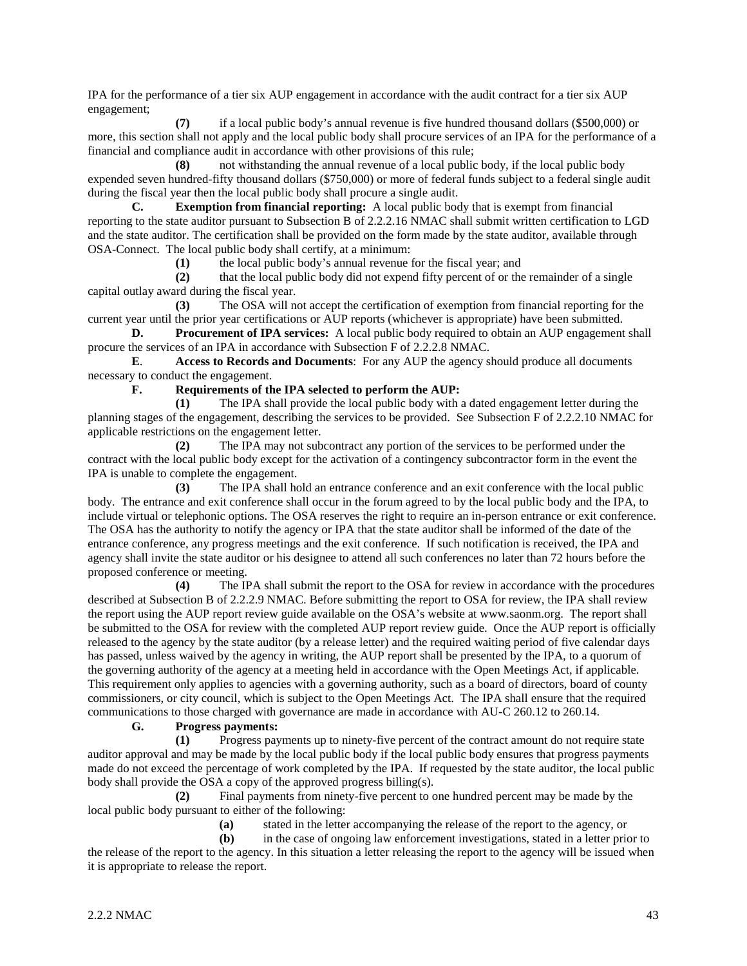IPA for the performance of a tier six AUP engagement in accordance with the audit contract for a tier six AUP engagement;

**(7)** if a local public body's annual revenue is five hundred thousand dollars (\$500,000) or more, this section shall not apply and the local public body shall procure services of an IPA for the performance of a financial and compliance audit in accordance with other provisions of this rule;

**(8)** not withstanding the annual revenue of a local public body, if the local public body expended seven hundred-fifty thousand dollars (\$750,000) or more of federal funds subject to a federal single audit during the fiscal year then the local public body shall procure a single audit.

**C. Exemption from financial reporting:** A local public body that is exempt from financial reporting to the state auditor pursuant to Subsection B of 2.2.2.16 NMAC shall submit written certification to LGD and the state auditor. The certification shall be provided on the form made by the state auditor, available through OSA-Connect. The local public body shall certify, at a minimum:

**(1)** the local public body's annual revenue for the fiscal year; and

**(2)** that the local public body did not expend fifty percent of or the remainder of a single capital outlay award during the fiscal year.

**(3)** The OSA will not accept the certification of exemption from financial reporting for the current year until the prior year certifications or AUP reports (whichever is appropriate) have been submitted.

**D. Procurement of IPA services:** A local public body required to obtain an AUP engagement shall procure the services of an IPA in accordance with Subsection F of 2.2.2.8 NMAC.

**E**. **Access to Records and Documents**: For any AUP the agency should produce all documents necessary to conduct the engagement.

#### **F. Requirements of the IPA selected to perform the AUP:**

**(1)** The IPA shall provide the local public body with a dated engagement letter during the planning stages of the engagement, describing the services to be provided. See Subsection F of 2.2.2.10 NMAC for applicable restrictions on the engagement letter.

**(2)** The IPA may not subcontract any portion of the services to be performed under the contract with the local public body except for the activation of a contingency subcontractor form in the event the IPA is unable to complete the engagement.

**(3)** The IPA shall hold an entrance conference and an exit conference with the local public body. The entrance and exit conference shall occur in the forum agreed to by the local public body and the IPA, to include virtual or telephonic options. The OSA reserves the right to require an in-person entrance or exit conference. The OSA has the authority to notify the agency or IPA that the state auditor shall be informed of the date of the entrance conference, any progress meetings and the exit conference. If such notification is received, the IPA and agency shall invite the state auditor or his designee to attend all such conferences no later than 72 hours before the proposed conference or meeting.

**(4)** The IPA shall submit the report to the OSA for review in accordance with the procedures described at Subsection B of 2.2.2.9 NMAC. Before submitting the report to OSA for review, the IPA shall review the report using the AUP report review guide available on the OSA's website at www.saonm.org. The report shall be submitted to the OSA for review with the completed AUP report review guide. Once the AUP report is officially released to the agency by the state auditor (by a release letter) and the required waiting period of five calendar days has passed, unless waived by the agency in writing, the AUP report shall be presented by the IPA, to a quorum of the governing authority of the agency at a meeting held in accordance with the Open Meetings Act, if applicable. This requirement only applies to agencies with a governing authority, such as a board of directors, board of county commissioners, or city council, which is subject to the Open Meetings Act. The IPA shall ensure that the required communications to those charged with governance are made in accordance with AU-C 260.12 to 260.14.

# **G. Progress payments:**

**(1)** Progress payments up to ninety-five percent of the contract amount do not require state auditor approval and may be made by the local public body if the local public body ensures that progress payments made do not exceed the percentage of work completed by the IPA. If requested by the state auditor, the local public body shall provide the OSA a copy of the approved progress billing(s).

**(2)** Final payments from ninety-five percent to one hundred percent may be made by the local public body pursuant to either of the following:

**(a)** stated in the letter accompanying the release of the report to the agency, or

**(b)** in the case of ongoing law enforcement investigations, stated in a letter prior to the release of the report to the agency. In this situation a letter releasing the report to the agency will be issued when it is appropriate to release the report.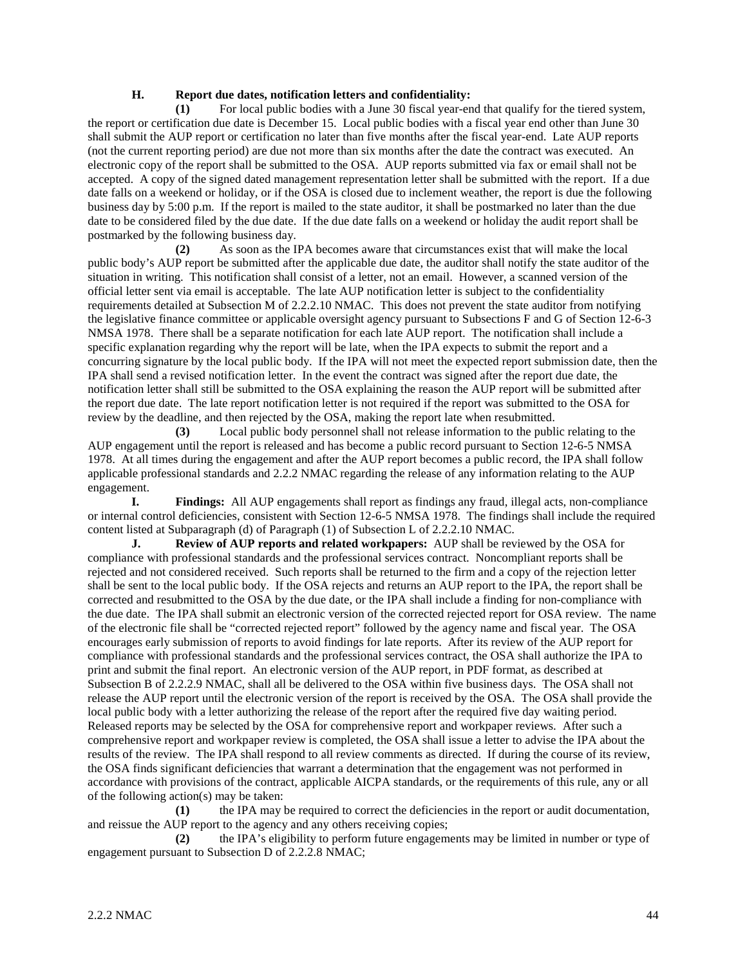#### **H. Report due dates, notification letters and confidentiality:**

**(1)** For local public bodies with a June 30 fiscal year-end that qualify for the tiered system, the report or certification due date is December 15. Local public bodies with a fiscal year end other than June 30 shall submit the AUP report or certification no later than five months after the fiscal year-end. Late AUP reports (not the current reporting period) are due not more than six months after the date the contract was executed. An electronic copy of the report shall be submitted to the OSA. AUP reports submitted via fax or email shall not be accepted. A copy of the signed dated management representation letter shall be submitted with the report. If a due date falls on a weekend or holiday, or if the OSA is closed due to inclement weather, the report is due the following business day by 5:00 p.m. If the report is mailed to the state auditor, it shall be postmarked no later than the due date to be considered filed by the due date. If the due date falls on a weekend or holiday the audit report shall be postmarked by the following business day.

**(2)** As soon as the IPA becomes aware that circumstances exist that will make the local public body's AUP report be submitted after the applicable due date, the auditor shall notify the state auditor of the situation in writing. This notification shall consist of a letter, not an email. However, a scanned version of the official letter sent via email is acceptable. The late AUP notification letter is subject to the confidentiality requirements detailed at Subsection M of 2.2.2.10 NMAC. This does not prevent the state auditor from notifying the legislative finance committee or applicable oversight agency pursuant to Subsections F and G of Section 12-6-3 NMSA 1978. There shall be a separate notification for each late AUP report. The notification shall include a specific explanation regarding why the report will be late, when the IPA expects to submit the report and a concurring signature by the local public body. If the IPA will not meet the expected report submission date, then the IPA shall send a revised notification letter. In the event the contract was signed after the report due date, the notification letter shall still be submitted to the OSA explaining the reason the AUP report will be submitted after the report due date. The late report notification letter is not required if the report was submitted to the OSA for review by the deadline, and then rejected by the OSA, making the report late when resubmitted.

**(3)** Local public body personnel shall not release information to the public relating to the AUP engagement until the report is released and has become a public record pursuant to Section 12-6-5 NMSA 1978. At all times during the engagement and after the AUP report becomes a public record, the IPA shall follow applicable professional standards and 2.2.2 NMAC regarding the release of any information relating to the AUP engagement.

**I. Findings:** All AUP engagements shall report as findings any fraud, illegal acts, non-compliance or internal control deficiencies, consistent with Section 12-6-5 NMSA 1978. The findings shall include the required content listed at Subparagraph (d) of Paragraph (1) of Subsection L of 2.2.2.10 NMAC.

**J. Review of AUP reports and related workpapers:** AUP shall be reviewed by the OSA for compliance with professional standards and the professional services contract. Noncompliant reports shall be rejected and not considered received. Such reports shall be returned to the firm and a copy of the rejection letter shall be sent to the local public body. If the OSA rejects and returns an AUP report to the IPA, the report shall be corrected and resubmitted to the OSA by the due date, or the IPA shall include a finding for non-compliance with the due date. The IPA shall submit an electronic version of the corrected rejected report for OSA review. The name of the electronic file shall be "corrected rejected report" followed by the agency name and fiscal year. The OSA encourages early submission of reports to avoid findings for late reports. After its review of the AUP report for compliance with professional standards and the professional services contract, the OSA shall authorize the IPA to print and submit the final report. An electronic version of the AUP report, in PDF format, as described at Subsection B of 2.2.2.9 NMAC, shall all be delivered to the OSA within five business days. The OSA shall not release the AUP report until the electronic version of the report is received by the OSA. The OSA shall provide the local public body with a letter authorizing the release of the report after the required five day waiting period. Released reports may be selected by the OSA for comprehensive report and workpaper reviews. After such a comprehensive report and workpaper review is completed, the OSA shall issue a letter to advise the IPA about the results of the review. The IPA shall respond to all review comments as directed. If during the course of its review, the OSA finds significant deficiencies that warrant a determination that the engagement was not performed in accordance with provisions of the contract, applicable AICPA standards, or the requirements of this rule, any or all of the following action(s) may be taken:

**(1)** the IPA may be required to correct the deficiencies in the report or audit documentation, and reissue the AUP report to the agency and any others receiving copies;

**(2)** the IPA's eligibility to perform future engagements may be limited in number or type of engagement pursuant to Subsection D of 2.2.2.8 NMAC;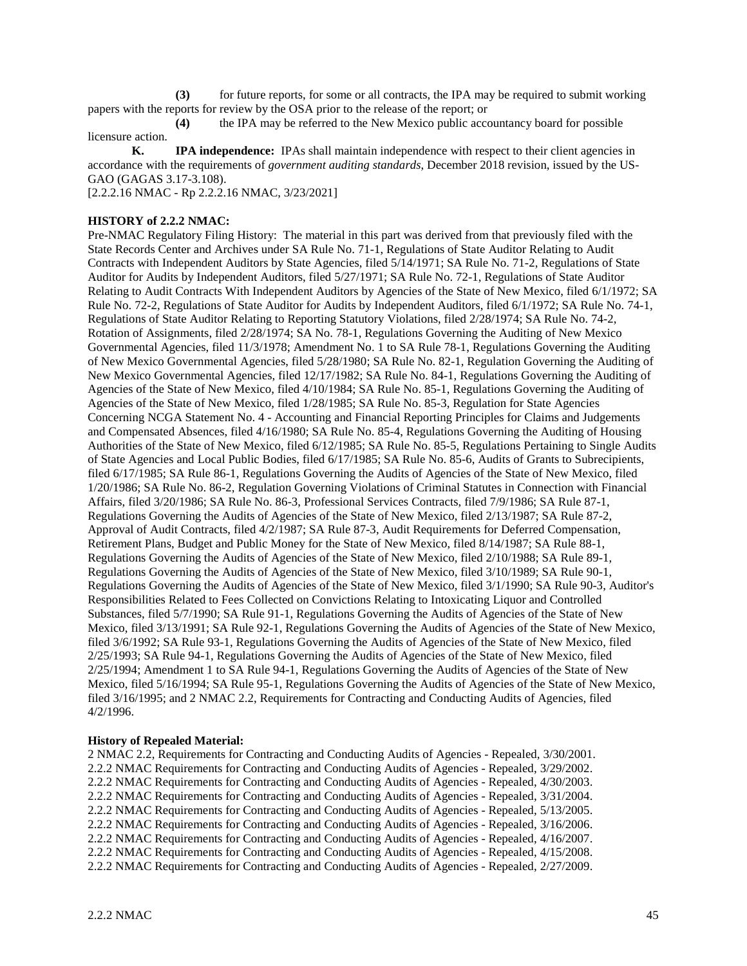**(3)** for future reports, for some or all contracts, the IPA may be required to submit working papers with the reports for review by the OSA prior to the release of the report; or

**(4)** the IPA may be referred to the New Mexico public accountancy board for possible licensure action.

**K. IPA independence:** IPAs shall maintain independence with respect to their client agencies in accordance with the requirements of *government auditing standards*, December 2018 revision, issued by the US-GAO (GAGAS 3.17-3.108).

[2.2.2.16 NMAC - Rp 2.2.2.16 NMAC, 3/23/2021]

#### **HISTORY of 2.2.2 NMAC:**

Pre-NMAC Regulatory Filing History: The material in this part was derived from that previously filed with the State Records Center and Archives under SA Rule No. 71-1, Regulations of State Auditor Relating to Audit Contracts with Independent Auditors by State Agencies, filed 5/14/1971; SA Rule No. 71-2, Regulations of State Auditor for Audits by Independent Auditors, filed 5/27/1971; SA Rule No. 72-1, Regulations of State Auditor Relating to Audit Contracts With Independent Auditors by Agencies of the State of New Mexico, filed 6/1/1972; SA Rule No. 72-2, Regulations of State Auditor for Audits by Independent Auditors, filed 6/1/1972; SA Rule No. 74-1, Regulations of State Auditor Relating to Reporting Statutory Violations, filed 2/28/1974; SA Rule No. 74-2, Rotation of Assignments, filed 2/28/1974; SA No. 78-1, Regulations Governing the Auditing of New Mexico Governmental Agencies, filed 11/3/1978; Amendment No. 1 to SA Rule 78-1, Regulations Governing the Auditing of New Mexico Governmental Agencies, filed 5/28/1980; SA Rule No. 82-1, Regulation Governing the Auditing of New Mexico Governmental Agencies, filed 12/17/1982; SA Rule No. 84-1, Regulations Governing the Auditing of Agencies of the State of New Mexico, filed 4/10/1984; SA Rule No. 85-1, Regulations Governing the Auditing of Agencies of the State of New Mexico, filed 1/28/1985; SA Rule No. 85-3, Regulation for State Agencies Concerning NCGA Statement No. 4 - Accounting and Financial Reporting Principles for Claims and Judgements and Compensated Absences, filed 4/16/1980; SA Rule No. 85-4, Regulations Governing the Auditing of Housing Authorities of the State of New Mexico, filed 6/12/1985; SA Rule No. 85-5, Regulations Pertaining to Single Audits of State Agencies and Local Public Bodies, filed 6/17/1985; SA Rule No. 85-6, Audits of Grants to Subrecipients, filed 6/17/1985; SA Rule 86-1, Regulations Governing the Audits of Agencies of the State of New Mexico, filed 1/20/1986; SA Rule No. 86-2, Regulation Governing Violations of Criminal Statutes in Connection with Financial Affairs, filed 3/20/1986; SA Rule No. 86-3, Professional Services Contracts, filed 7/9/1986; SA Rule 87-1, Regulations Governing the Audits of Agencies of the State of New Mexico, filed 2/13/1987; SA Rule 87-2, Approval of Audit Contracts, filed 4/2/1987; SA Rule 87-3, Audit Requirements for Deferred Compensation, Retirement Plans, Budget and Public Money for the State of New Mexico, filed 8/14/1987; SA Rule 88-1, Regulations Governing the Audits of Agencies of the State of New Mexico, filed 2/10/1988; SA Rule 89-1, Regulations Governing the Audits of Agencies of the State of New Mexico, filed 3/10/1989; SA Rule 90-1, Regulations Governing the Audits of Agencies of the State of New Mexico, filed 3/1/1990; SA Rule 90-3, Auditor's Responsibilities Related to Fees Collected on Convictions Relating to Intoxicating Liquor and Controlled Substances, filed 5/7/1990; SA Rule 91-1, Regulations Governing the Audits of Agencies of the State of New Mexico, filed 3/13/1991; SA Rule 92-1, Regulations Governing the Audits of Agencies of the State of New Mexico, filed 3/6/1992; SA Rule 93-1, Regulations Governing the Audits of Agencies of the State of New Mexico, filed 2/25/1993; SA Rule 94-1, Regulations Governing the Audits of Agencies of the State of New Mexico, filed 2/25/1994; Amendment 1 to SA Rule 94-1, Regulations Governing the Audits of Agencies of the State of New Mexico, filed 5/16/1994; SA Rule 95-1, Regulations Governing the Audits of Agencies of the State of New Mexico, filed 3/16/1995; and 2 NMAC 2.2, Requirements for Contracting and Conducting Audits of Agencies, filed 4/2/1996.

#### **History of Repealed Material:**

2 NMAC 2.2, Requirements for Contracting and Conducting Audits of Agencies - Repealed, 3/30/2001. 2.2.2 NMAC Requirements for Contracting and Conducting Audits of Agencies - Repealed, 3/29/2002. 2.2.2 NMAC Requirements for Contracting and Conducting Audits of Agencies - Repealed, 4/30/2003. 2.2.2 NMAC Requirements for Contracting and Conducting Audits of Agencies - Repealed, 3/31/2004. 2.2.2 NMAC Requirements for Contracting and Conducting Audits of Agencies - Repealed, 5/13/2005. 2.2.2 NMAC Requirements for Contracting and Conducting Audits of Agencies - Repealed, 3/16/2006. 2.2.2 NMAC Requirements for Contracting and Conducting Audits of Agencies - Repealed, 4/16/2007. 2.2.2 NMAC Requirements for Contracting and Conducting Audits of Agencies - Repealed, 4/15/2008. 2.2.2 NMAC Requirements for Contracting and Conducting Audits of Agencies - Repealed, 2/27/2009.